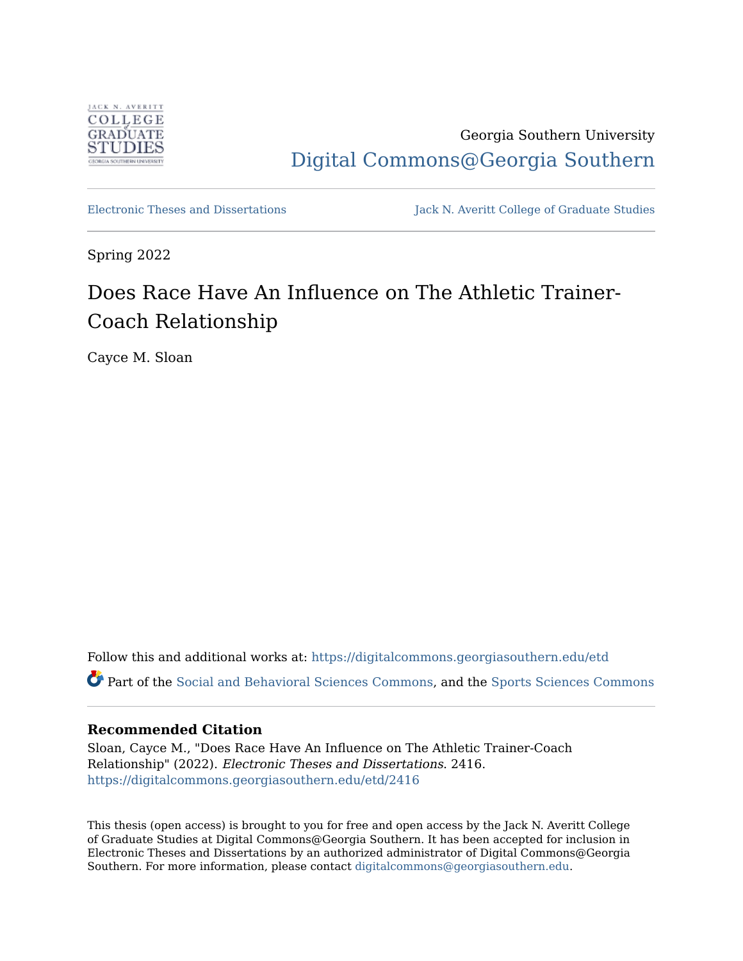

Georgia Southern University [Digital Commons@Georgia Southern](https://digitalcommons.georgiasouthern.edu/) 

[Electronic Theses and Dissertations](https://digitalcommons.georgiasouthern.edu/etd) Jack N. Averitt College of Graduate Studies

Spring 2022

# Does Race Have An Influence on The Athletic Trainer-Coach Relationship

Cayce M. Sloan

Follow this and additional works at: [https://digitalcommons.georgiasouthern.edu/etd](https://digitalcommons.georgiasouthern.edu/etd?utm_source=digitalcommons.georgiasouthern.edu%2Fetd%2F2416&utm_medium=PDF&utm_campaign=PDFCoverPages)  Part of the [Social and Behavioral Sciences Commons](https://network.bepress.com/hgg/discipline/316?utm_source=digitalcommons.georgiasouthern.edu%2Fetd%2F2416&utm_medium=PDF&utm_campaign=PDFCoverPages), and the [Sports Sciences Commons](https://network.bepress.com/hgg/discipline/759?utm_source=digitalcommons.georgiasouthern.edu%2Fetd%2F2416&utm_medium=PDF&utm_campaign=PDFCoverPages)

### **Recommended Citation**

Sloan, Cayce M., "Does Race Have An Influence on The Athletic Trainer-Coach Relationship" (2022). Electronic Theses and Dissertations. 2416. [https://digitalcommons.georgiasouthern.edu/etd/2416](https://digitalcommons.georgiasouthern.edu/etd/2416?utm_source=digitalcommons.georgiasouthern.edu%2Fetd%2F2416&utm_medium=PDF&utm_campaign=PDFCoverPages) 

This thesis (open access) is brought to you for free and open access by the Jack N. Averitt College of Graduate Studies at Digital Commons@Georgia Southern. It has been accepted for inclusion in Electronic Theses and Dissertations by an authorized administrator of Digital Commons@Georgia Southern. For more information, please contact [digitalcommons@georgiasouthern.edu](mailto:digitalcommons@georgiasouthern.edu).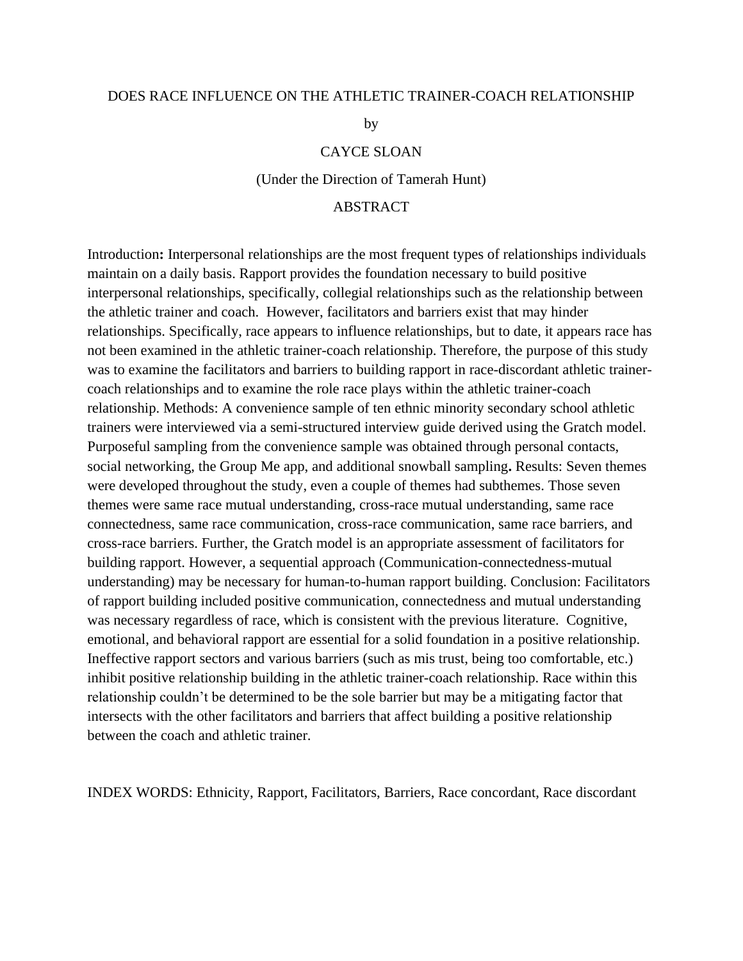# DOES RACE INFLUENCE ON THE ATHLETIC TRAINER-COACH RELATIONSHIP

by

#### CAYCE SLOAN

(Under the Direction of Tamerah Hunt)

# ABSTRACT

Introduction**:** Interpersonal relationships are the most frequent types of relationships individuals maintain on a daily basis. Rapport provides the foundation necessary to build positive interpersonal relationships, specifically, collegial relationships such as the relationship between the athletic trainer and coach. However, facilitators and barriers exist that may hinder relationships. Specifically, race appears to influence relationships, but to date, it appears race has not been examined in the athletic trainer-coach relationship. Therefore, the purpose of this study was to examine the facilitators and barriers to building rapport in race-discordant athletic trainercoach relationships and to examine the role race plays within the athletic trainer-coach relationship. Methods: A convenience sample of ten ethnic minority secondary school athletic trainers were interviewed via a semi-structured interview guide derived using the Gratch model. Purposeful sampling from the convenience sample was obtained through personal contacts, social networking, the Group Me app, and additional snowball sampling**.** Results: Seven themes were developed throughout the study, even a couple of themes had subthemes. Those seven themes were same race mutual understanding, cross-race mutual understanding, same race connectedness, same race communication, cross-race communication, same race barriers, and cross-race barriers. Further, the Gratch model is an appropriate assessment of facilitators for building rapport. However, a sequential approach (Communication-connectedness-mutual understanding) may be necessary for human-to-human rapport building. Conclusion: Facilitators of rapport building included positive communication, connectedness and mutual understanding was necessary regardless of race, which is consistent with the previous literature. Cognitive, emotional, and behavioral rapport are essential for a solid foundation in a positive relationship. Ineffective rapport sectors and various barriers (such as mis trust, being too comfortable, etc.) inhibit positive relationship building in the athletic trainer-coach relationship. Race within this relationship couldn't be determined to be the sole barrier but may be a mitigating factor that intersects with the other facilitators and barriers that affect building a positive relationship between the coach and athletic trainer.

INDEX WORDS: Ethnicity, Rapport, Facilitators, Barriers, Race concordant, Race discordant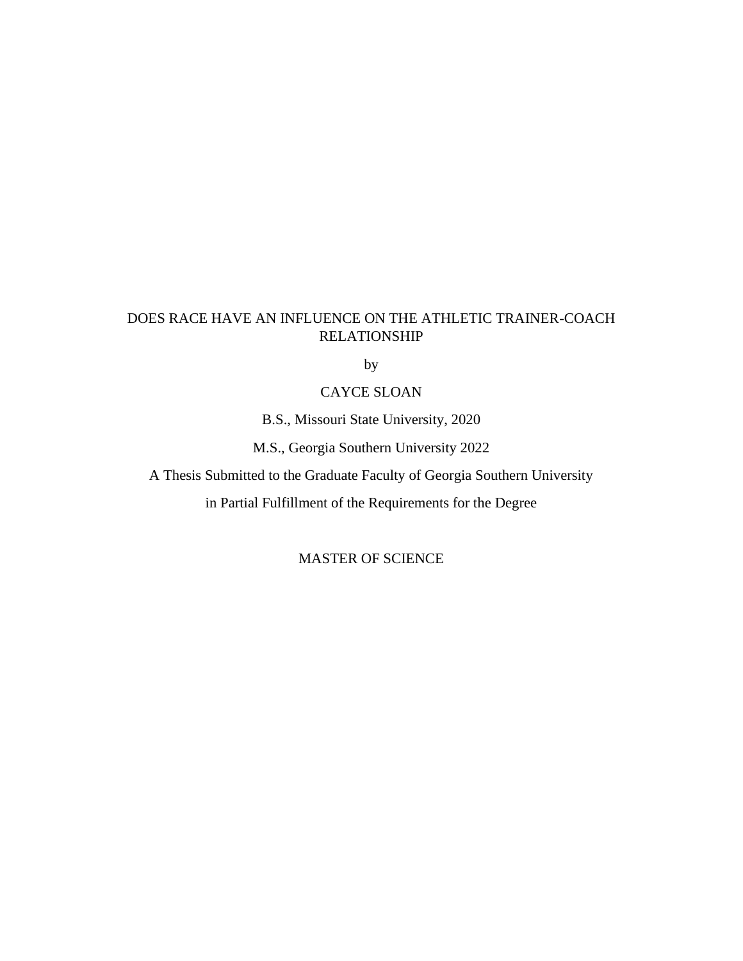# DOES RACE HAVE AN INFLUENCE ON THE ATHLETIC TRAINER-COACH RELATIONSHIP

by

# CAYCE SLOAN

B.S., Missouri State University, 2020

M.S., Georgia Southern University 2022

A Thesis Submitted to the Graduate Faculty of Georgia Southern University

in Partial Fulfillment of the Requirements for the Degree

MASTER OF SCIENCE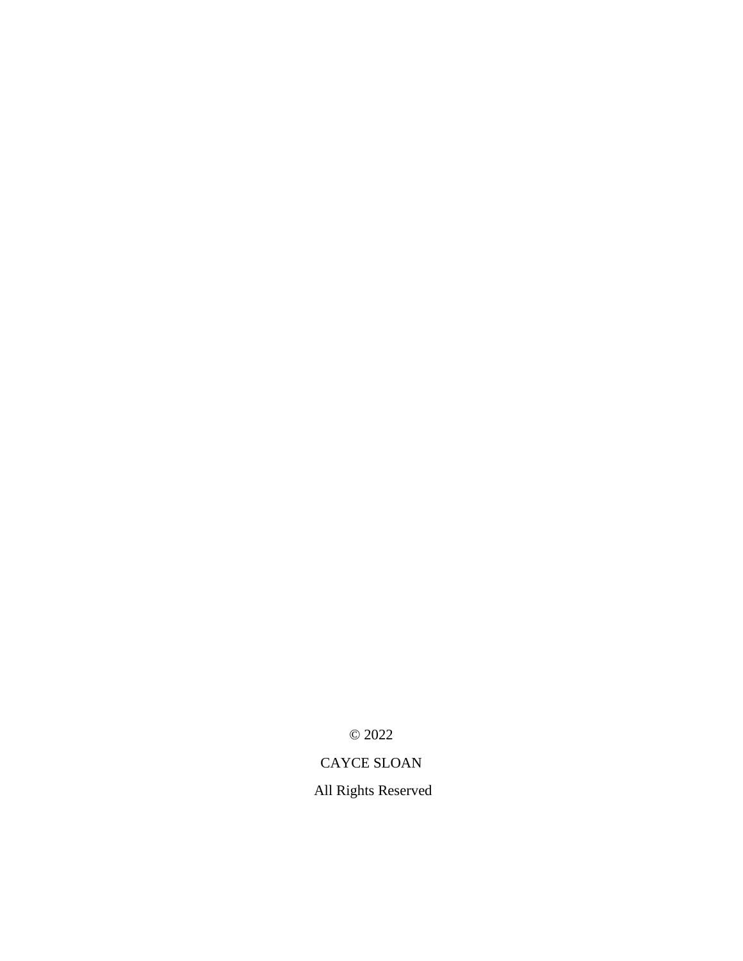© 2022

# CAYCE SLOAN

All Rights Reserved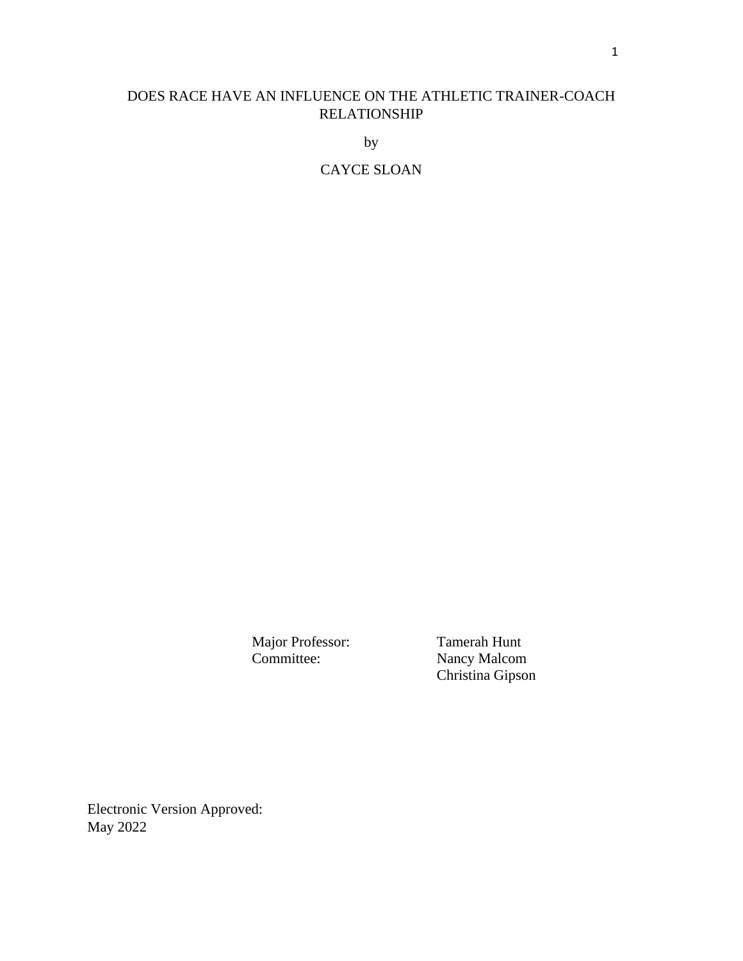# DOES RACE HAVE AN INFLUENCE ON THE ATHLETIC TRAINER-COACH RELATIONSHIP

by

CAYCE SLOAN

Major Professor: Tamerah Hunt Committee: Nancy Malcom Christina Gipson

Electronic Version Approved: May 2022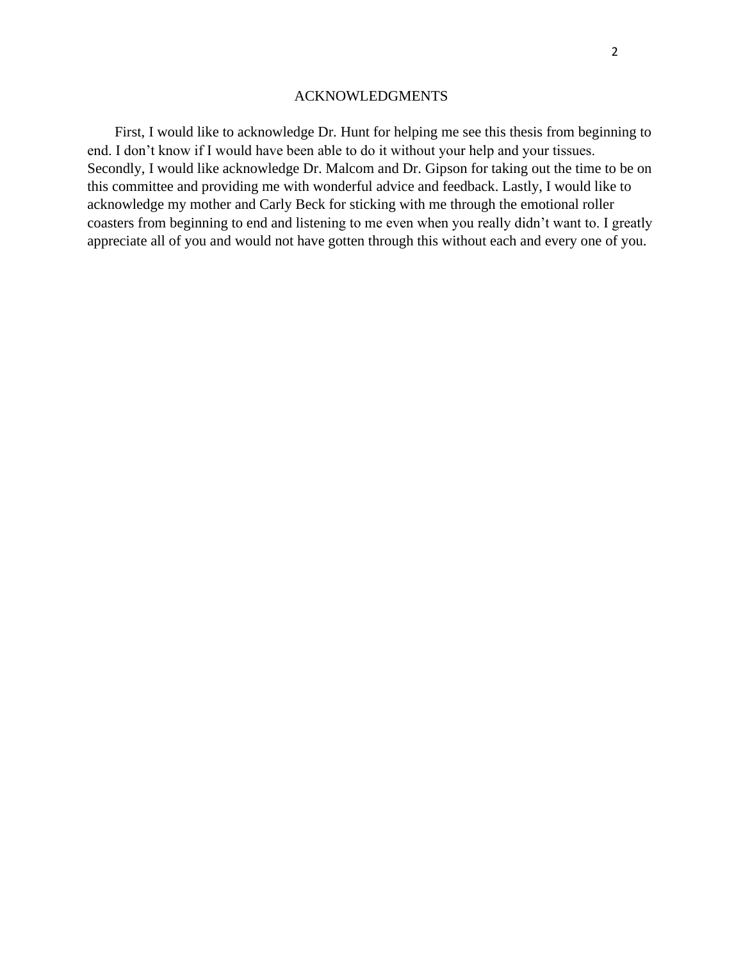#### ACKNOWLEDGMENTS

First, I would like to acknowledge Dr. Hunt for helping me see this thesis from beginning to end. I don't know if I would have been able to do it without your help and your tissues. Secondly, I would like acknowledge Dr. Malcom and Dr. Gipson for taking out the time to be on this committee and providing me with wonderful advice and feedback. Lastly, I would like to acknowledge my mother and Carly Beck for sticking with me through the emotional roller coasters from beginning to end and listening to me even when you really didn't want to. I greatly appreciate all of you and would not have gotten through this without each and every one of you.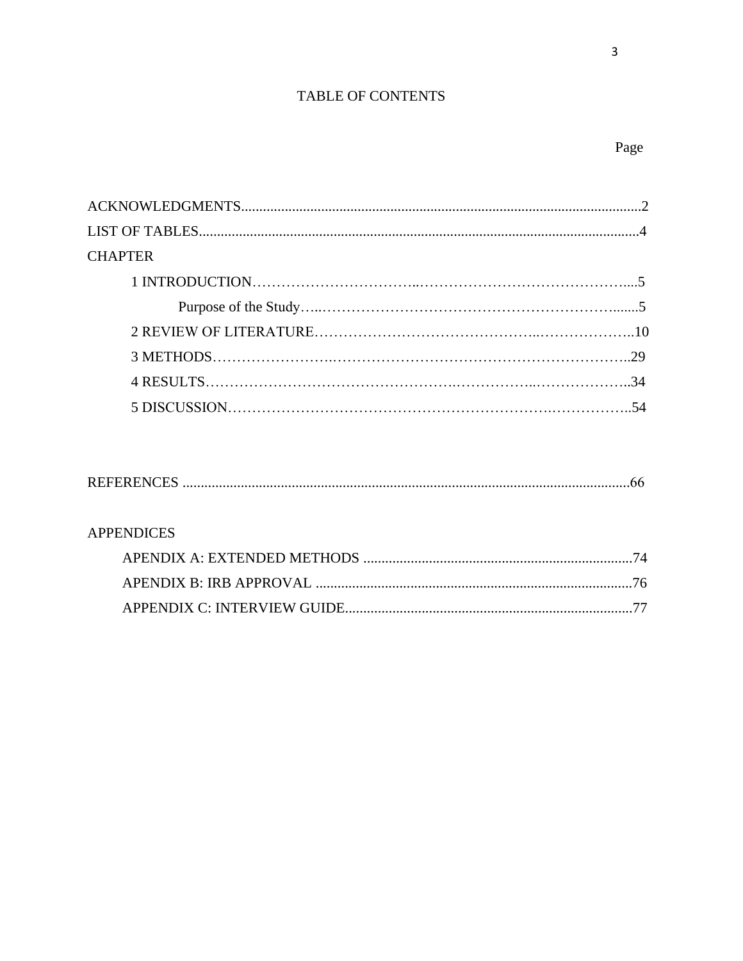# TABLE OF CONTENTS

| <b>CHAPTER</b> |  |
|----------------|--|
|                |  |
|                |  |
|                |  |
|                |  |
|                |  |
|                |  |
|                |  |

|--|--|--|--|

# **APPENDICES**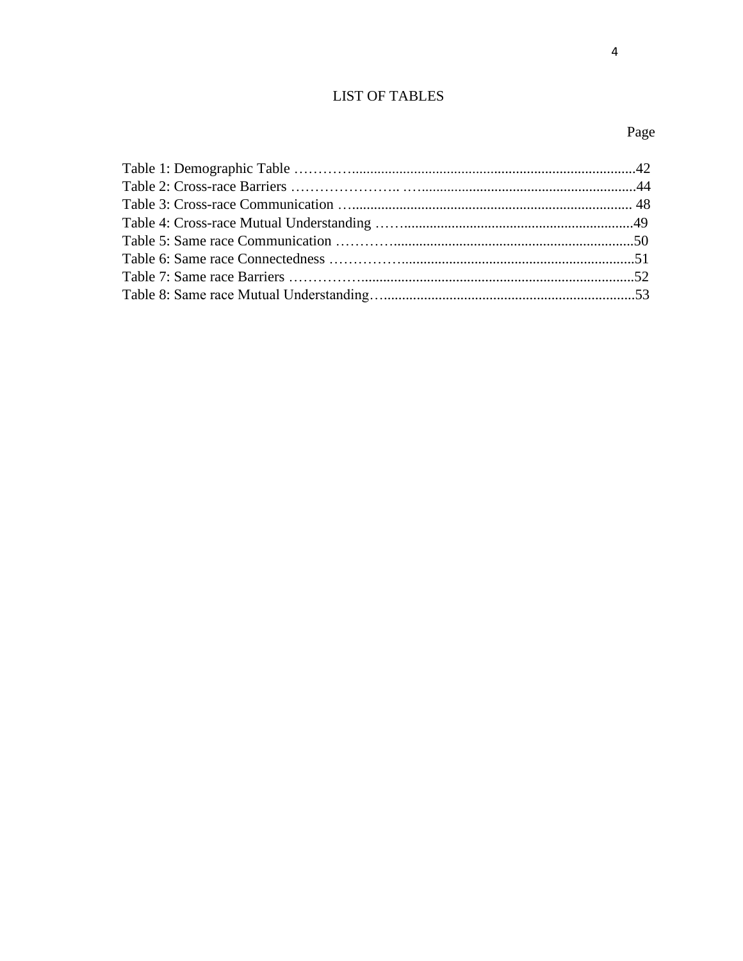# **LIST OF TABLES**

# Page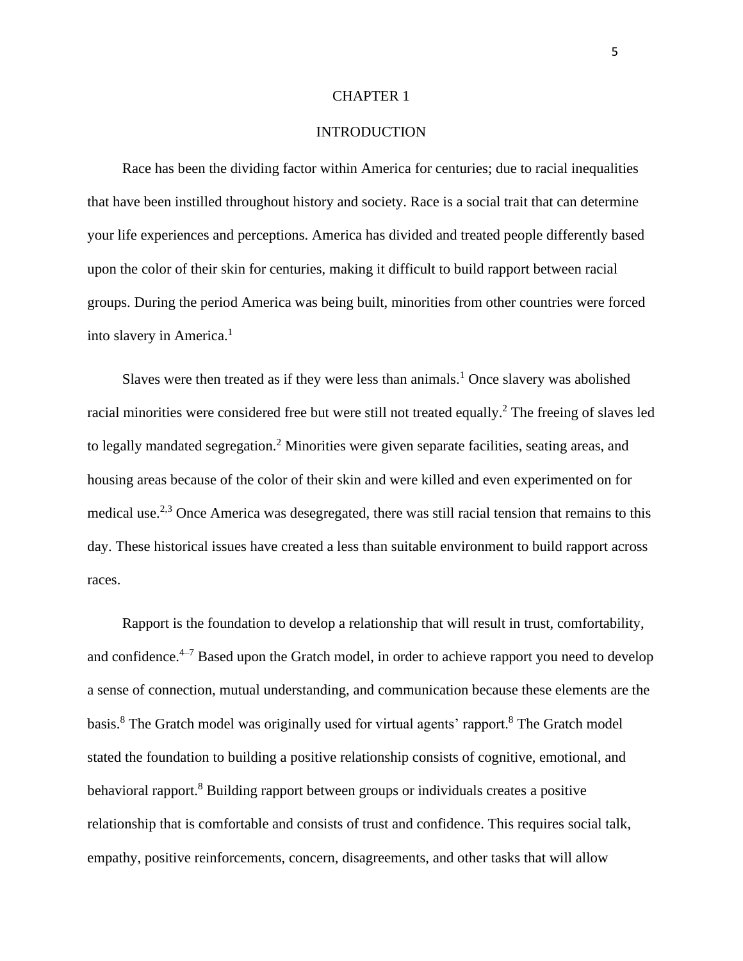#### CHAPTER 1

### INTRODUCTION

Race has been the dividing factor within America for centuries; due to racial inequalities that have been instilled throughout history and society. Race is a social trait that can determine your life experiences and perceptions. America has divided and treated people differently based upon the color of their skin for centuries, making it difficult to build rapport between racial groups. During the period America was being built, minorities from other countries were forced into slavery in America.<sup>1</sup>

Slaves were then treated as if they were less than animals.<sup>1</sup> Once slavery was abolished racial minorities were considered free but were still not treated equally. <sup>2</sup> The freeing of slaves led to legally mandated segregation.<sup>2</sup> Minorities were given separate facilities, seating areas, and housing areas because of the color of their skin and were killed and even experimented on for medical use.<sup>2,3</sup> Once America was desegregated, there was still racial tension that remains to this day. These historical issues have created a less than suitable environment to build rapport across races.

Rapport is the foundation to develop a relationship that will result in trust, comfortability, and confidence. $4-7$  Based upon the Gratch model, in order to achieve rapport you need to develop a sense of connection, mutual understanding, and communication because these elements are the basis.<sup>8</sup> The Gratch model was originally used for virtual agents' rapport.<sup>8</sup> The Gratch model stated the foundation to building a positive relationship consists of cognitive, emotional, and behavioral rapport.<sup>8</sup> Building rapport between groups or individuals creates a positive relationship that is comfortable and consists of trust and confidence. This requires social talk, empathy, positive reinforcements, concern, disagreements, and other tasks that will allow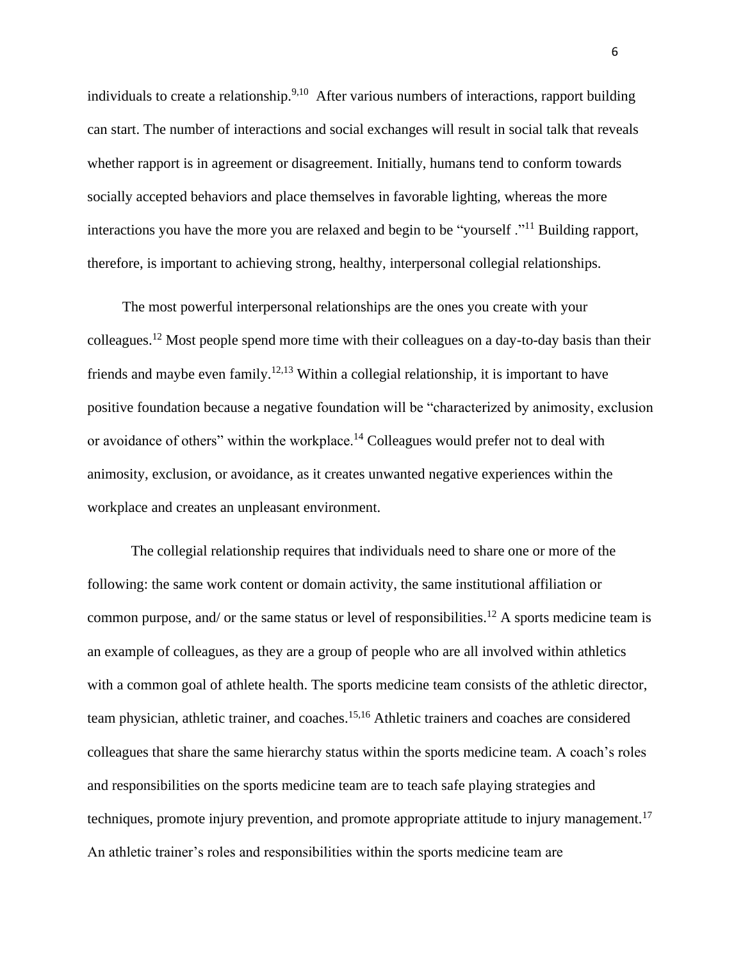individuals to create a relationship.<sup>9,10</sup> After various numbers of interactions, rapport building can start. The number of interactions and social exchanges will result in social talk that reveals whether rapport is in agreement or disagreement. Initially, humans tend to conform towards socially accepted behaviors and place themselves in favorable lighting, whereas the more interactions you have the more you are relaxed and begin to be "yourself ."<sup>11</sup> Building rapport, therefore, is important to achieving strong, healthy, interpersonal collegial relationships.

The most powerful interpersonal relationships are the ones you create with your colleagues.<sup>12</sup> Most people spend more time with their colleagues on a day-to-day basis than their friends and maybe even family.12,13 Within a collegial relationship, it is important to have positive foundation because a negative foundation will be "characterized by animosity, exclusion or avoidance of others" within the workplace.<sup>14</sup> Colleagues would prefer not to deal with animosity, exclusion, or avoidance, as it creates unwanted negative experiences within the workplace and creates an unpleasant environment.

The collegial relationship requires that individuals need to share one or more of the following: the same work content or domain activity, the same institutional affiliation or common purpose, and/ or the same status or level of responsibilities.<sup>12</sup> A sports medicine team is an example of colleagues, as they are a group of people who are all involved within athletics with a common goal of athlete health. The sports medicine team consists of the athletic director, team physician, athletic trainer, and coaches.15,16 Athletic trainers and coaches are considered colleagues that share the same hierarchy status within the sports medicine team. A coach's roles and responsibilities on the sports medicine team are to teach safe playing strategies and techniques, promote injury prevention, and promote appropriate attitude to injury management.<sup>17</sup> An athletic trainer's roles and responsibilities within the sports medicine team are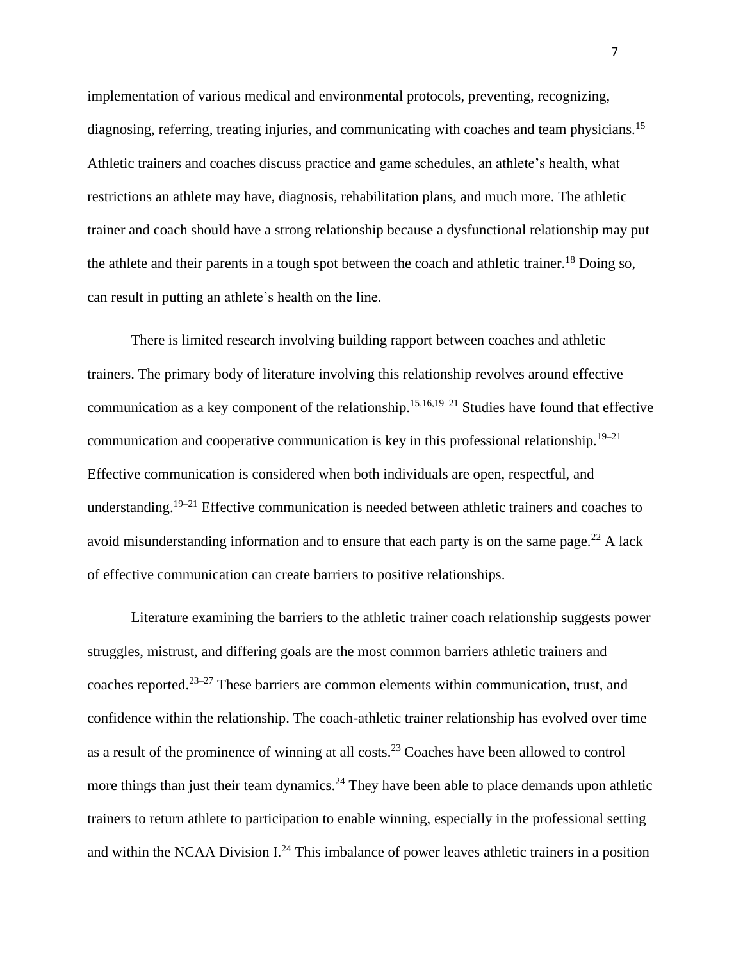implementation of various medical and environmental protocols, preventing, recognizing, diagnosing, referring, treating injuries, and communicating with coaches and team physicians.<sup>15</sup> Athletic trainers and coaches discuss practice and game schedules, an athlete's health, what restrictions an athlete may have, diagnosis, rehabilitation plans, and much more. The athletic trainer and coach should have a strong relationship because a dysfunctional relationship may put the athlete and their parents in a tough spot between the coach and athletic trainer.<sup>18</sup> Doing so, can result in putting an athlete's health on the line.

There is limited research involving building rapport between coaches and athletic trainers. The primary body of literature involving this relationship revolves around effective communication as a key component of the relationship.<sup>15,16,19–21</sup> Studies have found that effective communication and cooperative communication is key in this professional relationship.<sup>19–21</sup> Effective communication is considered when both individuals are open, respectful, and understanding.<sup>19–21</sup> Effective communication is needed between athletic trainers and coaches to avoid misunderstanding information and to ensure that each party is on the same page.<sup>22</sup> A lack of effective communication can create barriers to positive relationships.

Literature examining the barriers to the athletic trainer coach relationship suggests power struggles, mistrust, and differing goals are the most common barriers athletic trainers and coaches reported.23–27 These barriers are common elements within communication, trust, and confidence within the relationship. The coach-athletic trainer relationship has evolved over time as a result of the prominence of winning at all costs.<sup>23</sup> Coaches have been allowed to control more things than just their team dynamics.<sup>24</sup> They have been able to place demands upon athletic trainers to return athlete to participation to enable winning, especially in the professional setting and within the NCAA Division  $L^{24}$  This imbalance of power leaves athletic trainers in a position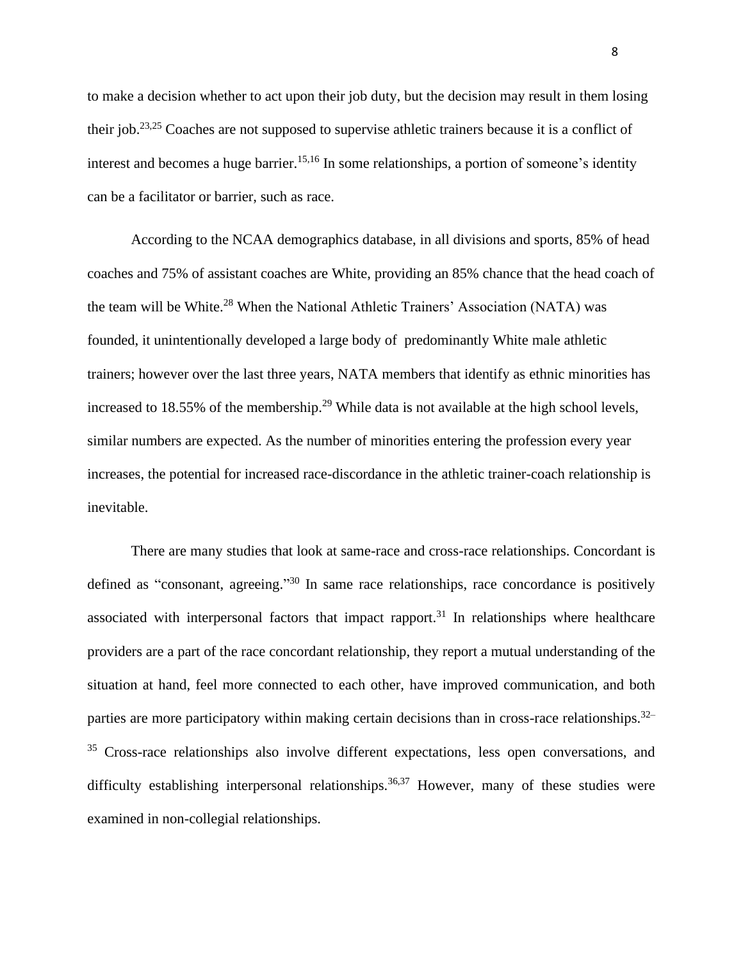to make a decision whether to act upon their job duty, but the decision may result in them losing their job.<sup>23,25</sup> Coaches are not supposed to supervise athletic trainers because it is a conflict of interest and becomes a huge barrier.<sup>15,16</sup> In some relationships, a portion of someone's identity can be a facilitator or barrier, such as race.

According to the NCAA demographics database, in all divisions and sports, 85% of head coaches and 75% of assistant coaches are White, providing an 85% chance that the head coach of the team will be White.<sup>28</sup> When the National Athletic Trainers' Association (NATA) was founded, it unintentionally developed a large body of predominantly White male athletic trainers; however over the last three years, NATA members that identify as ethnic minorities has increased to 18.55% of the membership.<sup>29</sup> While data is not available at the high school levels, similar numbers are expected. As the number of minorities entering the profession every year increases, the potential for increased race-discordance in the athletic trainer-coach relationship is inevitable.

There are many studies that look at same-race and cross-race relationships. Concordant is defined as "consonant, agreeing."<sup>30</sup> In same race relationships, race concordance is positively associated with interpersonal factors that impact rapport.<sup>31</sup> In relationships where healthcare providers are a part of the race concordant relationship, they report a mutual understanding of the situation at hand, feel more connected to each other, have improved communication, and both parties are more participatory within making certain decisions than in cross-race relationships.<sup>32–</sup> <sup>35</sup> Cross-race relationships also involve different expectations, less open conversations, and difficulty establishing interpersonal relationships.<sup>36,37</sup> However, many of these studies were examined in non-collegial relationships.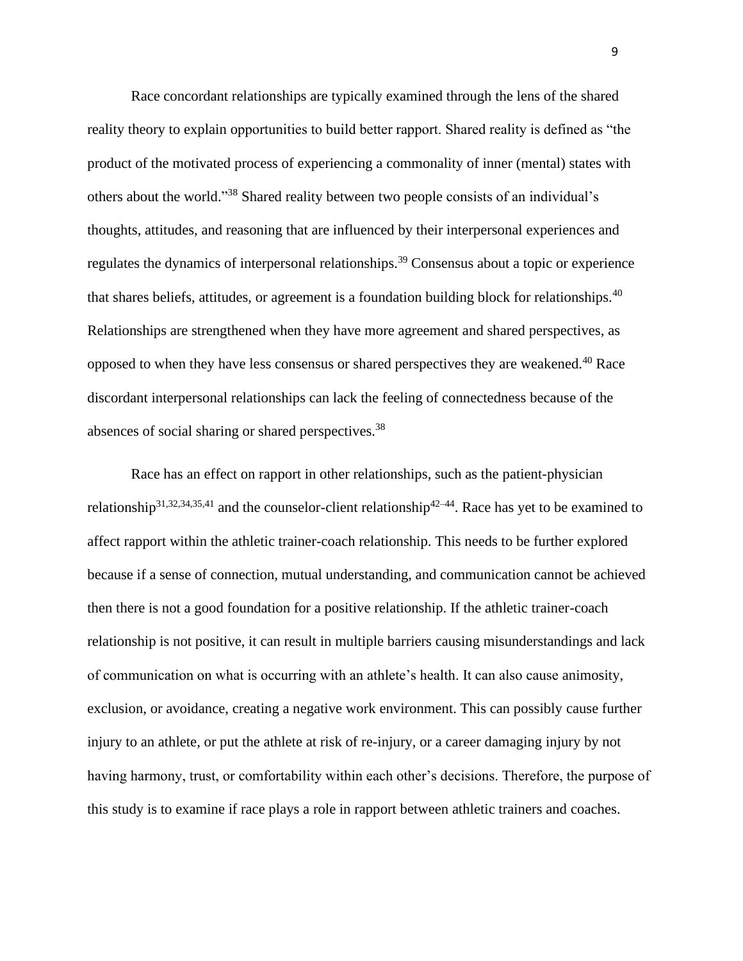Race concordant relationships are typically examined through the lens of the shared reality theory to explain opportunities to build better rapport. Shared reality is defined as "the product of the motivated process of experiencing a commonality of inner (mental) states with others about the world." <sup>38</sup> Shared reality between two people consists of an individual's thoughts, attitudes, and reasoning that are influenced by their interpersonal experiences and regulates the dynamics of interpersonal relationships.<sup>39</sup> Consensus about a topic or experience that shares beliefs, attitudes, or agreement is a foundation building block for relationships.  $40$ Relationships are strengthened when they have more agreement and shared perspectives, as opposed to when they have less consensus or shared perspectives they are weakened.<sup>40</sup> Race discordant interpersonal relationships can lack the feeling of connectedness because of the absences of social sharing or shared perspectives.<sup>38</sup>

Race has an effect on rapport in other relationships, such as the patient-physician relationship<sup>31,32,34,35,41</sup> and the counselor-client relationship<sup>42–44</sup>. Race has yet to be examined to affect rapport within the athletic trainer-coach relationship. This needs to be further explored because if a sense of connection, mutual understanding, and communication cannot be achieved then there is not a good foundation for a positive relationship. If the athletic trainer-coach relationship is not positive, it can result in multiple barriers causing misunderstandings and lack of communication on what is occurring with an athlete's health. It can also cause animosity, exclusion, or avoidance, creating a negative work environment. This can possibly cause further injury to an athlete, or put the athlete at risk of re-injury, or a career damaging injury by not having harmony, trust, or comfortability within each other's decisions. Therefore, the purpose of this study is to examine if race plays a role in rapport between athletic trainers and coaches.

9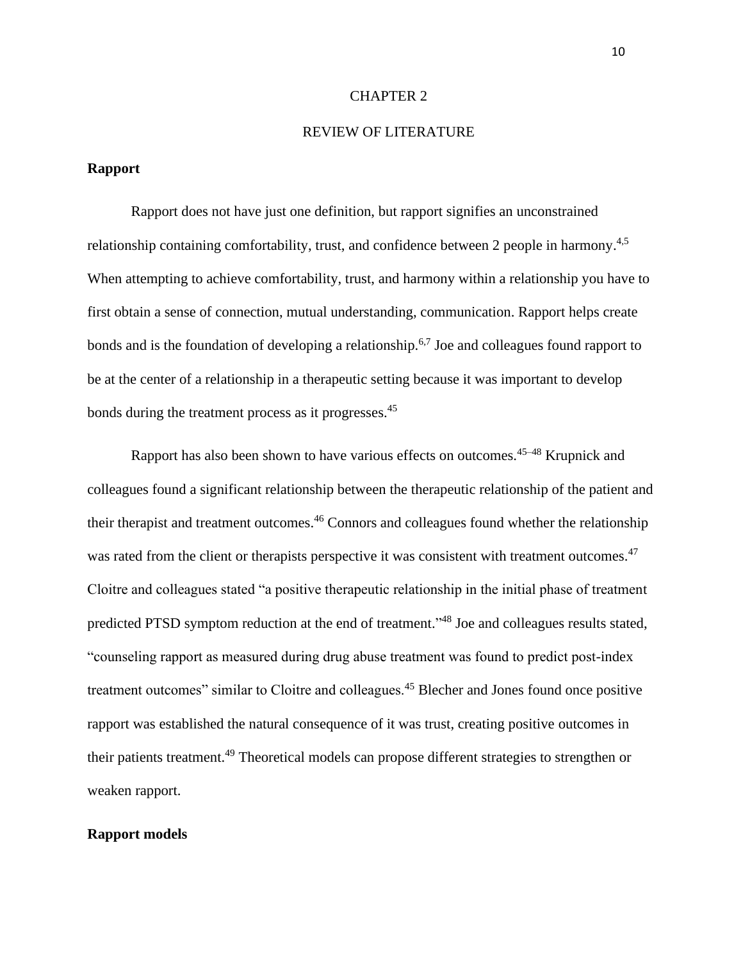#### CHAPTER 2

#### REVIEW OF LITERATURE

### **Rapport**

Rapport does not have just one definition, but rapport signifies an unconstrained relationship containing comfortability, trust, and confidence between 2 people in harmony.<sup>4,5</sup> When attempting to achieve comfortability, trust, and harmony within a relationship you have to first obtain a sense of connection, mutual understanding, communication. Rapport helps create bonds and is the foundation of developing a relationship.<sup>6,7</sup> Joe and colleagues found rapport to be at the center of a relationship in a therapeutic setting because it was important to develop bonds during the treatment process as it progresses.<sup>45</sup>

Rapport has also been shown to have various effects on outcomes.<sup>45–48</sup> Krupnick and colleagues found a significant relationship between the therapeutic relationship of the patient and their therapist and treatment outcomes.<sup>46</sup> Connors and colleagues found whether the relationship was rated from the client or therapists perspective it was consistent with treatment outcomes.<sup>47</sup> Cloitre and colleagues stated "a positive therapeutic relationship in the initial phase of treatment predicted PTSD symptom reduction at the end of treatment."<sup>48</sup> Joe and colleagues results stated, "counseling rapport as measured during drug abuse treatment was found to predict post-index treatment outcomes" similar to Cloitre and colleagues.<sup>45</sup> Blecher and Jones found once positive rapport was established the natural consequence of it was trust, creating positive outcomes in their patients treatment.<sup>49</sup> Theoretical models can propose different strategies to strengthen or weaken rapport.

#### **Rapport models**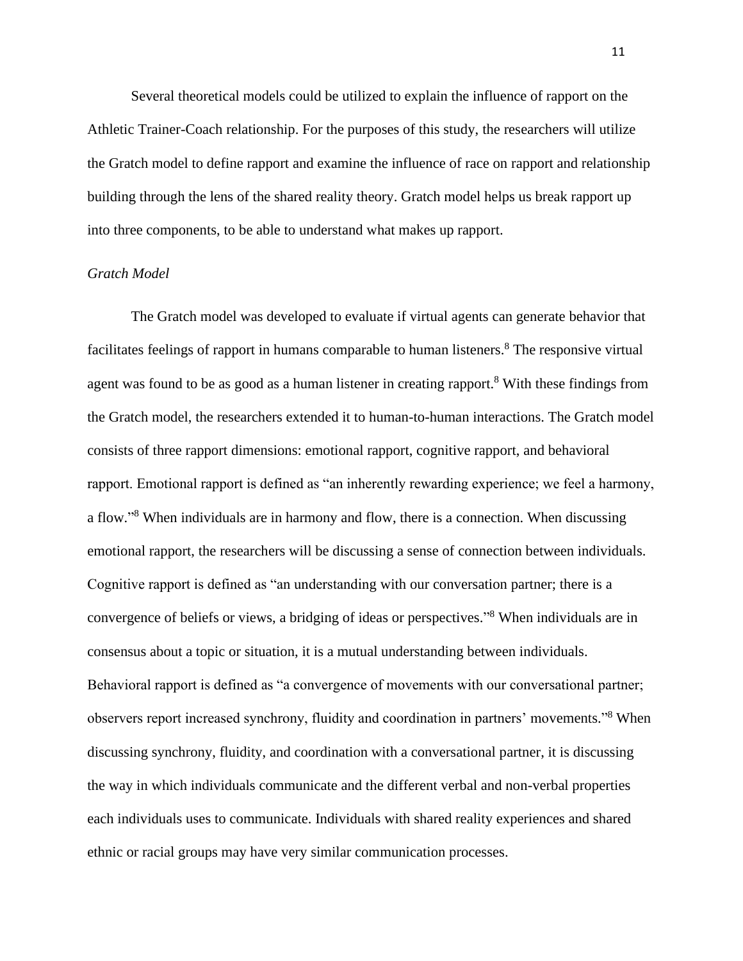Several theoretical models could be utilized to explain the influence of rapport on the Athletic Trainer-Coach relationship. For the purposes of this study, the researchers will utilize the Gratch model to define rapport and examine the influence of race on rapport and relationship building through the lens of the shared reality theory. Gratch model helps us break rapport up into three components, to be able to understand what makes up rapport.

# *Gratch Model*

The Gratch model was developed to evaluate if virtual agents can generate behavior that facilitates feelings of rapport in humans comparable to human listeners.<sup>8</sup> The responsive virtual agent was found to be as good as a human listener in creating rapport.<sup>8</sup> With these findings from the Gratch model, the researchers extended it to human-to-human interactions. The Gratch model consists of three rapport dimensions: emotional rapport, cognitive rapport, and behavioral rapport. Emotional rapport is defined as "an inherently rewarding experience; we feel a harmony, a flow."<sup>8</sup> When individuals are in harmony and flow, there is a connection. When discussing emotional rapport, the researchers will be discussing a sense of connection between individuals. Cognitive rapport is defined as "an understanding with our conversation partner; there is a convergence of beliefs or views, a bridging of ideas or perspectives." <sup>8</sup> When individuals are in consensus about a topic or situation, it is a mutual understanding between individuals. Behavioral rapport is defined as "a convergence of movements with our conversational partner; observers report increased synchrony, fluidity and coordination in partners' movements."<sup>8</sup> When discussing synchrony, fluidity, and coordination with a conversational partner, it is discussing the way in which individuals communicate and the different verbal and non-verbal properties each individuals uses to communicate. Individuals with shared reality experiences and shared ethnic or racial groups may have very similar communication processes.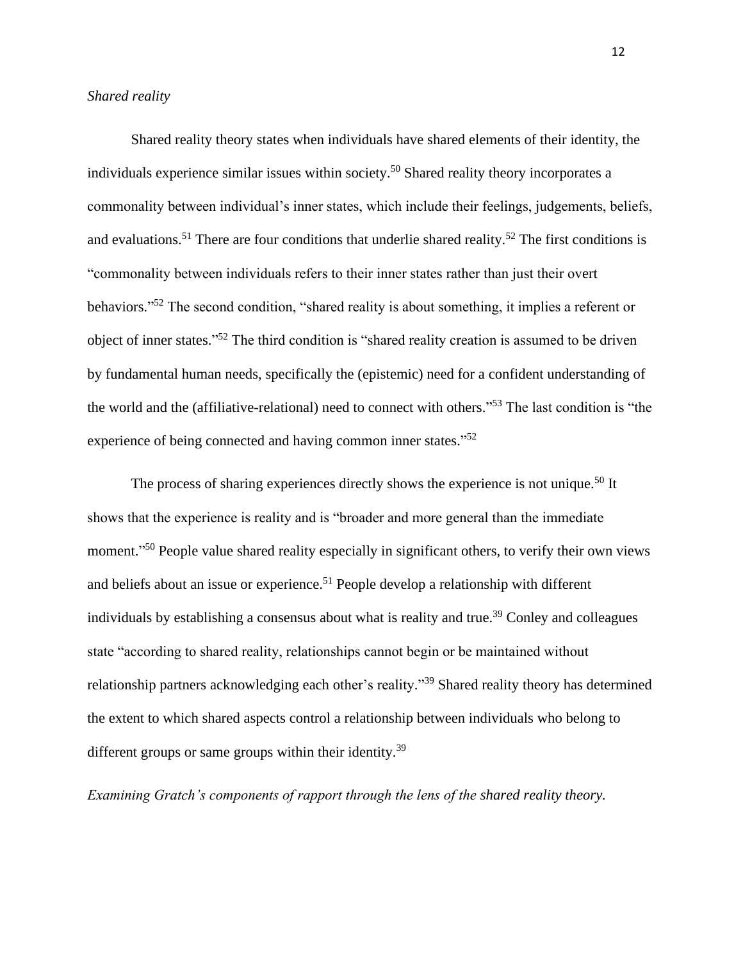Shared reality theory states when individuals have shared elements of their identity, the individuals experience similar issues within society.<sup>50</sup> Shared reality theory incorporates a commonality between individual's inner states, which include their feelings, judgements, beliefs, and evaluations.<sup>51</sup> There are four conditions that underlie shared reality.<sup>52</sup> The first conditions is "commonality between individuals refers to their inner states rather than just their overt behaviors."<sup>52</sup> The second condition, "shared reality is about something, it implies a referent or object of inner states."<sup>52</sup> The third condition is "shared reality creation is assumed to be driven by fundamental human needs, specifically the (epistemic) need for a confident understanding of the world and the (affiliative-relational) need to connect with others." <sup>53</sup> The last condition is "the experience of being connected and having common inner states."<sup>52</sup>

The process of sharing experiences directly shows the experience is not unique.<sup>50</sup> It shows that the experience is reality and is "broader and more general than the immediate moment."<sup>50</sup> People value shared reality especially in significant others, to verify their own views and beliefs about an issue or experience.<sup>51</sup> People develop a relationship with different individuals by establishing a consensus about what is reality and true.<sup>39</sup> Conley and colleagues state "according to shared reality, relationships cannot begin or be maintained without relationship partners acknowledging each other's reality."<sup>39</sup> Shared reality theory has determined the extent to which shared aspects control a relationship between individuals who belong to different groups or same groups within their identity.<sup>39</sup>

*Examining Gratch's components of rapport through the lens of the shared reality theory.*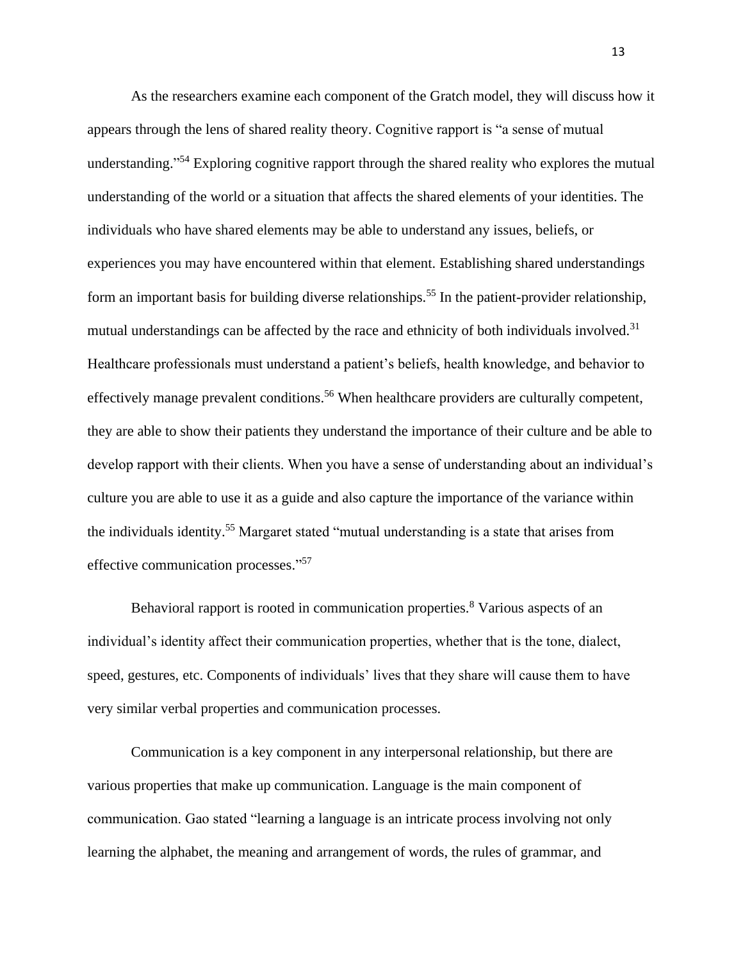As the researchers examine each component of the Gratch model, they will discuss how it appears through the lens of shared reality theory. Cognitive rapport is "a sense of mutual understanding."<sup>54</sup> Exploring cognitive rapport through the shared reality who explores the mutual understanding of the world or a situation that affects the shared elements of your identities. The individuals who have shared elements may be able to understand any issues, beliefs, or experiences you may have encountered within that element. Establishing shared understandings form an important basis for building diverse relationships.<sup>55</sup> In the patient-provider relationship, mutual understandings can be affected by the race and ethnicity of both individuals involved.<sup>31</sup> Healthcare professionals must understand a patient's beliefs, health knowledge, and behavior to effectively manage prevalent conditions.<sup>56</sup> When healthcare providers are culturally competent, they are able to show their patients they understand the importance of their culture and be able to develop rapport with their clients. When you have a sense of understanding about an individual's culture you are able to use it as a guide and also capture the importance of the variance within the individuals identity.<sup>55</sup> Margaret stated "mutual understanding is a state that arises from effective communication processes."<sup>57</sup>

Behavioral rapport is rooted in communication properties.<sup>8</sup> Various aspects of an individual's identity affect their communication properties, whether that is the tone, dialect, speed, gestures, etc. Components of individuals' lives that they share will cause them to have very similar verbal properties and communication processes.

Communication is a key component in any interpersonal relationship, but there are various properties that make up communication. Language is the main component of communication. Gao stated "learning a language is an intricate process involving not only learning the alphabet, the meaning and arrangement of words, the rules of grammar, and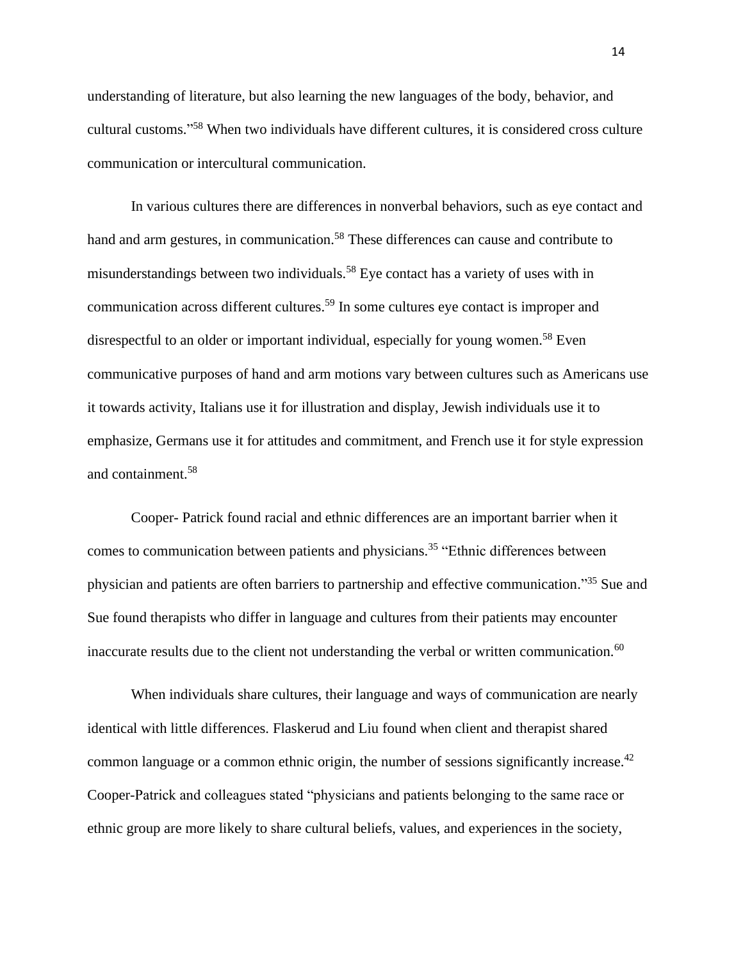understanding of literature, but also learning the new languages of the body, behavior, and cultural customs." <sup>58</sup> When two individuals have different cultures, it is considered cross culture communication or intercultural communication.

In various cultures there are differences in nonverbal behaviors, such as eye contact and hand and arm gestures, in communication.<sup>58</sup> These differences can cause and contribute to misunderstandings between two individuals.<sup>58</sup> Eye contact has a variety of uses with in communication across different cultures.<sup>59</sup> In some cultures eye contact is improper and disrespectful to an older or important individual, especially for young women.<sup>58</sup> Even communicative purposes of hand and arm motions vary between cultures such as Americans use it towards activity, Italians use it for illustration and display, Jewish individuals use it to emphasize, Germans use it for attitudes and commitment, and French use it for style expression and containment.<sup>58</sup>

Cooper- Patrick found racial and ethnic differences are an important barrier when it comes to communication between patients and physicians.<sup>35</sup> "Ethnic differences between physician and patients are often barriers to partnership and effective communication." <sup>35</sup> Sue and Sue found therapists who differ in language and cultures from their patients may encounter inaccurate results due to the client not understanding the verbal or written communication.<sup>60</sup>

When individuals share cultures, their language and ways of communication are nearly identical with little differences. Flaskerud and Liu found when client and therapist shared common language or a common ethnic origin, the number of sessions significantly increase.<sup>42</sup> Cooper-Patrick and colleagues stated "physicians and patients belonging to the same race or ethnic group are more likely to share cultural beliefs, values, and experiences in the society,

14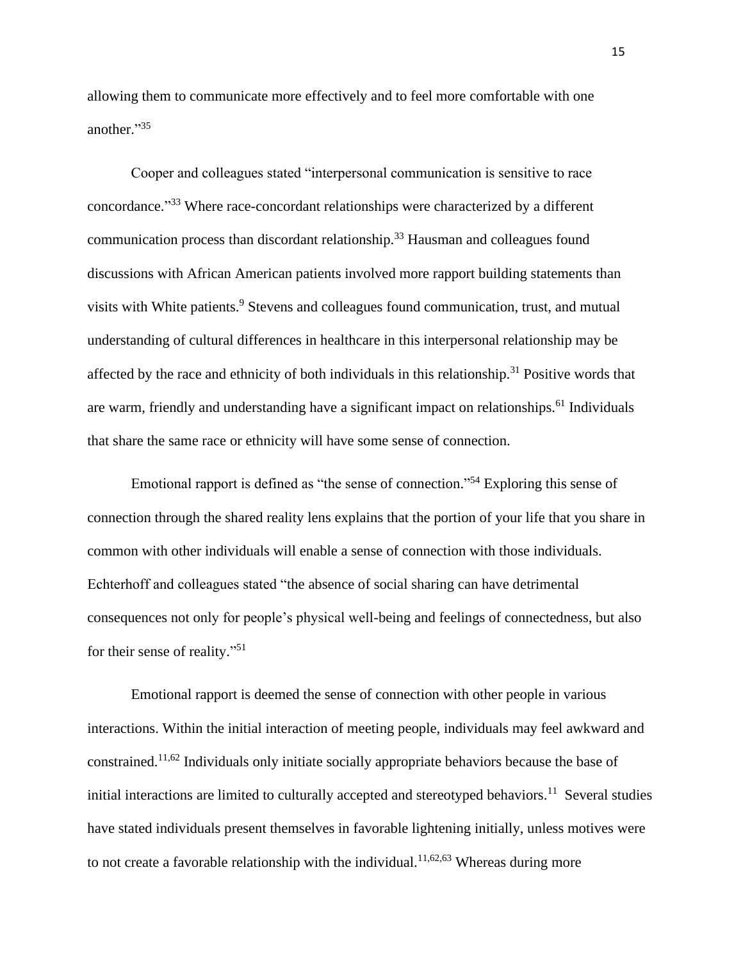allowing them to communicate more effectively and to feel more comfortable with one another." 35

Cooper and colleagues stated "interpersonal communication is sensitive to race concordance." <sup>33</sup> Where race-concordant relationships were characterized by a different communication process than discordant relationship.<sup>33</sup> Hausman and colleagues found discussions with African American patients involved more rapport building statements than visits with White patients.<sup>9</sup> Stevens and colleagues found communication, trust, and mutual understanding of cultural differences in healthcare in this interpersonal relationship may be affected by the race and ethnicity of both individuals in this relationship.<sup>31</sup> Positive words that are warm, friendly and understanding have a significant impact on relationships.<sup>61</sup> Individuals that share the same race or ethnicity will have some sense of connection.

Emotional rapport is defined as "the sense of connection."<sup>54</sup> Exploring this sense of connection through the shared reality lens explains that the portion of your life that you share in common with other individuals will enable a sense of connection with those individuals. Echterhoff and colleagues stated "the absence of social sharing can have detrimental consequences not only for people's physical well-being and feelings of connectedness, but also for their sense of reality."<sup>51</sup>

Emotional rapport is deemed the sense of connection with other people in various interactions. Within the initial interaction of meeting people, individuals may feel awkward and constrained.11,62 Individuals only initiate socially appropriate behaviors because the base of initial interactions are limited to culturally accepted and stereotyped behaviors.<sup>11</sup> Several studies have stated individuals present themselves in favorable lightening initially, unless motives were to not create a favorable relationship with the individual.<sup>11,62,63</sup> Whereas during more

15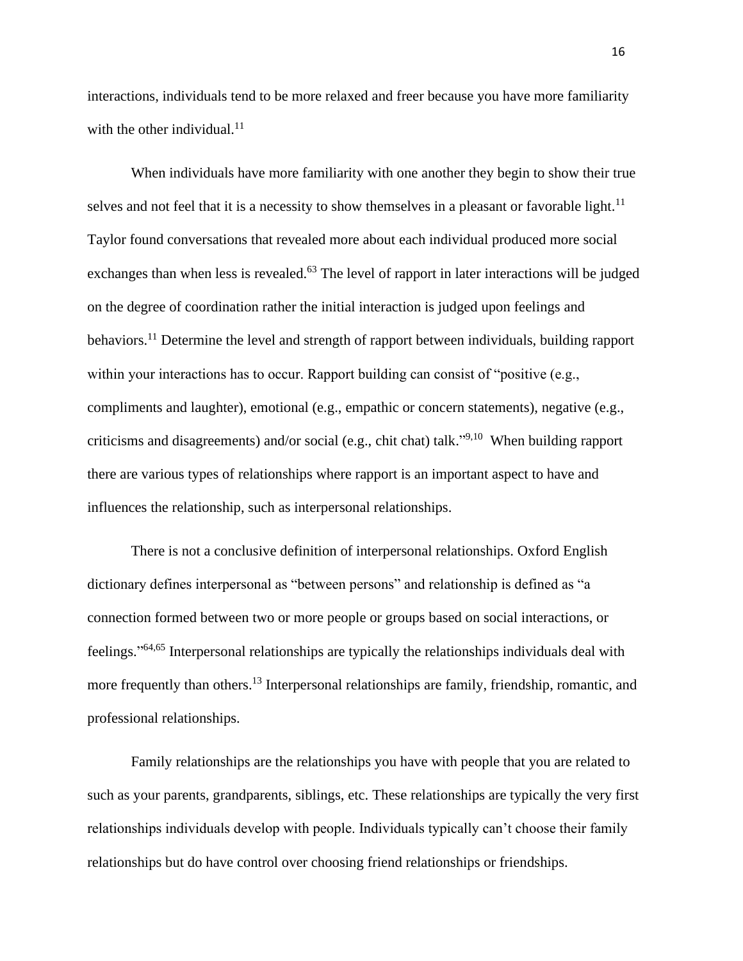interactions, individuals tend to be more relaxed and freer because you have more familiarity with the other individual. $11$ 

When individuals have more familiarity with one another they begin to show their true selves and not feel that it is a necessity to show themselves in a pleasant or favorable light.<sup>11</sup> Taylor found conversations that revealed more about each individual produced more social exchanges than when less is revealed.<sup>63</sup> The level of rapport in later interactions will be judged on the degree of coordination rather the initial interaction is judged upon feelings and behaviors.<sup>11</sup> Determine the level and strength of rapport between individuals, building rapport within your interactions has to occur. Rapport building can consist of "positive (e.g., compliments and laughter), emotional (e.g., empathic or concern statements), negative (e.g., criticisms and disagreements) and/or social (e.g., chit chat) talk."<sup>9,10</sup> When building rapport there are various types of relationships where rapport is an important aspect to have and influences the relationship, such as interpersonal relationships.

There is not a conclusive definition of interpersonal relationships. Oxford English dictionary defines interpersonal as "between persons" and relationship is defined as "a connection formed between two or more people or groups based on social interactions, or feelings."<sup>64,65</sup> Interpersonal relationships are typically the relationships individuals deal with more frequently than others.<sup>13</sup> Interpersonal relationships are family, friendship, romantic, and professional relationships.

Family relationships are the relationships you have with people that you are related to such as your parents, grandparents, siblings, etc. These relationships are typically the very first relationships individuals develop with people. Individuals typically can't choose their family relationships but do have control over choosing friend relationships or friendships.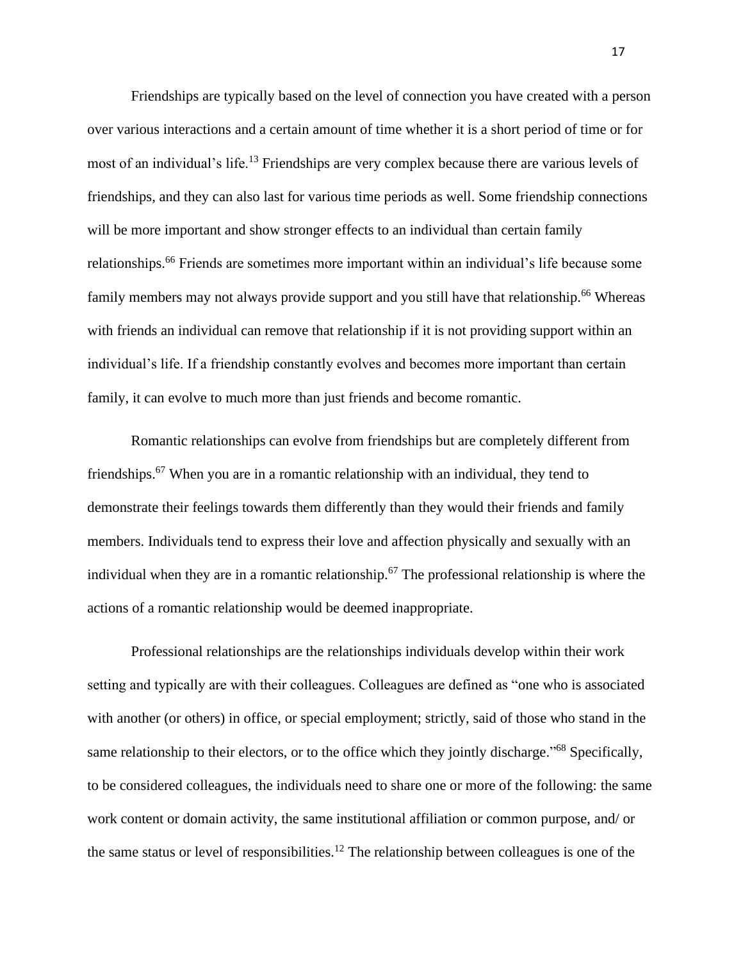Friendships are typically based on the level of connection you have created with a person over various interactions and a certain amount of time whether it is a short period of time or for most of an individual's life.<sup>13</sup> Friendships are very complex because there are various levels of friendships, and they can also last for various time periods as well. Some friendship connections will be more important and show stronger effects to an individual than certain family relationships.<sup>66</sup> Friends are sometimes more important within an individual's life because some family members may not always provide support and you still have that relationship.<sup>66</sup> Whereas with friends an individual can remove that relationship if it is not providing support within an individual's life. If a friendship constantly evolves and becomes more important than certain family, it can evolve to much more than just friends and become romantic.

Romantic relationships can evolve from friendships but are completely different from friendships.<sup>67</sup> When you are in a romantic relationship with an individual, they tend to demonstrate their feelings towards them differently than they would their friends and family members. Individuals tend to express their love and affection physically and sexually with an individual when they are in a romantic relationship.<sup>67</sup> The professional relationship is where the actions of a romantic relationship would be deemed inappropriate.

Professional relationships are the relationships individuals develop within their work setting and typically are with their colleagues. Colleagues are defined as "one who is associated with another (or others) in office, or special employment; strictly, said of those who stand in the same relationship to their electors, or to the office which they jointly discharge."<sup>68</sup> Specifically, to be considered colleagues, the individuals need to share one or more of the following: the same work content or domain activity, the same institutional affiliation or common purpose, and/ or the same status or level of responsibilities.<sup>12</sup> The relationship between colleagues is one of the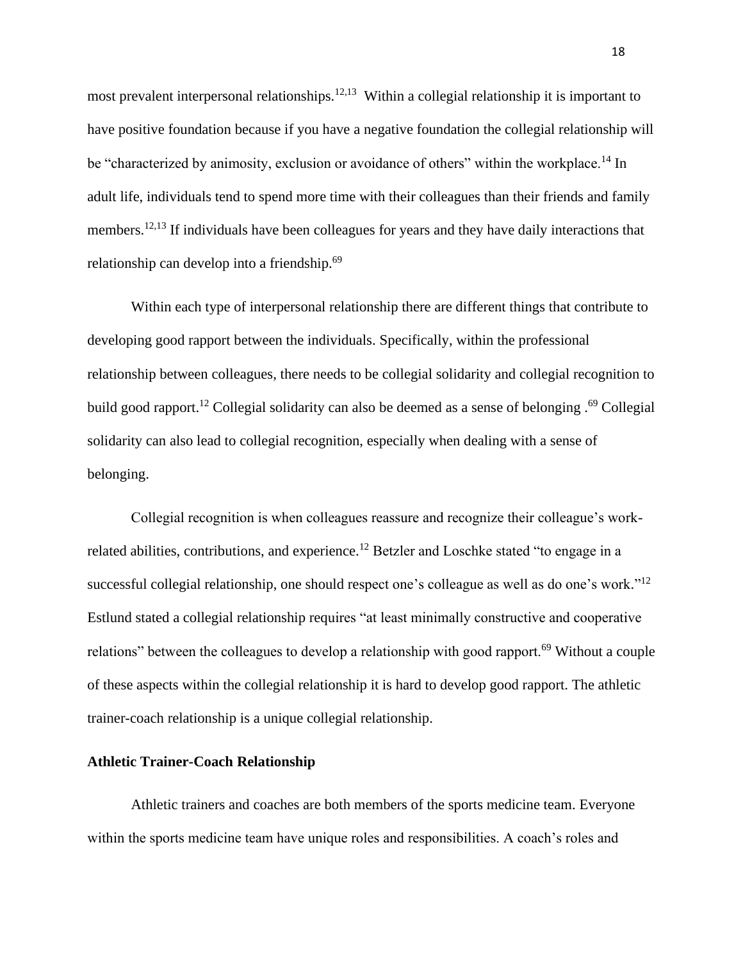most prevalent interpersonal relationships.<sup>12,13</sup> Within a collegial relationship it is important to have positive foundation because if you have a negative foundation the collegial relationship will be "characterized by animosity, exclusion or avoidance of others" within the workplace.<sup>14</sup> In adult life, individuals tend to spend more time with their colleagues than their friends and family members.<sup>12,13</sup> If individuals have been colleagues for years and they have daily interactions that relationship can develop into a friendship.<sup>69</sup>

Within each type of interpersonal relationship there are different things that contribute to developing good rapport between the individuals. Specifically, within the professional relationship between colleagues, there needs to be collegial solidarity and collegial recognition to build good rapport.<sup>12</sup> Collegial solidarity can also be deemed as a sense of belonging .<sup>69</sup> Collegial solidarity can also lead to collegial recognition, especially when dealing with a sense of belonging.

Collegial recognition is when colleagues reassure and recognize their colleague's workrelated abilities, contributions, and experience.<sup>12</sup> Betzler and Loschke stated "to engage in a successful collegial relationship, one should respect one's colleague as well as do one's work."<sup>12</sup> Estlund stated a collegial relationship requires "at least minimally constructive and cooperative relations" between the colleagues to develop a relationship with good rapport.<sup>69</sup> Without a couple of these aspects within the collegial relationship it is hard to develop good rapport. The athletic trainer-coach relationship is a unique collegial relationship.

# **Athletic Trainer-Coach Relationship**

Athletic trainers and coaches are both members of the sports medicine team. Everyone within the sports medicine team have unique roles and responsibilities. A coach's roles and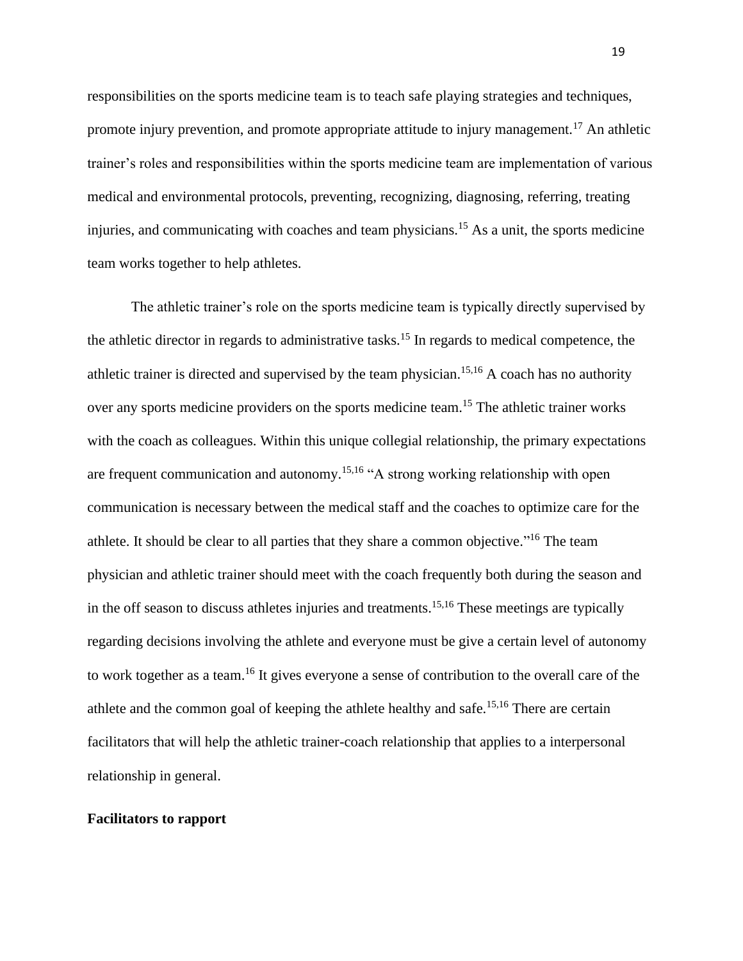responsibilities on the sports medicine team is to teach safe playing strategies and techniques, promote injury prevention, and promote appropriate attitude to injury management.<sup>17</sup> An athletic trainer's roles and responsibilities within the sports medicine team are implementation of various medical and environmental protocols, preventing, recognizing, diagnosing, referring, treating injuries, and communicating with coaches and team physicians.<sup>15</sup> As a unit, the sports medicine team works together to help athletes.

The athletic trainer's role on the sports medicine team is typically directly supervised by the athletic director in regards to administrative tasks.<sup>15</sup> In regards to medical competence, the athletic trainer is directed and supervised by the team physician.<sup>15,16</sup> A coach has no authority over any sports medicine providers on the sports medicine team.<sup>15</sup> The athletic trainer works with the coach as colleagues. Within this unique collegial relationship, the primary expectations are frequent communication and autonomy.15,16 "A strong working relationship with open communication is necessary between the medical staff and the coaches to optimize care for the athlete. It should be clear to all parties that they share a common objective."<sup>16</sup> The team physician and athletic trainer should meet with the coach frequently both during the season and in the off season to discuss athletes injuries and treatments.<sup>15,16</sup> These meetings are typically regarding decisions involving the athlete and everyone must be give a certain level of autonomy to work together as a team.<sup>16</sup> It gives everyone a sense of contribution to the overall care of the athlete and the common goal of keeping the athlete healthy and safe.15,16 There are certain facilitators that will help the athletic trainer-coach relationship that applies to a interpersonal relationship in general.

# **Facilitators to rapport**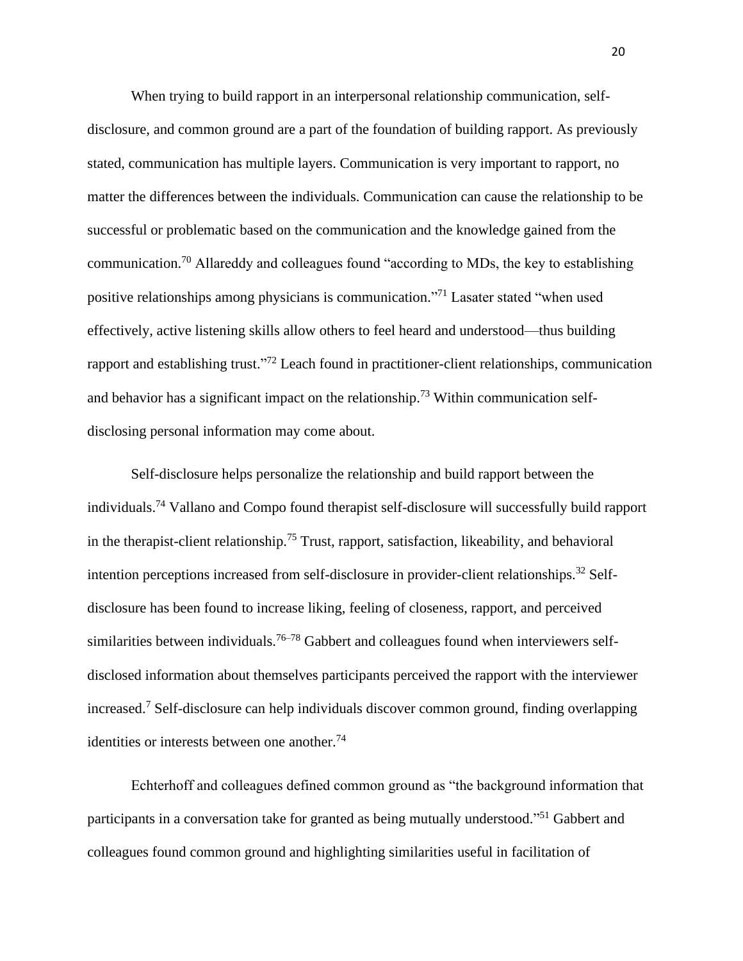When trying to build rapport in an interpersonal relationship communication, selfdisclosure, and common ground are a part of the foundation of building rapport. As previously stated, communication has multiple layers. Communication is very important to rapport, no matter the differences between the individuals. Communication can cause the relationship to be successful or problematic based on the communication and the knowledge gained from the communication.<sup>70</sup> Allareddy and colleagues found "according to MDs, the key to establishing positive relationships among physicians is communication."<sup>71</sup> Lasater stated "when used effectively, active listening skills allow others to feel heard and understood—thus building rapport and establishing trust."<sup>72</sup> Leach found in practitioner-client relationships, communication and behavior has a significant impact on the relationship.<sup>73</sup> Within communication selfdisclosing personal information may come about.

Self-disclosure helps personalize the relationship and build rapport between the individuals.<sup>74</sup> Vallano and Compo found therapist self-disclosure will successfully build rapport in the therapist-client relationship.<sup>75</sup> Trust, rapport, satisfaction, likeability, and behavioral intention perceptions increased from self-disclosure in provider-client relationships.<sup>32</sup> Selfdisclosure has been found to increase liking, feeling of closeness, rapport, and perceived similarities between individuals.<sup>76–78</sup> Gabbert and colleagues found when interviewers selfdisclosed information about themselves participants perceived the rapport with the interviewer increased.<sup>7</sup> Self-disclosure can help individuals discover common ground, finding overlapping identities or interests between one another.<sup>74</sup>

Echterhoff and colleagues defined common ground as "the background information that participants in a conversation take for granted as being mutually understood."<sup>51</sup> Gabbert and colleagues found common ground and highlighting similarities useful in facilitation of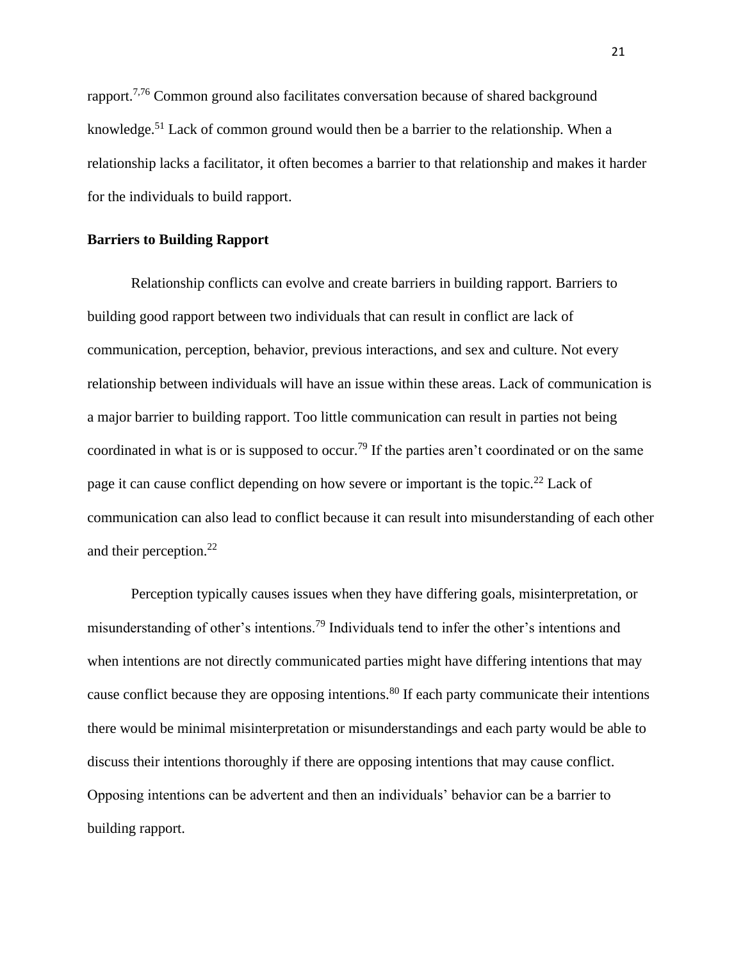rapport.7,76 Common ground also facilitates conversation because of shared background knowledge.<sup>51</sup> Lack of common ground would then be a barrier to the relationship. When a relationship lacks a facilitator, it often becomes a barrier to that relationship and makes it harder for the individuals to build rapport.

### **Barriers to Building Rapport**

Relationship conflicts can evolve and create barriers in building rapport. Barriers to building good rapport between two individuals that can result in conflict are lack of communication, perception, behavior, previous interactions, and sex and culture. Not every relationship between individuals will have an issue within these areas. Lack of communication is a major barrier to building rapport. Too little communication can result in parties not being coordinated in what is or is supposed to occur.<sup>79</sup> If the parties aren't coordinated or on the same page it can cause conflict depending on how severe or important is the topic.<sup>22</sup> Lack of communication can also lead to conflict because it can result into misunderstanding of each other and their perception.<sup>22</sup>

Perception typically causes issues when they have differing goals, misinterpretation, or misunderstanding of other's intentions.<sup>79</sup> Individuals tend to infer the other's intentions and when intentions are not directly communicated parties might have differing intentions that may cause conflict because they are opposing intentions.<sup>80</sup> If each party communicate their intentions there would be minimal misinterpretation or misunderstandings and each party would be able to discuss their intentions thoroughly if there are opposing intentions that may cause conflict. Opposing intentions can be advertent and then an individuals' behavior can be a barrier to building rapport.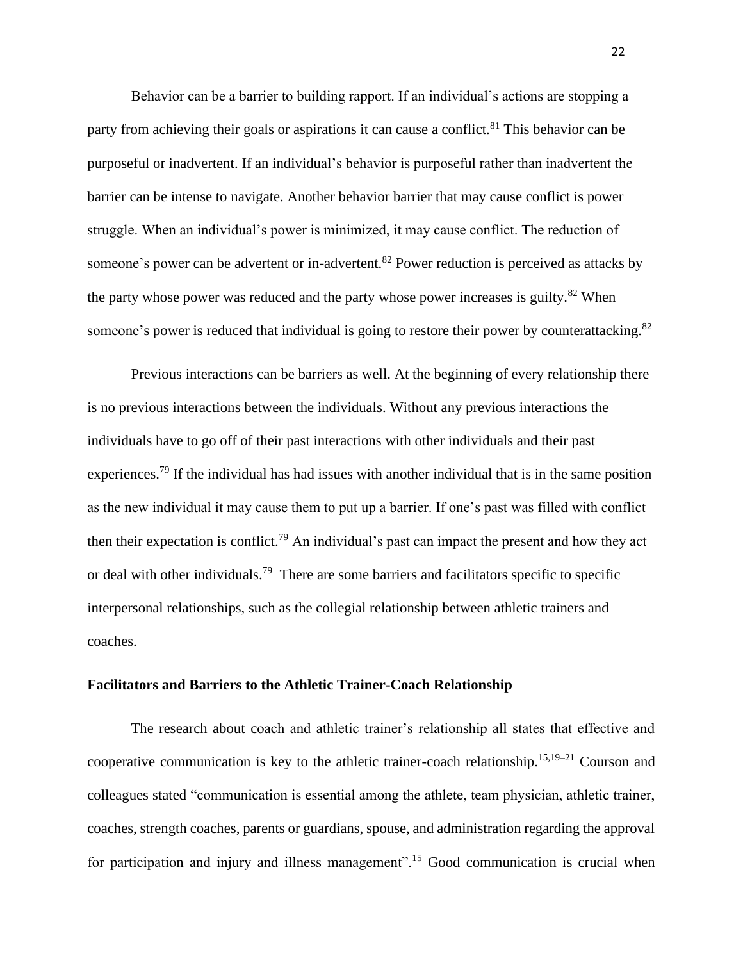Behavior can be a barrier to building rapport. If an individual's actions are stopping a party from achieving their goals or aspirations it can cause a conflict.<sup>81</sup> This behavior can be purposeful or inadvertent. If an individual's behavior is purposeful rather than inadvertent the barrier can be intense to navigate. Another behavior barrier that may cause conflict is power struggle. When an individual's power is minimized, it may cause conflict. The reduction of someone's power can be advertent or in-advertent.<sup>82</sup> Power reduction is perceived as attacks by the party whose power was reduced and the party whose power increases is guilty.<sup>82</sup> When someone's power is reduced that individual is going to restore their power by counterattacking.<sup>82</sup>

Previous interactions can be barriers as well. At the beginning of every relationship there is no previous interactions between the individuals. Without any previous interactions the individuals have to go off of their past interactions with other individuals and their past experiences.<sup>79</sup> If the individual has had issues with another individual that is in the same position as the new individual it may cause them to put up a barrier. If one's past was filled with conflict then their expectation is conflict.<sup>79</sup> An individual's past can impact the present and how they act or deal with other individuals.<sup>79</sup> There are some barriers and facilitators specific to specific interpersonal relationships, such as the collegial relationship between athletic trainers and coaches.

# **Facilitators and Barriers to the Athletic Trainer-Coach Relationship**

The research about coach and athletic trainer's relationship all states that effective and cooperative communication is key to the athletic trainer-coach relationship.<sup>15,19–21</sup> Courson and colleagues stated "communication is essential among the athlete, team physician, athletic trainer, coaches, strength coaches, parents or guardians, spouse, and administration regarding the approval for participation and injury and illness management".<sup>15</sup> Good communication is crucial when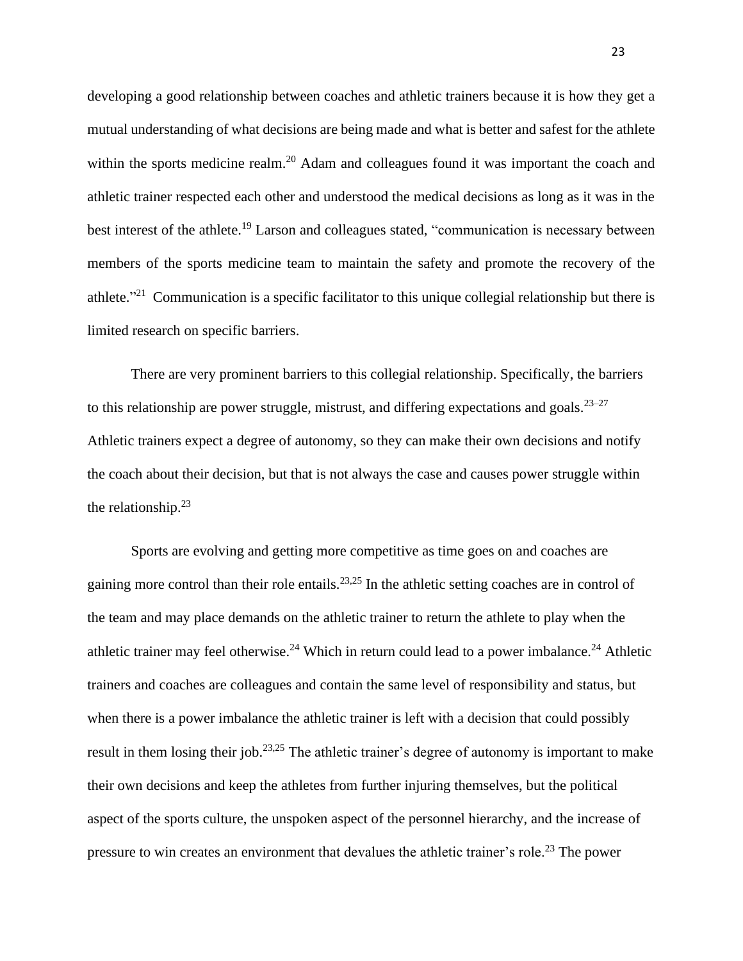developing a good relationship between coaches and athletic trainers because it is how they get a mutual understanding of what decisions are being made and what is better and safest for the athlete within the sports medicine realm.<sup>20</sup> Adam and colleagues found it was important the coach and athletic trainer respected each other and understood the medical decisions as long as it was in the best interest of the athlete.<sup>19</sup> Larson and colleagues stated, "communication is necessary between members of the sports medicine team to maintain the safety and promote the recovery of the athlete."<sup>21</sup> Communication is a specific facilitator to this unique collegial relationship but there is limited research on specific barriers.

There are very prominent barriers to this collegial relationship. Specifically, the barriers to this relationship are power struggle, mistrust, and differing expectations and goals. $23-27$ Athletic trainers expect a degree of autonomy, so they can make their own decisions and notify the coach about their decision, but that is not always the case and causes power struggle within the relationship. $23$ 

Sports are evolving and getting more competitive as time goes on and coaches are gaining more control than their role entails.23,25 In the athletic setting coaches are in control of the team and may place demands on the athletic trainer to return the athlete to play when the athletic trainer may feel otherwise.<sup>24</sup> Which in return could lead to a power imbalance.<sup>24</sup> Athletic trainers and coaches are colleagues and contain the same level of responsibility and status, but when there is a power imbalance the athletic trainer is left with a decision that could possibly result in them losing their job.<sup>23,25</sup> The athletic trainer's degree of autonomy is important to make their own decisions and keep the athletes from further injuring themselves, but the political aspect of the sports culture, the unspoken aspect of the personnel hierarchy, and the increase of pressure to win creates an environment that devalues the athletic trainer's role.<sup>23</sup> The power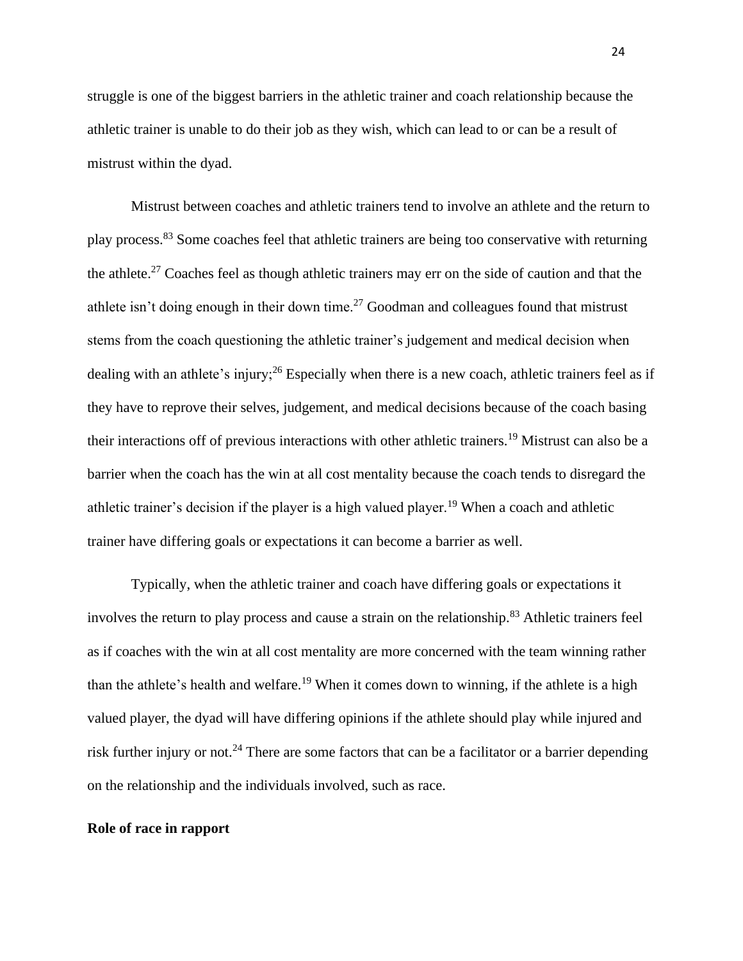struggle is one of the biggest barriers in the athletic trainer and coach relationship because the athletic trainer is unable to do their job as they wish, which can lead to or can be a result of mistrust within the dyad.

Mistrust between coaches and athletic trainers tend to involve an athlete and the return to play process.<sup>83</sup> Some coaches feel that athletic trainers are being too conservative with returning the athlete.<sup>27</sup> Coaches feel as though athletic trainers may err on the side of caution and that the athlete isn't doing enough in their down time.<sup>27</sup> Goodman and colleagues found that mistrust stems from the coach questioning the athletic trainer's judgement and medical decision when dealing with an athlete's injury;<sup>26</sup> Especially when there is a new coach, athletic trainers feel as if they have to reprove their selves, judgement, and medical decisions because of the coach basing their interactions off of previous interactions with other athletic trainers.<sup>19</sup> Mistrust can also be a barrier when the coach has the win at all cost mentality because the coach tends to disregard the athletic trainer's decision if the player is a high valued player.<sup>19</sup> When a coach and athletic trainer have differing goals or expectations it can become a barrier as well.

Typically, when the athletic trainer and coach have differing goals or expectations it involves the return to play process and cause a strain on the relationship.<sup>83</sup> Athletic trainers feel as if coaches with the win at all cost mentality are more concerned with the team winning rather than the athlete's health and welfare.<sup>19</sup> When it comes down to winning, if the athlete is a high valued player, the dyad will have differing opinions if the athlete should play while injured and risk further injury or not.<sup>24</sup> There are some factors that can be a facilitator or a barrier depending on the relationship and the individuals involved, such as race.

#### **Role of race in rapport**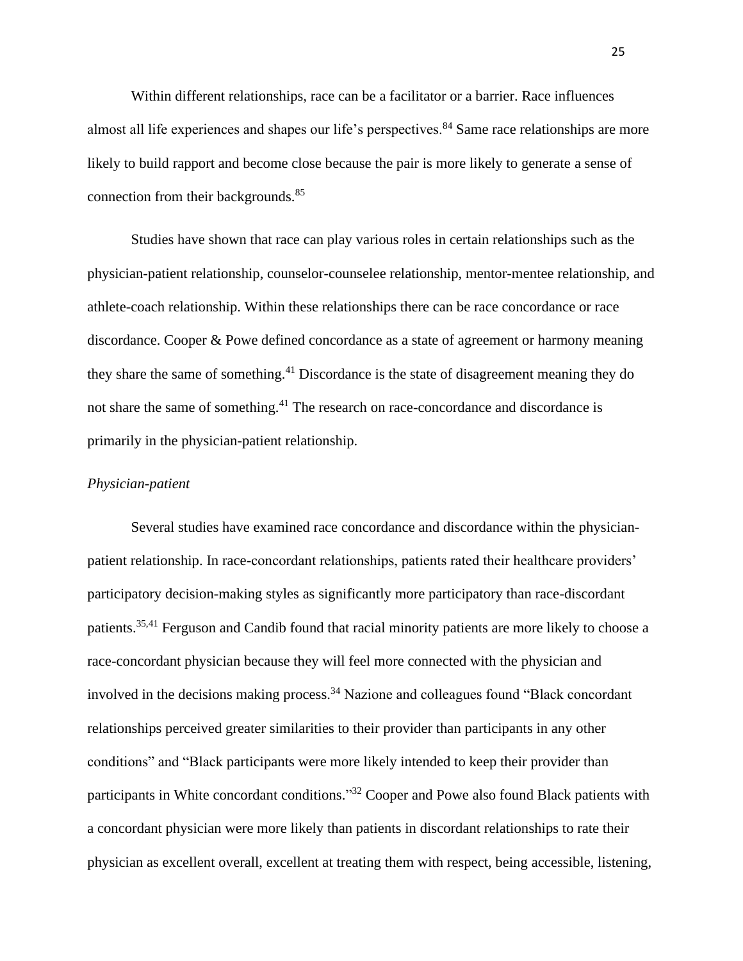Within different relationships, race can be a facilitator or a barrier. Race influences almost all life experiences and shapes our life's perspectives.<sup>84</sup> Same race relationships are more likely to build rapport and become close because the pair is more likely to generate a sense of connection from their backgrounds.<sup>85</sup>

Studies have shown that race can play various roles in certain relationships such as the physician-patient relationship, counselor-counselee relationship, mentor-mentee relationship, and athlete-coach relationship. Within these relationships there can be race concordance or race discordance. Cooper & Powe defined concordance as a state of agreement or harmony meaning they share the same of something.<sup>41</sup> Discordance is the state of disagreement meaning they do not share the same of something.<sup>41</sup> The research on race-concordance and discordance is primarily in the physician-patient relationship.

### *Physician-patient*

Several studies have examined race concordance and discordance within the physicianpatient relationship. In race-concordant relationships, patients rated their healthcare providers' participatory decision-making styles as significantly more participatory than race-discordant patients.35,41 Ferguson and Candib found that racial minority patients are more likely to choose a race-concordant physician because they will feel more connected with the physician and involved in the decisions making process.<sup>34</sup> Nazione and colleagues found "Black concordant" relationships perceived greater similarities to their provider than participants in any other conditions" and "Black participants were more likely intended to keep their provider than participants in White concordant conditions."<sup>32</sup> Cooper and Powe also found Black patients with a concordant physician were more likely than patients in discordant relationships to rate their physician as excellent overall, excellent at treating them with respect, being accessible, listening,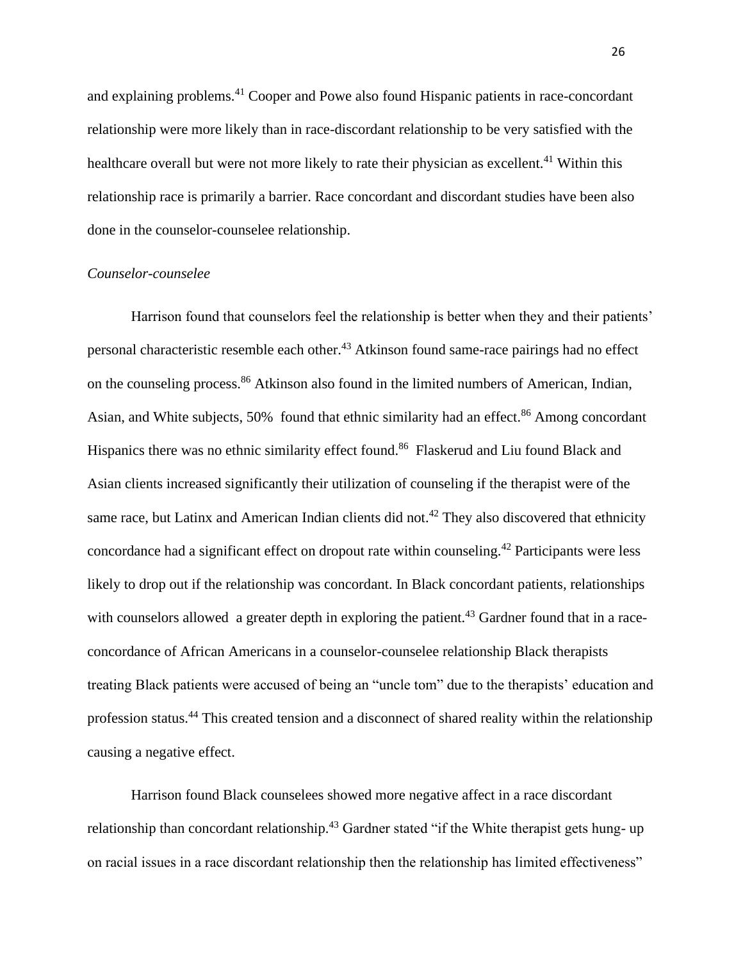and explaining problems.<sup>41</sup> Cooper and Powe also found Hispanic patients in race-concordant relationship were more likely than in race-discordant relationship to be very satisfied with the healthcare overall but were not more likely to rate their physician as excellent.<sup>41</sup> Within this relationship race is primarily a barrier. Race concordant and discordant studies have been also done in the counselor-counselee relationship.

### *Counselor-counselee*

Harrison found that counselors feel the relationship is better when they and their patients' personal characteristic resemble each other.<sup>43</sup> Atkinson found same-race pairings had no effect on the counseling process.<sup>86</sup> Atkinson also found in the limited numbers of American, Indian, Asian, and White subjects, 50% found that ethnic similarity had an effect.<sup>86</sup> Among concordant Hispanics there was no ethnic similarity effect found.<sup>86</sup> Flaskerud and Liu found Black and Asian clients increased significantly their utilization of counseling if the therapist were of the same race, but Latinx and American Indian clients did not.<sup>42</sup> They also discovered that ethnicity concordance had a significant effect on dropout rate within counseling.<sup>42</sup> Participants were less likely to drop out if the relationship was concordant. In Black concordant patients, relationships with counselors allowed a greater depth in exploring the patient.<sup>43</sup> Gardner found that in a raceconcordance of African Americans in a counselor-counselee relationship Black therapists treating Black patients were accused of being an "uncle tom" due to the therapists' education and profession status.<sup>44</sup> This created tension and a disconnect of shared reality within the relationship causing a negative effect.

Harrison found Black counselees showed more negative affect in a race discordant relationship than concordant relationship.<sup>43</sup> Gardner stated "if the White therapist gets hung- up on racial issues in a race discordant relationship then the relationship has limited effectiveness"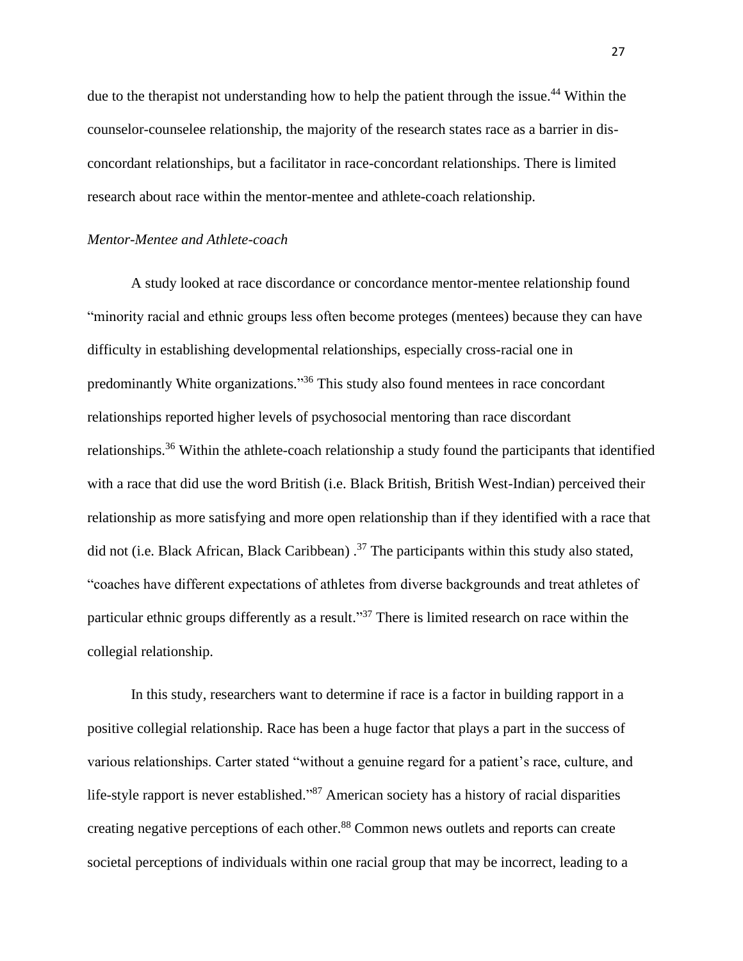due to the therapist not understanding how to help the patient through the issue.<sup>44</sup> Within the counselor-counselee relationship, the majority of the research states race as a barrier in disconcordant relationships, but a facilitator in race-concordant relationships. There is limited research about race within the mentor-mentee and athlete-coach relationship.

#### *Mentor-Mentee and Athlete-coach*

A study looked at race discordance or concordance mentor-mentee relationship found "minority racial and ethnic groups less often become proteges (mentees) because they can have difficulty in establishing developmental relationships, especially cross-racial one in predominantly White organizations."<sup>36</sup> This study also found mentees in race concordant relationships reported higher levels of psychosocial mentoring than race discordant relationships.<sup>36</sup> Within the athlete-coach relationship a study found the participants that identified with a race that did use the word British (i.e. Black British, British West-Indian) perceived their relationship as more satisfying and more open relationship than if they identified with a race that did not (i.e. Black African, Black Caribbean)  $^{37}$  The participants within this study also stated, "coaches have different expectations of athletes from diverse backgrounds and treat athletes of particular ethnic groups differently as a result."<sup>37</sup> There is limited research on race within the collegial relationship.

In this study, researchers want to determine if race is a factor in building rapport in a positive collegial relationship. Race has been a huge factor that plays a part in the success of various relationships. Carter stated "without a genuine regard for a patient's race, culture, and life-style rapport is never established."<sup>87</sup> American society has a history of racial disparities creating negative perceptions of each other.<sup>88</sup> Common news outlets and reports can create societal perceptions of individuals within one racial group that may be incorrect, leading to a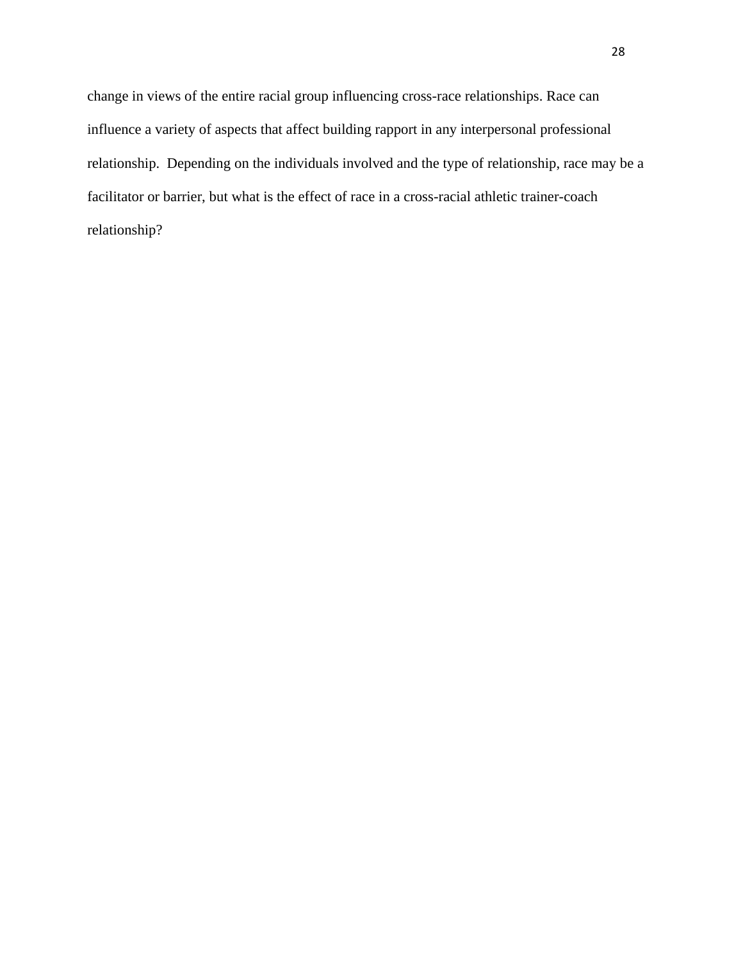change in views of the entire racial group influencing cross-race relationships. Race can influence a variety of aspects that affect building rapport in any interpersonal professional relationship. Depending on the individuals involved and the type of relationship, race may be a facilitator or barrier, but what is the effect of race in a cross-racial athletic trainer-coach relationship?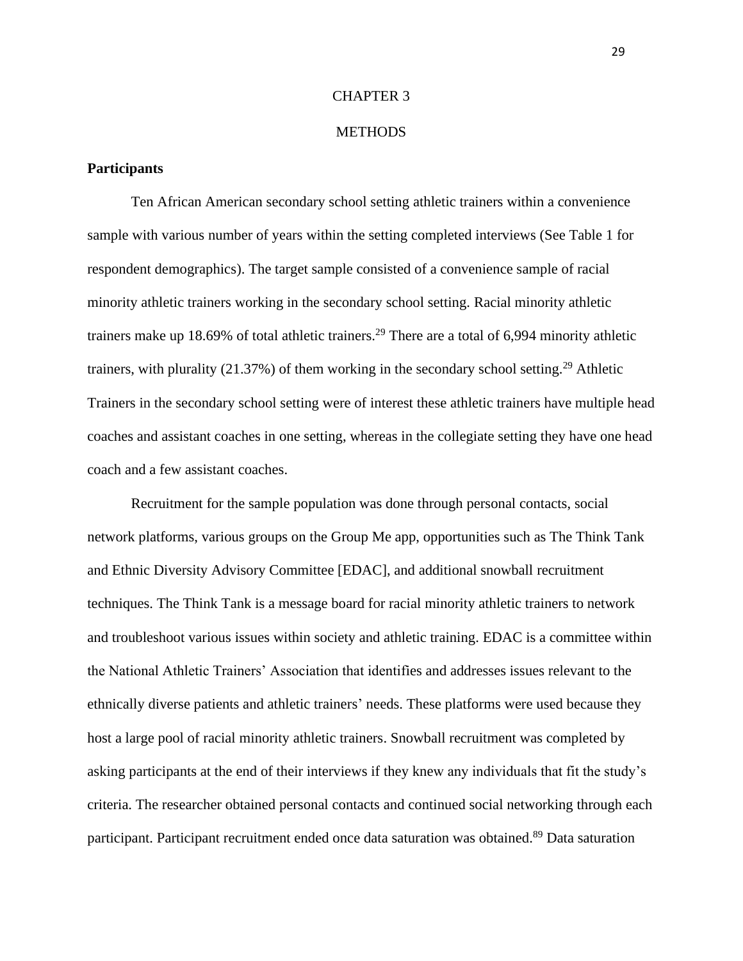#### CHAPTER 3

#### **METHODS**

# **Participants**

Ten African American secondary school setting athletic trainers within a convenience sample with various number of years within the setting completed interviews (See Table 1 for respondent demographics). The target sample consisted of a convenience sample of racial minority athletic trainers working in the secondary school setting. Racial minority athletic trainers make up 18.69% of total athletic trainers.<sup>29</sup> There are a total of 6,994 minority athletic trainers, with plurality  $(21.37%)$  of them working in the secondary school setting.<sup>29</sup> Athletic Trainers in the secondary school setting were of interest these athletic trainers have multiple head coaches and assistant coaches in one setting, whereas in the collegiate setting they have one head coach and a few assistant coaches.

Recruitment for the sample population was done through personal contacts, social network platforms, various groups on the Group Me app, opportunities such as The Think Tank and Ethnic Diversity Advisory Committee [EDAC], and additional snowball recruitment techniques. The Think Tank is a message board for racial minority athletic trainers to network and troubleshoot various issues within society and athletic training. EDAC is a committee within the National Athletic Trainers' Association that identifies and addresses issues relevant to the ethnically diverse patients and athletic trainers' needs. These platforms were used because they host a large pool of racial minority athletic trainers. Snowball recruitment was completed by asking participants at the end of their interviews if they knew any individuals that fit the study's criteria. The researcher obtained personal contacts and continued social networking through each participant. Participant recruitment ended once data saturation was obtained.<sup>89</sup> Data saturation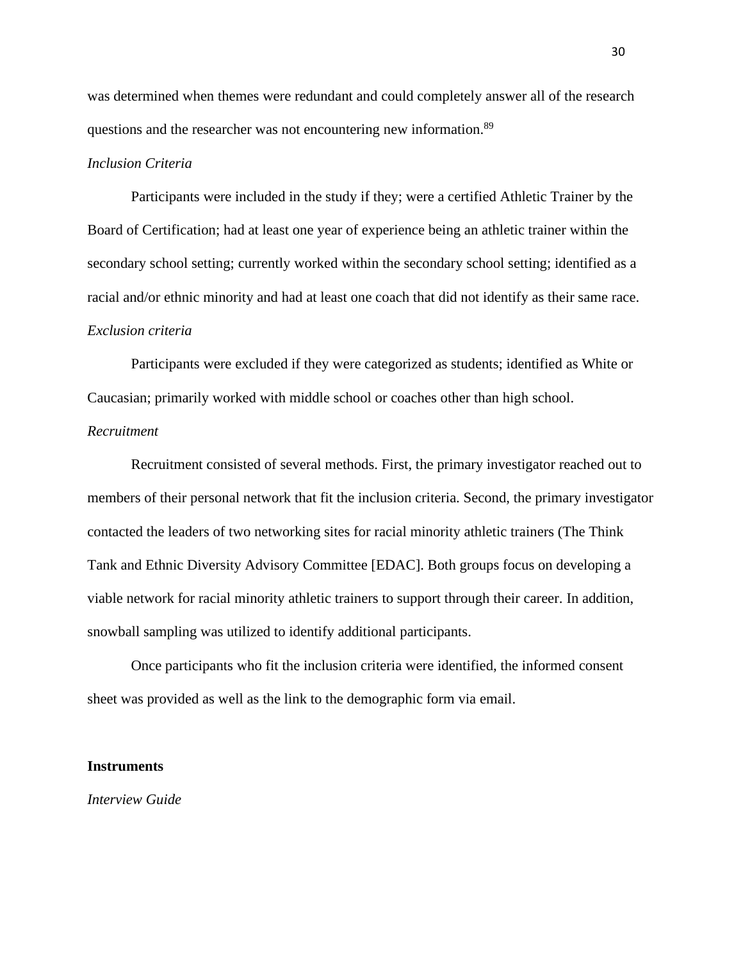was determined when themes were redundant and could completely answer all of the research questions and the researcher was not encountering new information.<sup>89</sup>

### *Inclusion Criteria*

Participants were included in the study if they; were a certified Athletic Trainer by the Board of Certification; had at least one year of experience being an athletic trainer within the secondary school setting; currently worked within the secondary school setting; identified as a racial and/or ethnic minority and had at least one coach that did not identify as their same race. *Exclusion criteria* 

Participants were excluded if they were categorized as students; identified as White or Caucasian; primarily worked with middle school or coaches other than high school.

### *Recruitment*

Recruitment consisted of several methods. First, the primary investigator reached out to members of their personal network that fit the inclusion criteria. Second, the primary investigator contacted the leaders of two networking sites for racial minority athletic trainers (The Think Tank and Ethnic Diversity Advisory Committee [EDAC]. Both groups focus on developing a viable network for racial minority athletic trainers to support through their career. In addition, snowball sampling was utilized to identify additional participants.

Once participants who fit the inclusion criteria were identified, the informed consent sheet was provided as well as the link to the demographic form via email.

#### **Instruments**

*Interview Guide*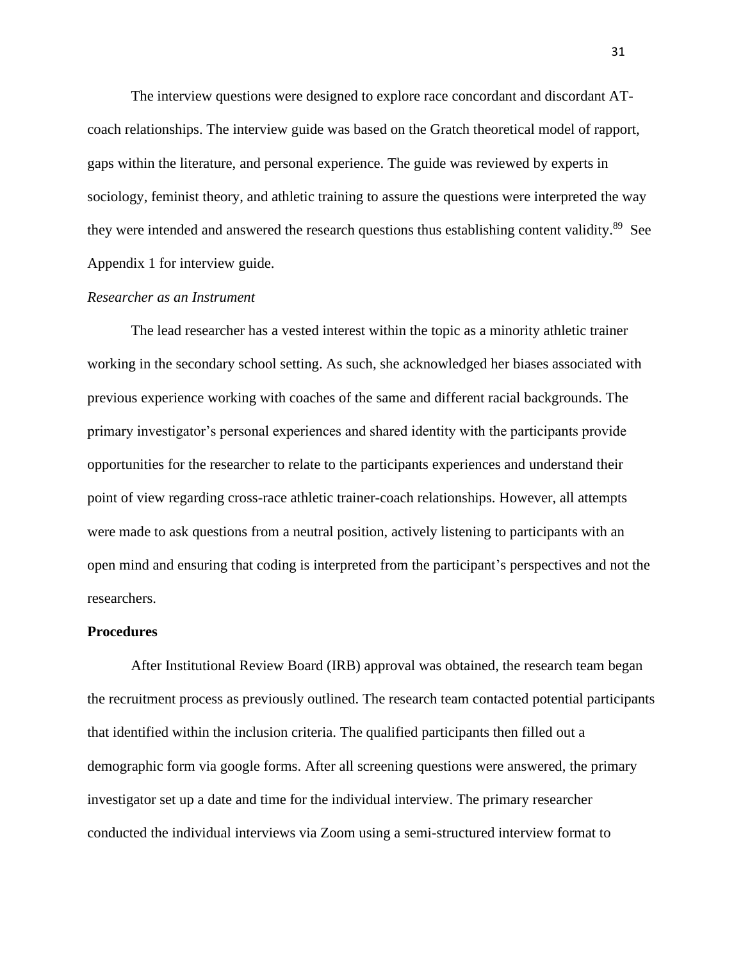The interview questions were designed to explore race concordant and discordant ATcoach relationships. The interview guide was based on the Gratch theoretical model of rapport, gaps within the literature, and personal experience. The guide was reviewed by experts in sociology, feminist theory, and athletic training to assure the questions were interpreted the way they were intended and answered the research questions thus establishing content validity.<sup>89</sup> See Appendix 1 for interview guide.

#### *Researcher as an Instrument*

The lead researcher has a vested interest within the topic as a minority athletic trainer working in the secondary school setting. As such, she acknowledged her biases associated with previous experience working with coaches of the same and different racial backgrounds. The primary investigator's personal experiences and shared identity with the participants provide opportunities for the researcher to relate to the participants experiences and understand their point of view regarding cross-race athletic trainer-coach relationships. However, all attempts were made to ask questions from a neutral position, actively listening to participants with an open mind and ensuring that coding is interpreted from the participant's perspectives and not the researchers.

### **Procedures**

After Institutional Review Board (IRB) approval was obtained, the research team began the recruitment process as previously outlined. The research team contacted potential participants that identified within the inclusion criteria. The qualified participants then filled out a demographic form via google forms. After all screening questions were answered, the primary investigator set up a date and time for the individual interview. The primary researcher conducted the individual interviews via Zoom using a semi-structured interview format to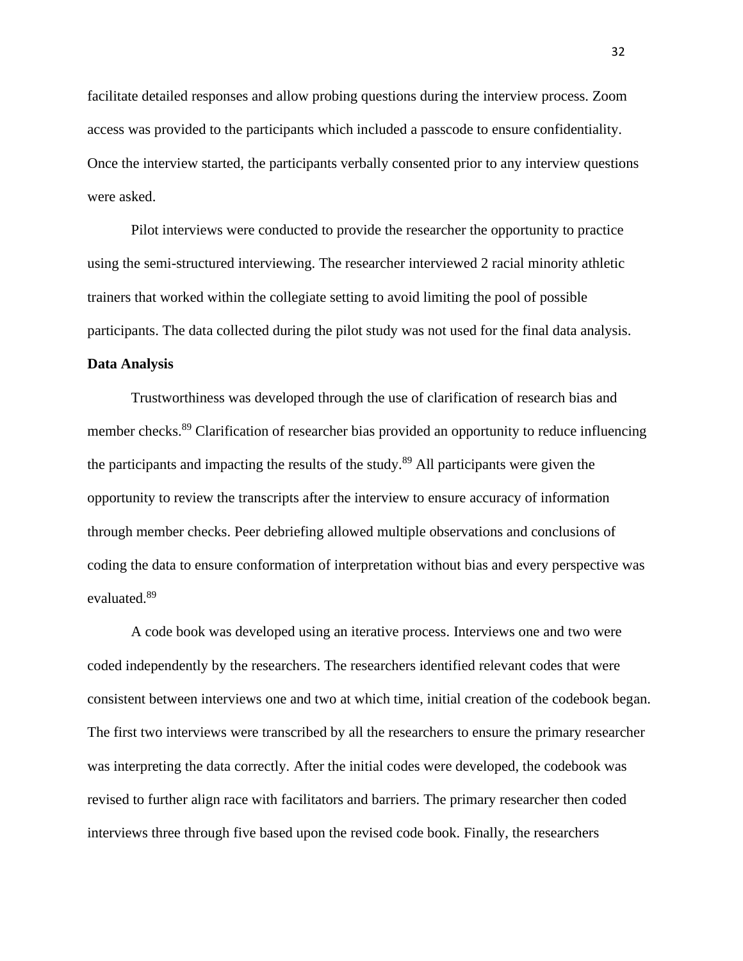facilitate detailed responses and allow probing questions during the interview process. Zoom access was provided to the participants which included a passcode to ensure confidentiality. Once the interview started, the participants verbally consented prior to any interview questions were asked.

Pilot interviews were conducted to provide the researcher the opportunity to practice using the semi-structured interviewing. The researcher interviewed 2 racial minority athletic trainers that worked within the collegiate setting to avoid limiting the pool of possible participants. The data collected during the pilot study was not used for the final data analysis.

#### **Data Analysis**

Trustworthiness was developed through the use of clarification of research bias and member checks.<sup>89</sup> Clarification of researcher bias provided an opportunity to reduce influencing the participants and impacting the results of the study.<sup>89</sup> All participants were given the opportunity to review the transcripts after the interview to ensure accuracy of information through member checks. Peer debriefing allowed multiple observations and conclusions of coding the data to ensure conformation of interpretation without bias and every perspective was evaluated.<sup>89</sup>

A code book was developed using an iterative process. Interviews one and two were coded independently by the researchers. The researchers identified relevant codes that were consistent between interviews one and two at which time, initial creation of the codebook began. The first two interviews were transcribed by all the researchers to ensure the primary researcher was interpreting the data correctly. After the initial codes were developed, the codebook was revised to further align race with facilitators and barriers. The primary researcher then coded interviews three through five based upon the revised code book. Finally, the researchers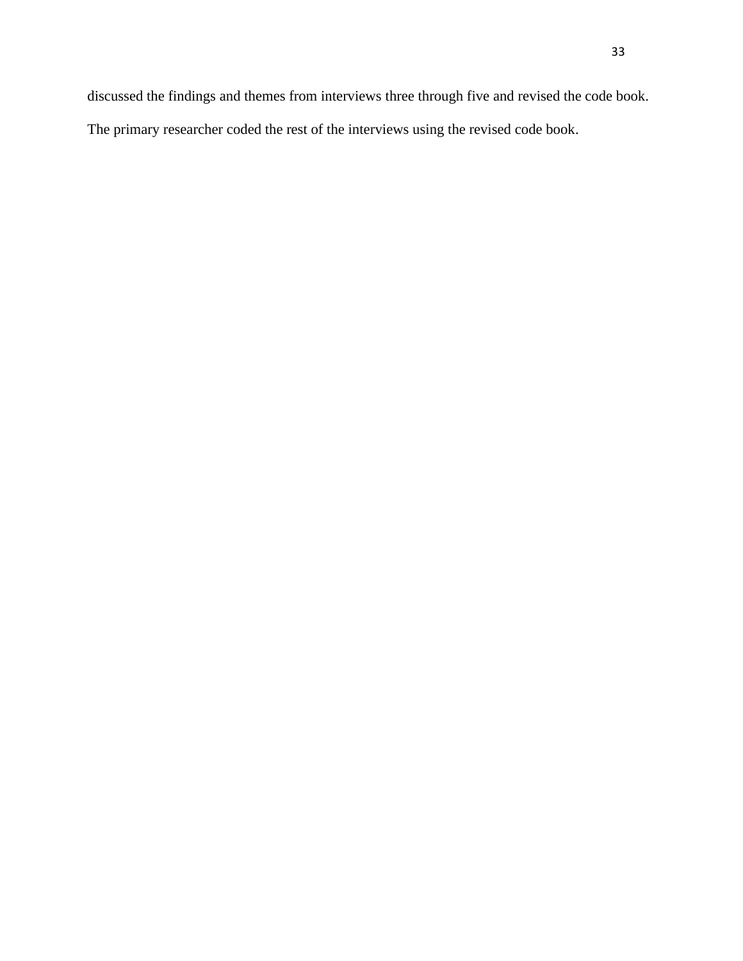discussed the findings and themes from interviews three through five and revised the code book. The primary researcher coded the rest of the interviews using the revised code book.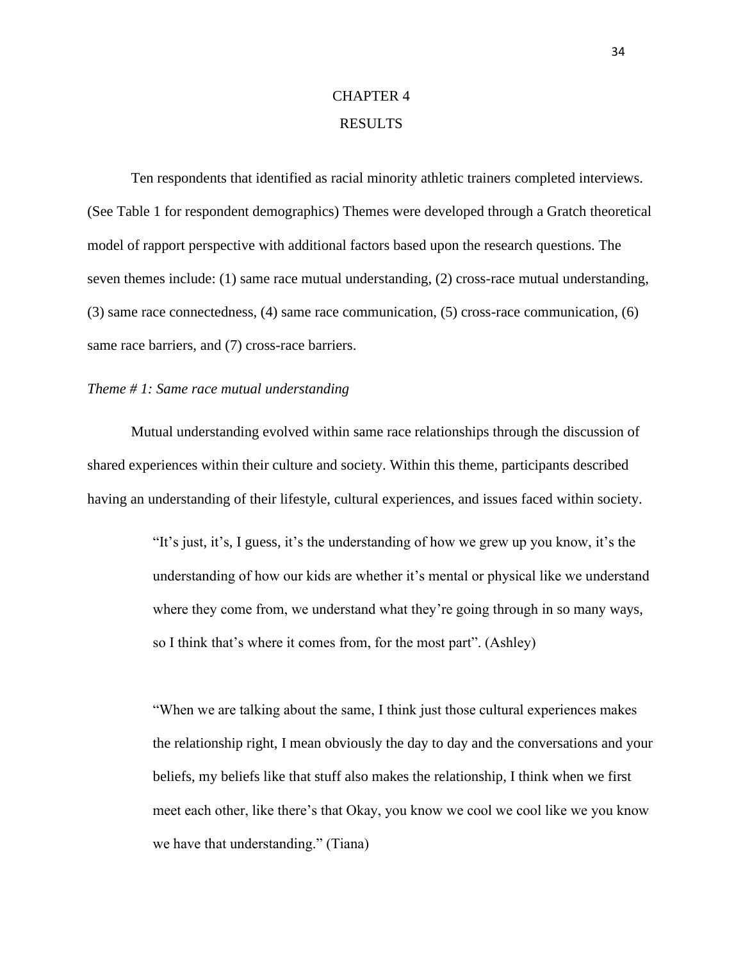# CHAPTER 4 RESULTS

Ten respondents that identified as racial minority athletic trainers completed interviews. (See Table 1 for respondent demographics) Themes were developed through a Gratch theoretical model of rapport perspective with additional factors based upon the research questions. The seven themes include: (1) same race mutual understanding, (2) cross-race mutual understanding, (3) same race connectedness, (4) same race communication, (5) cross-race communication, (6) same race barriers, and (7) cross-race barriers.

#### *Theme # 1: Same race mutual understanding*

Mutual understanding evolved within same race relationships through the discussion of shared experiences within their culture and society. Within this theme, participants described having an understanding of their lifestyle, cultural experiences, and issues faced within society.

> "It's just, it's, I guess, it's the understanding of how we grew up you know, it's the understanding of how our kids are whether it's mental or physical like we understand where they come from, we understand what they're going through in so many ways, so I think that's where it comes from, for the most part". (Ashley)

> "When we are talking about the same, I think just those cultural experiences makes the relationship right, I mean obviously the day to day and the conversations and your beliefs, my beliefs like that stuff also makes the relationship, I think when we first meet each other, like there's that Okay, you know we cool we cool like we you know we have that understanding." (Tiana)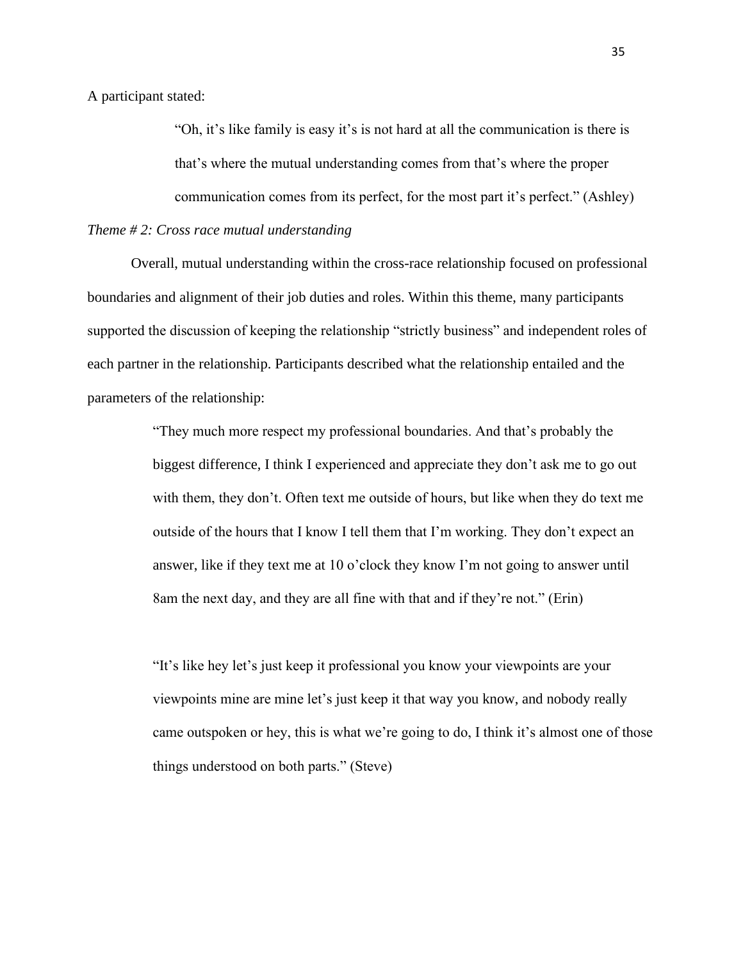A participant stated:

"Oh, it's like family is easy it's is not hard at all the communication is there is that's where the mutual understanding comes from that's where the proper communication comes from its perfect, for the most part it's perfect." (Ashley)

*Theme # 2: Cross race mutual understanding*

Overall, mutual understanding within the cross-race relationship focused on professional boundaries and alignment of their job duties and roles. Within this theme, many participants supported the discussion of keeping the relationship "strictly business" and independent roles of each partner in the relationship. Participants described what the relationship entailed and the parameters of the relationship:

> "They much more respect my professional boundaries. And that's probably the biggest difference, I think I experienced and appreciate they don't ask me to go out with them, they don't. Often text me outside of hours, but like when they do text me outside of the hours that I know I tell them that I'm working. They don't expect an answer, like if they text me at 10 o'clock they know I'm not going to answer until 8am the next day, and they are all fine with that and if they're not." (Erin)

"It's like hey let's just keep it professional you know your viewpoints are your viewpoints mine are mine let's just keep it that way you know, and nobody really came outspoken or hey, this is what we're going to do, I think it's almost one of those things understood on both parts." (Steve)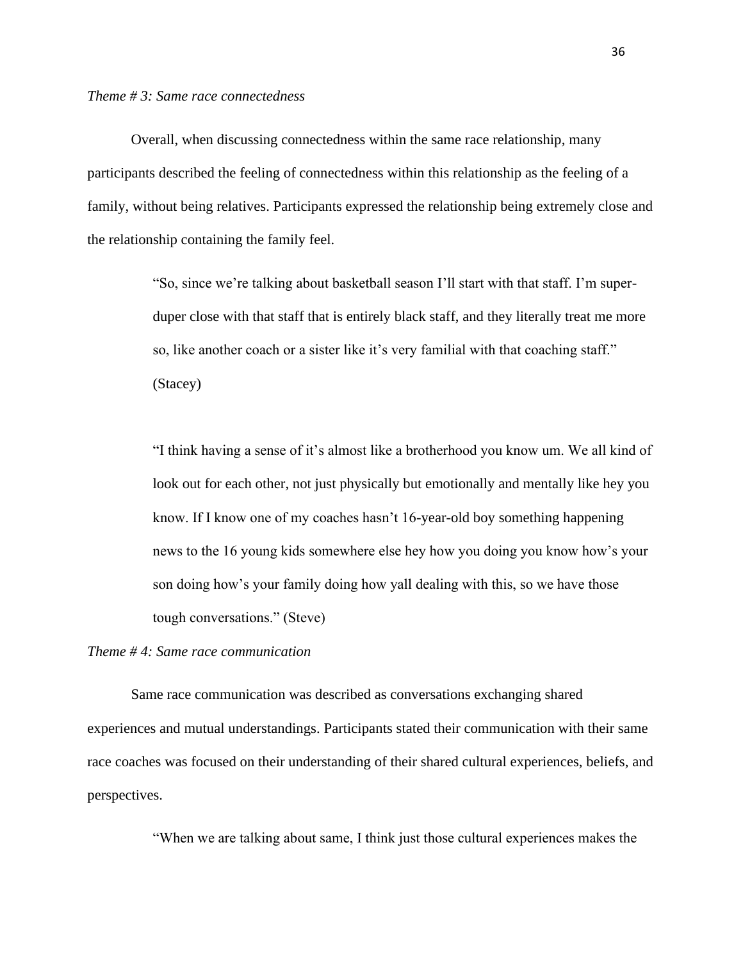Overall, when discussing connectedness within the same race relationship, many participants described the feeling of connectedness within this relationship as the feeling of a family, without being relatives. Participants expressed the relationship being extremely close and the relationship containing the family feel.

> "So, since we're talking about basketball season I'll start with that staff. I'm superduper close with that staff that is entirely black staff, and they literally treat me more so, like another coach or a sister like it's very familial with that coaching staff." (Stacey)

"I think having a sense of it's almost like a brotherhood you know um. We all kind of look out for each other, not just physically but emotionally and mentally like hey you know. If I know one of my coaches hasn't 16-year-old boy something happening news to the 16 young kids somewhere else hey how you doing you know how's your son doing how's your family doing how yall dealing with this, so we have those tough conversations." (Steve)

### *Theme # 4: Same race communication*

Same race communication was described as conversations exchanging shared experiences and mutual understandings. Participants stated their communication with their same race coaches was focused on their understanding of their shared cultural experiences, beliefs, and perspectives.

"When we are talking about same, I think just those cultural experiences makes the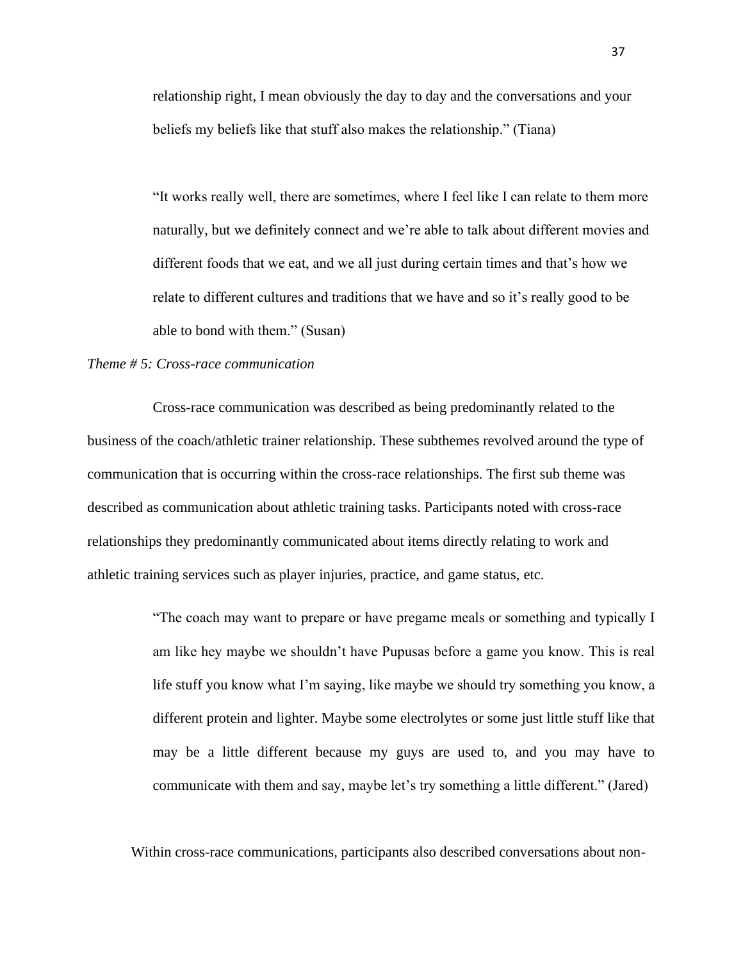relationship right, I mean obviously the day to day and the conversations and your beliefs my beliefs like that stuff also makes the relationship." (Tiana)

"It works really well, there are sometimes, where I feel like I can relate to them more naturally, but we definitely connect and we're able to talk about different movies and different foods that we eat, and we all just during certain times and that's how we relate to different cultures and traditions that we have and so it's really good to be able to bond with them." (Susan)

#### *Theme # 5: Cross-race communication*

Cross-race communication was described as being predominantly related to the business of the coach/athletic trainer relationship. These subthemes revolved around the type of communication that is occurring within the cross-race relationships. The first sub theme was described as communication about athletic training tasks. Participants noted with cross-race relationships they predominantly communicated about items directly relating to work and athletic training services such as player injuries, practice, and game status, etc.

> "The coach may want to prepare or have pregame meals or something and typically I am like hey maybe we shouldn't have Pupusas before a game you know. This is real life stuff you know what I'm saying, like maybe we should try something you know, a different protein and lighter. Maybe some electrolytes or some just little stuff like that may be a little different because my guys are used to, and you may have to communicate with them and say, maybe let's try something a little different." (Jared)

Within cross-race communications, participants also described conversations about non-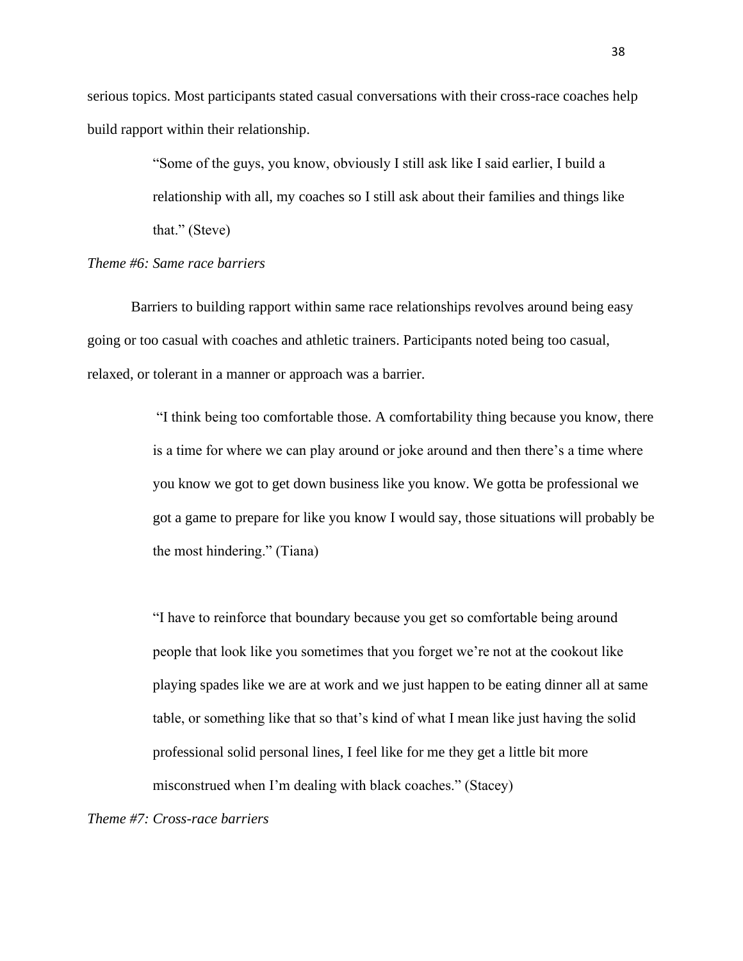serious topics. Most participants stated casual conversations with their cross-race coaches help build rapport within their relationship.

> "Some of the guys, you know, obviously I still ask like I said earlier, I build a relationship with all, my coaches so I still ask about their families and things like that." (Steve)

#### *Theme #6: Same race barriers*

Barriers to building rapport within same race relationships revolves around being easy going or too casual with coaches and athletic trainers. Participants noted being too casual, relaxed, or tolerant in a manner or approach was a barrier.

> "I think being too comfortable those. A comfortability thing because you know, there is a time for where we can play around or joke around and then there's a time where you know we got to get down business like you know. We gotta be professional we got a game to prepare for like you know I would say, those situations will probably be the most hindering." (Tiana)

"I have to reinforce that boundary because you get so comfortable being around people that look like you sometimes that you forget we're not at the cookout like playing spades like we are at work and we just happen to be eating dinner all at same table, or something like that so that's kind of what I mean like just having the solid professional solid personal lines, I feel like for me they get a little bit more misconstrued when I'm dealing with black coaches." (Stacey)

*Theme #7: Cross-race barriers*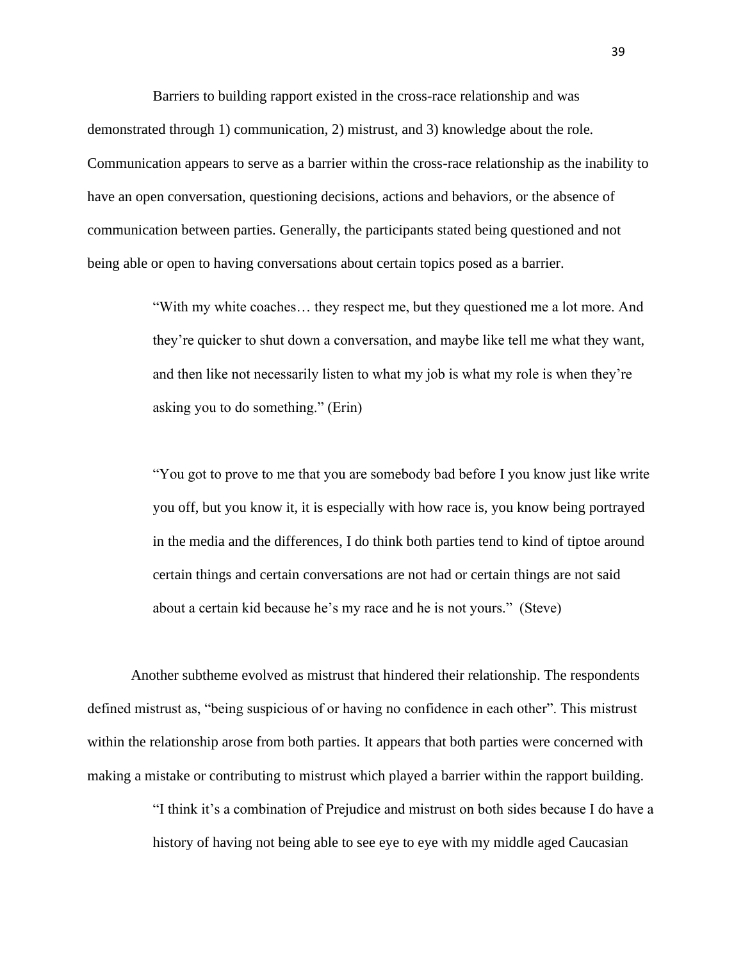Barriers to building rapport existed in the cross-race relationship and was demonstrated through 1) communication, 2) mistrust, and 3) knowledge about the role*.*  Communication appears to serve as a barrier within the cross-race relationship as the inability to have an open conversation, questioning decisions, actions and behaviors, or the absence of communication between parties. Generally, the participants stated being questioned and not being able or open to having conversations about certain topics posed as a barrier.

> "With my white coaches… they respect me, but they questioned me a lot more. And they're quicker to shut down a conversation, and maybe like tell me what they want, and then like not necessarily listen to what my job is what my role is when they're asking you to do something." (Erin)

"You got to prove to me that you are somebody bad before I you know just like write you off, but you know it, it is especially with how race is, you know being portrayed in the media and the differences, I do think both parties tend to kind of tiptoe around certain things and certain conversations are not had or certain things are not said about a certain kid because he's my race and he is not yours." (Steve)

Another subtheme evolved as mistrust that hindered their relationship. The respondents defined mistrust as, "being suspicious of or having no confidence in each other". This mistrust within the relationship arose from both parties. It appears that both parties were concerned with making a mistake or contributing to mistrust which played a barrier within the rapport building.

> "I think it's a combination of Prejudice and mistrust on both sides because I do have a history of having not being able to see eye to eye with my middle aged Caucasian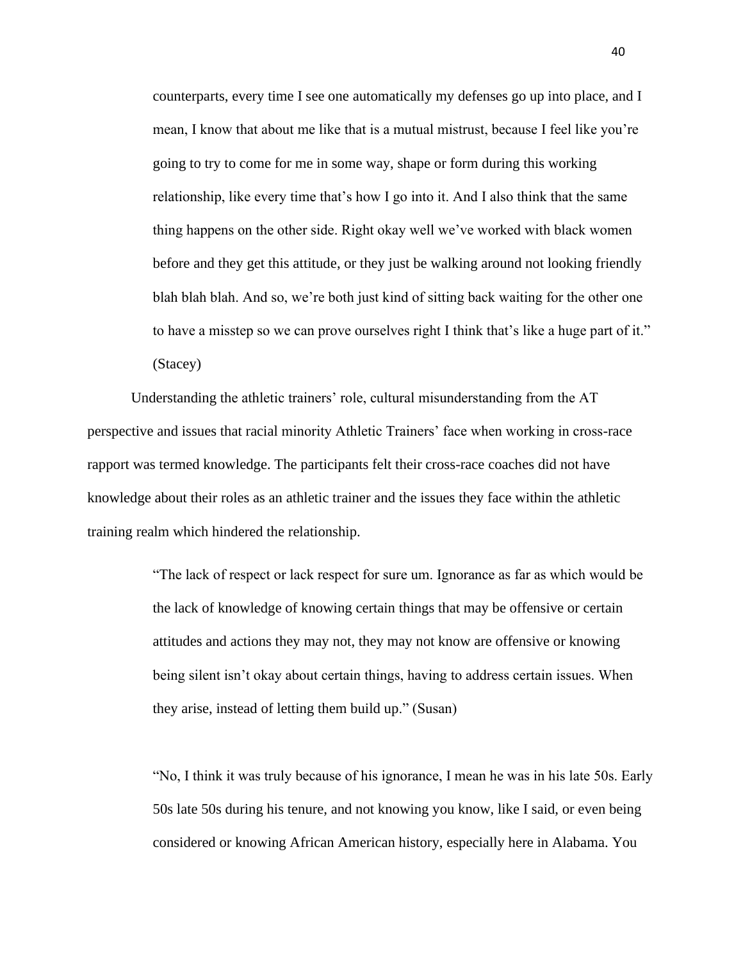counterparts, every time I see one automatically my defenses go up into place, and I mean, I know that about me like that is a mutual mistrust, because I feel like you're going to try to come for me in some way, shape or form during this working relationship, like every time that's how I go into it. And I also think that the same thing happens on the other side. Right okay well we've worked with black women before and they get this attitude, or they just be walking around not looking friendly blah blah blah. And so, we're both just kind of sitting back waiting for the other one to have a misstep so we can prove ourselves right I think that's like a huge part of it." (Stacey)

Understanding the athletic trainers' role, cultural misunderstanding from the AT perspective and issues that racial minority Athletic Trainers' face when working in cross-race rapport was termed knowledge. The participants felt their cross-race coaches did not have knowledge about their roles as an athletic trainer and the issues they face within the athletic training realm which hindered the relationship.

> "The lack of respect or lack respect for sure um. Ignorance as far as which would be the lack of knowledge of knowing certain things that may be offensive or certain attitudes and actions they may not, they may not know are offensive or knowing being silent isn't okay about certain things, having to address certain issues. When they arise, instead of letting them build up." (Susan)

"No, I think it was truly because of his ignorance, I mean he was in his late 50s. Early 50s late 50s during his tenure, and not knowing you know, like I said, or even being considered or knowing African American history, especially here in Alabama. You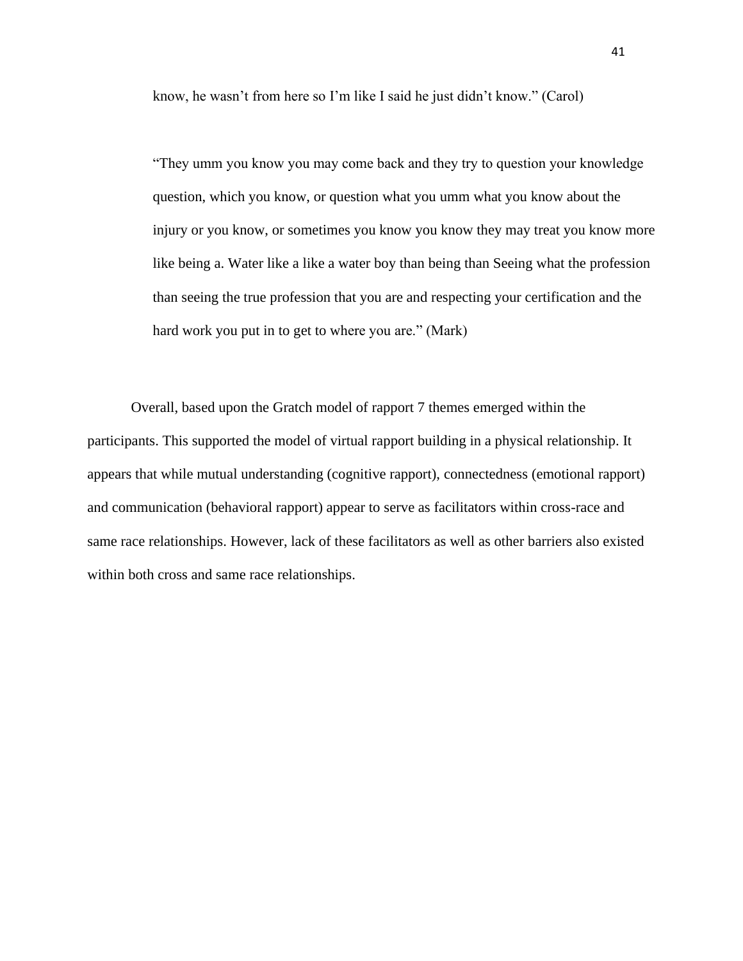know, he wasn't from here so I'm like I said he just didn't know." (Carol)

"They umm you know you may come back and they try to question your knowledge question, which you know, or question what you umm what you know about the injury or you know, or sometimes you know you know they may treat you know more like being a. Water like a like a water boy than being than Seeing what the profession than seeing the true profession that you are and respecting your certification and the hard work you put in to get to where you are." (Mark)

Overall, based upon the Gratch model of rapport 7 themes emerged within the participants. This supported the model of virtual rapport building in a physical relationship. It appears that while mutual understanding (cognitive rapport), connectedness (emotional rapport) and communication (behavioral rapport) appear to serve as facilitators within cross-race and same race relationships. However, lack of these facilitators as well as other barriers also existed within both cross and same race relationships.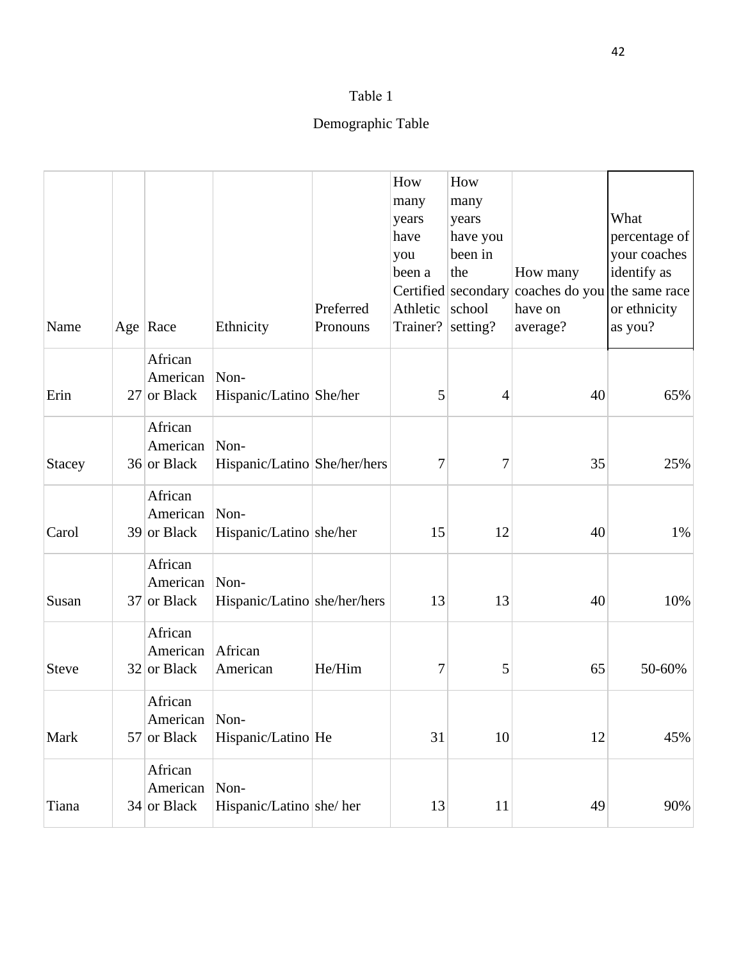# Demographic Table

| Name          | Age $ $ Race                         | Ethnicity                            | Preferred<br>Pronouns | How<br>many<br>years<br>have<br>you<br>been a<br>Athletic<br>Trainer? setting? | How<br>many<br>years<br>have you<br>been in<br>the<br>Certified secondary<br>school | How many<br>coaches do you the same race<br>have on<br>average? | What<br>percentage of<br>your coaches<br>identify as<br>or ethnicity<br>as you? |
|---------------|--------------------------------------|--------------------------------------|-----------------------|--------------------------------------------------------------------------------|-------------------------------------------------------------------------------------|-----------------------------------------------------------------|---------------------------------------------------------------------------------|
| Erin          | African<br>American<br>27 or Black   | Non-<br>Hispanic/Latino She/her      |                       | 5                                                                              | $\overline{4}$                                                                      | 40                                                              | 65%                                                                             |
| <b>Stacey</b> | African<br>American<br>36 or Black   | Non-<br>Hispanic/Latino She/her/hers |                       | 7                                                                              | 7                                                                                   | 35                                                              | 25%                                                                             |
| Carol         | African<br>American<br>$39$ or Black | Non-<br>Hispanic/Latino she/her      |                       | 15                                                                             | 12                                                                                  | 40                                                              | 1%                                                                              |
| Susan         | African<br>American<br>37 or Black   | Non-<br>Hispanic/Latino she/her/hers |                       | 13                                                                             | 13                                                                                  | 40                                                              | 10%                                                                             |
| <b>Steve</b>  | African<br>American<br>$32$ or Black | African<br>American                  | He/Him                | 7                                                                              | 5                                                                                   | 65                                                              | 50-60%                                                                          |
| Mark          | African<br>American<br>57 or Black   | Non-<br>Hispanic/Latino He           |                       | 31                                                                             | 10                                                                                  | 12                                                              | 45%                                                                             |
| Tiana         | African<br>American<br>$34$ or Black | Non-<br>Hispanic/Latino she/ her     |                       | 13                                                                             | 11                                                                                  | 49                                                              | 90%                                                                             |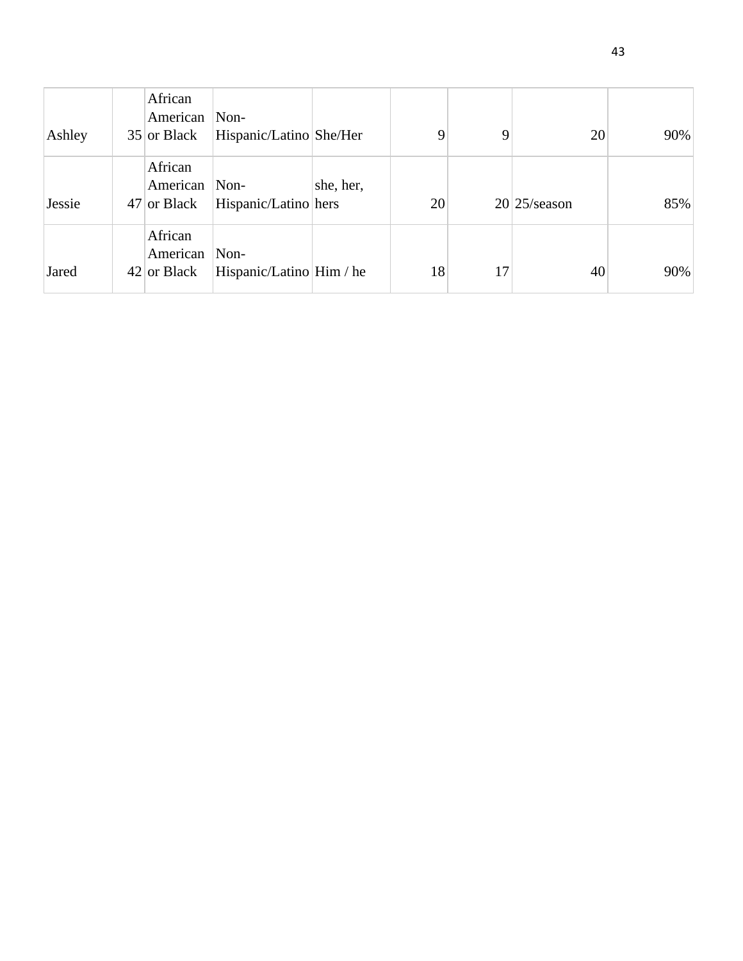| Ashley | African<br>American<br>$35$ or Black | Non-<br>Hispanic/Latino She/Her        |           | 9  | 9  | 20              | 90% |
|--------|--------------------------------------|----------------------------------------|-----------|----|----|-----------------|-----|
| Jessie | African<br>American<br>$47$ or Black | $\mathbf{Non}$<br>Hispanic/Latino hers | she, her, | 20 |    | $20/25$ /season | 85% |
| Jared  | African<br>American<br>$42$ or Black | Non-<br>Hispanic/Latino Him / he       |           | 18 | 17 | 40              | 90% |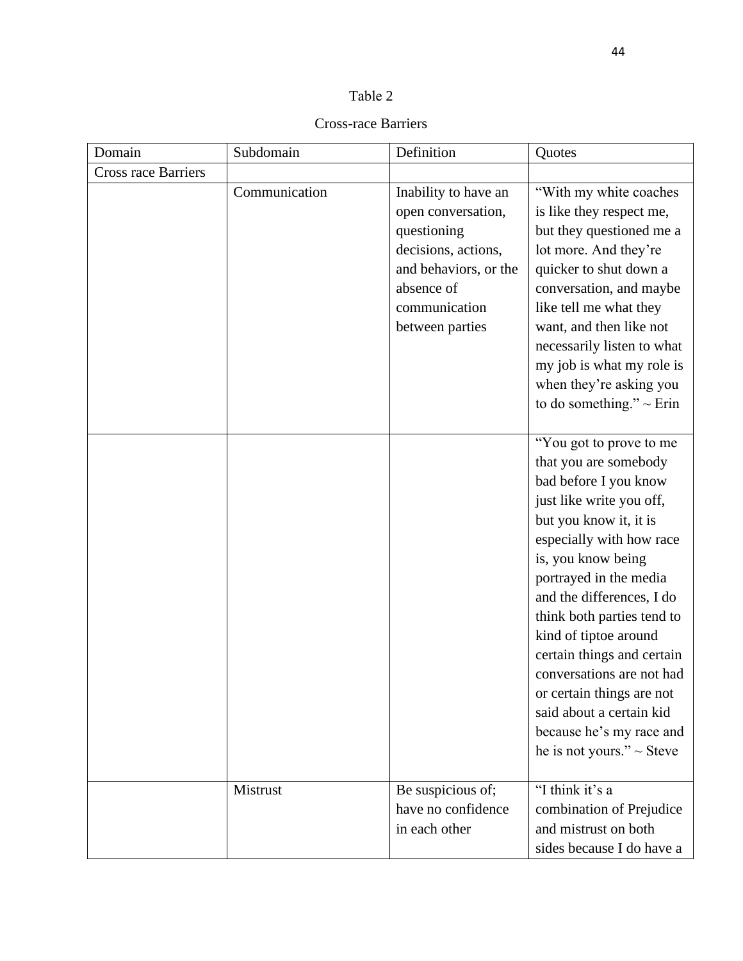| v |  |
|---|--|
|---|--|

### Cross-race Barriers

| Domain                     | Subdomain     | Definition                                                                                                                                                  | Quotes                                                                                                                                                                                                                                                                                                                                                                                                                                                                            |
|----------------------------|---------------|-------------------------------------------------------------------------------------------------------------------------------------------------------------|-----------------------------------------------------------------------------------------------------------------------------------------------------------------------------------------------------------------------------------------------------------------------------------------------------------------------------------------------------------------------------------------------------------------------------------------------------------------------------------|
| <b>Cross race Barriers</b> |               |                                                                                                                                                             |                                                                                                                                                                                                                                                                                                                                                                                                                                                                                   |
|                            | Communication | Inability to have an<br>open conversation,<br>questioning<br>decisions, actions,<br>and behaviors, or the<br>absence of<br>communication<br>between parties | "With my white coaches"<br>is like they respect me,<br>but they questioned me a<br>lot more. And they're<br>quicker to shut down a<br>conversation, and maybe<br>like tell me what they<br>want, and then like not<br>necessarily listen to what<br>my job is what my role is<br>when they're asking you<br>to do something." $\sim$ Erin                                                                                                                                         |
|                            |               |                                                                                                                                                             | "You got to prove to me<br>that you are somebody<br>bad before I you know<br>just like write you off,<br>but you know it, it is<br>especially with how race<br>is, you know being<br>portrayed in the media<br>and the differences, I do<br>think both parties tend to<br>kind of tiptoe around<br>certain things and certain<br>conversations are not had<br>or certain things are not<br>said about a certain kid<br>because he's my race and<br>he is not yours." $\sim$ Steve |
|                            | Mistrust      | Be suspicious of;<br>have no confidence<br>in each other                                                                                                    | "I think it's a<br>combination of Prejudice<br>and mistrust on both<br>sides because I do have a                                                                                                                                                                                                                                                                                                                                                                                  |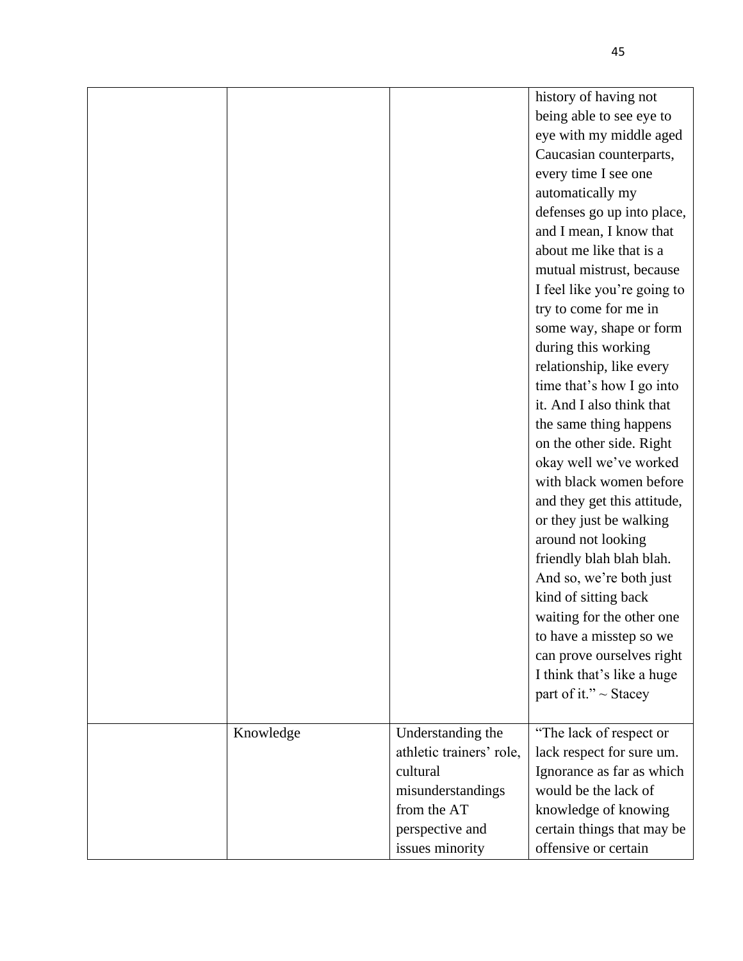|           |                          | history of having not       |
|-----------|--------------------------|-----------------------------|
|           |                          | being able to see eye to    |
|           |                          | eye with my middle aged     |
|           |                          | Caucasian counterparts,     |
|           |                          | every time I see one        |
|           |                          | automatically my            |
|           |                          | defenses go up into place,  |
|           |                          | and I mean, I know that     |
|           |                          | about me like that is a     |
|           |                          | mutual mistrust, because    |
|           |                          | I feel like you're going to |
|           |                          | try to come for me in       |
|           |                          | some way, shape or form     |
|           |                          | during this working         |
|           |                          | relationship, like every    |
|           |                          | time that's how I go into   |
|           |                          | it. And I also think that   |
|           |                          | the same thing happens      |
|           |                          | on the other side. Right    |
|           |                          | okay well we've worked      |
|           |                          | with black women before     |
|           |                          | and they get this attitude, |
|           |                          | or they just be walking     |
|           |                          | around not looking          |
|           |                          | friendly blah blah blah.    |
|           |                          | And so, we're both just     |
|           |                          | kind of sitting back        |
|           |                          | waiting for the other one   |
|           |                          | to have a misstep so we     |
|           |                          | can prove ourselves right   |
|           |                          | I think that's like a huge  |
|           |                          | part of it." ~ Stacey       |
|           |                          |                             |
| Knowledge | Understanding the        | "The lack of respect or     |
|           | athletic trainers' role, | lack respect for sure um.   |
|           | cultural                 | Ignorance as far as which   |
|           | misunderstandings        | would be the lack of        |
|           | from the AT              | knowledge of knowing        |
|           | perspective and          | certain things that may be  |
|           | issues minority          | offensive or certain        |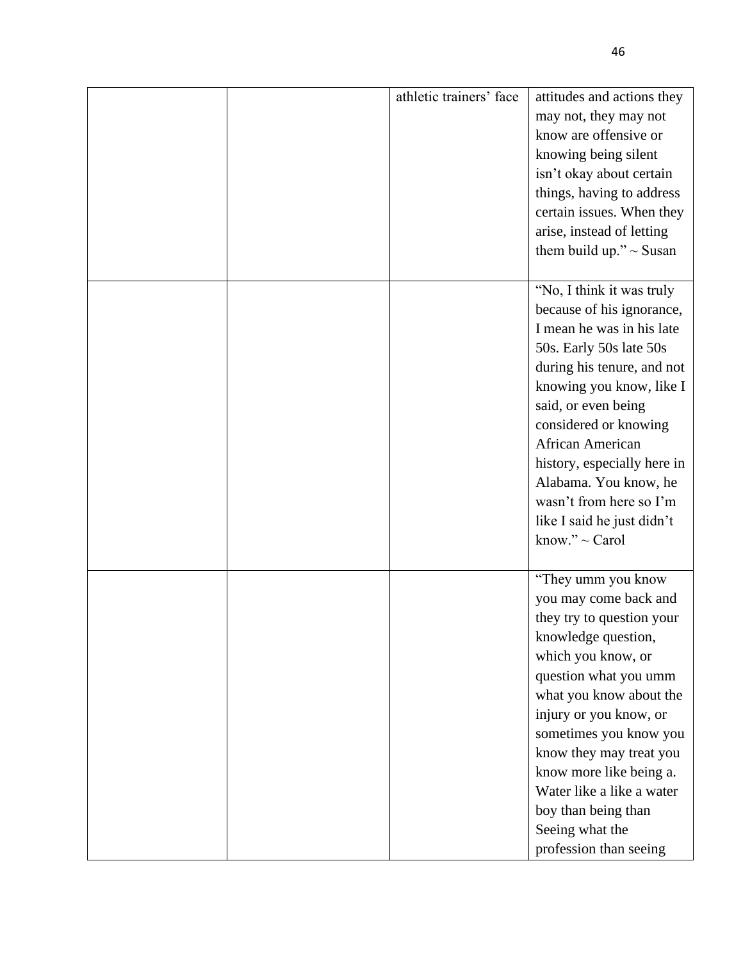|  | athletic trainers' face | attitudes and actions they<br>may not, they may not<br>know are offensive or<br>knowing being silent<br>isn't okay about certain<br>things, having to address                                                                                                                                                                                                                        |
|--|-------------------------|--------------------------------------------------------------------------------------------------------------------------------------------------------------------------------------------------------------------------------------------------------------------------------------------------------------------------------------------------------------------------------------|
|  |                         | certain issues. When they<br>arise, instead of letting<br>them build up." $\sim$ Susan                                                                                                                                                                                                                                                                                               |
|  |                         | "No, I think it was truly<br>because of his ignorance,<br>I mean he was in his late<br>50s. Early 50s late 50s<br>during his tenure, and not<br>knowing you know, like I<br>said, or even being<br>considered or knowing<br>African American<br>history, especially here in<br>Alabama. You know, he<br>wasn't from here so I'm<br>like I said he just didn't<br>know." $\sim$ Carol |
|  |                         | "They umm you know<br>you may come back and<br>they try to question your<br>knowledge question,<br>which you know, or<br>question what you umm<br>what you know about the<br>injury or you know, or<br>sometimes you know you<br>know they may treat you<br>know more like being a.<br>Water like a like a water<br>boy than being than<br>Seeing what the<br>profession than seeing |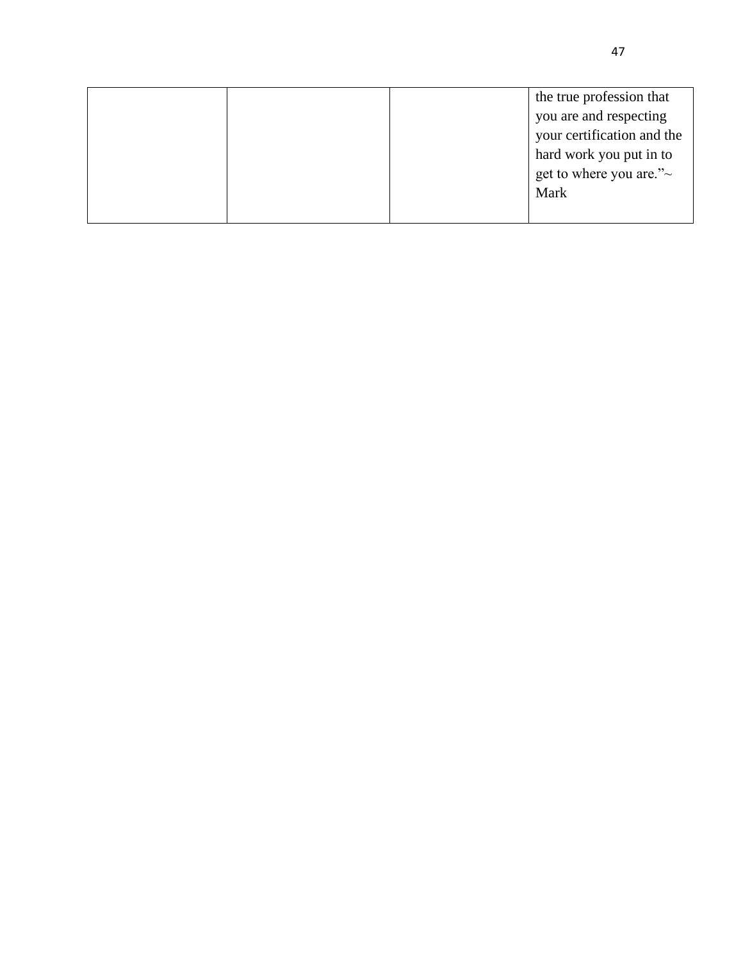|  | the true profession that      |
|--|-------------------------------|
|  | you are and respecting        |
|  | your certification and the    |
|  | hard work you put in to       |
|  | get to where you are." $\sim$ |
|  | Mark                          |
|  |                               |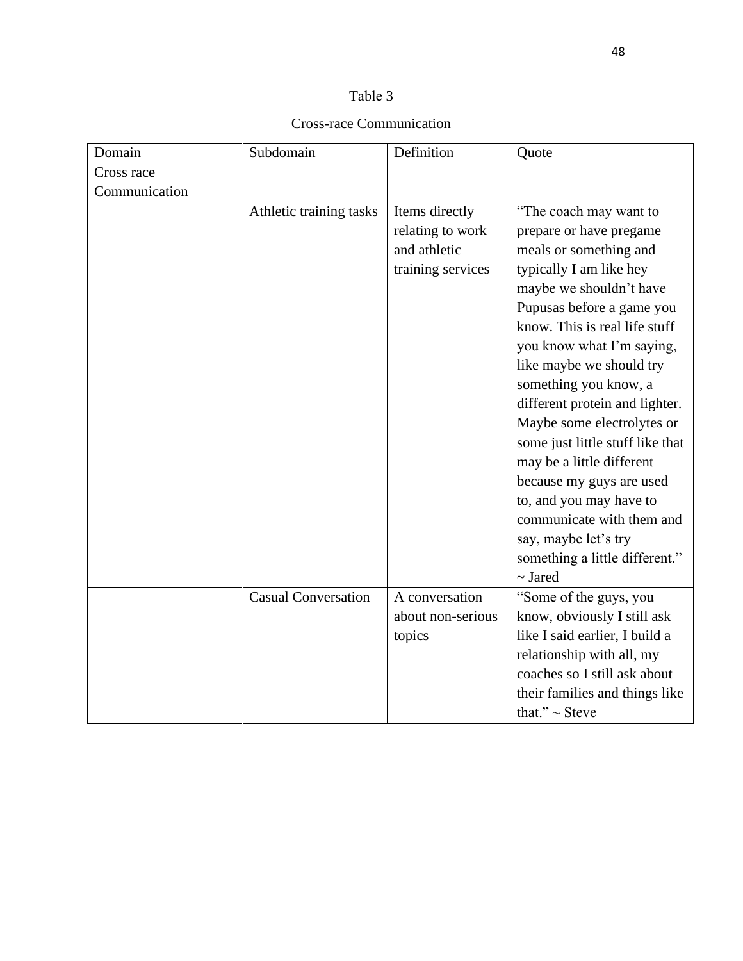### Cross-race Communication

| Domain        | Subdomain                  | Definition        | Quote                            |
|---------------|----------------------------|-------------------|----------------------------------|
| Cross race    |                            |                   |                                  |
| Communication |                            |                   |                                  |
|               | Athletic training tasks    | Items directly    | "The coach may want to           |
|               |                            | relating to work  | prepare or have pregame          |
|               |                            | and athletic      | meals or something and           |
|               |                            | training services | typically I am like hey          |
|               |                            |                   | maybe we shouldn't have          |
|               |                            |                   | Pupusas before a game you        |
|               |                            |                   | know. This is real life stuff    |
|               |                            |                   | you know what I'm saying,        |
|               |                            |                   | like maybe we should try         |
|               |                            |                   | something you know, a            |
|               |                            |                   | different protein and lighter.   |
|               |                            |                   | Maybe some electrolytes or       |
|               |                            |                   | some just little stuff like that |
|               |                            |                   | may be a little different        |
|               |                            |                   | because my guys are used         |
|               |                            |                   | to, and you may have to          |
|               |                            |                   | communicate with them and        |
|               |                            |                   | say, maybe let's try             |
|               |                            |                   | something a little different."   |
|               |                            |                   | $\sim$ Jared                     |
|               | <b>Casual Conversation</b> | A conversation    | "Some of the guys, you           |
|               |                            | about non-serious | know, obviously I still ask      |
|               |                            | topics            | like I said earlier, I build a   |
|               |                            |                   | relationship with all, my        |
|               |                            |                   | coaches so I still ask about     |
|               |                            |                   | their families and things like   |
|               |                            |                   | that." $\sim$ Steve              |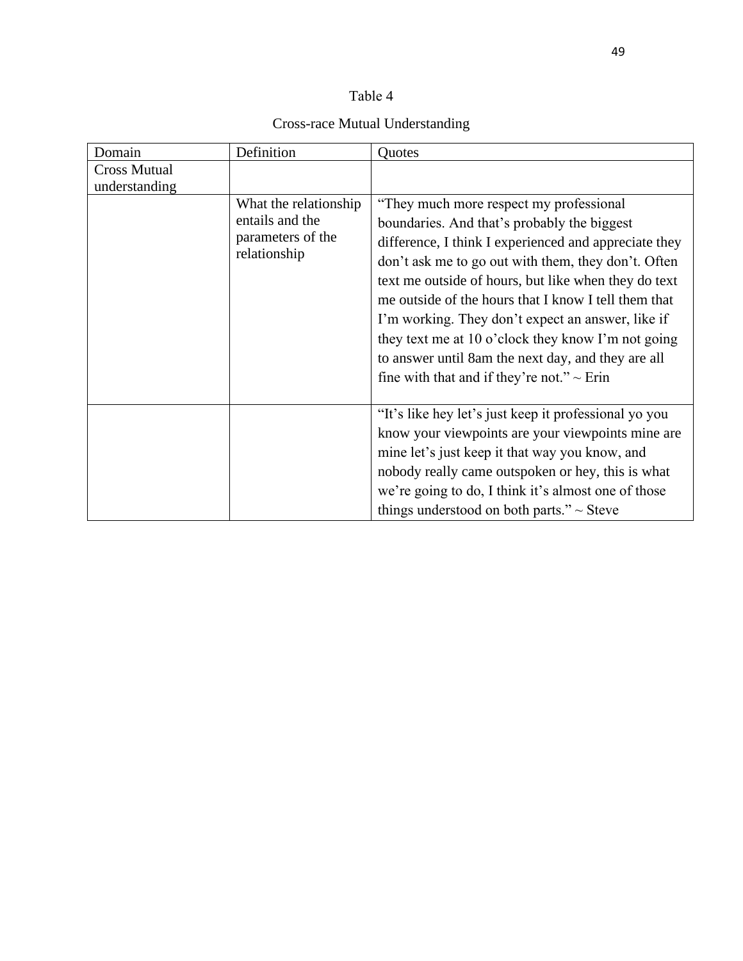# Cross-race Mutual Understanding

| Domain              | Definition                                                                    | Quotes                                                                                                                                                                                                                                                                                                                                                                                                                                                                                                                                      |
|---------------------|-------------------------------------------------------------------------------|---------------------------------------------------------------------------------------------------------------------------------------------------------------------------------------------------------------------------------------------------------------------------------------------------------------------------------------------------------------------------------------------------------------------------------------------------------------------------------------------------------------------------------------------|
| <b>Cross Mutual</b> |                                                                               |                                                                                                                                                                                                                                                                                                                                                                                                                                                                                                                                             |
| understanding       |                                                                               |                                                                                                                                                                                                                                                                                                                                                                                                                                                                                                                                             |
|                     | What the relationship<br>entails and the<br>parameters of the<br>relationship | "They much more respect my professional"<br>boundaries. And that's probably the biggest<br>difference, I think I experienced and appreciate they<br>don't ask me to go out with them, they don't. Often<br>text me outside of hours, but like when they do text<br>me outside of the hours that I know I tell them that<br>I'm working. They don't expect an answer, like if<br>they text me at 10 o'clock they know I'm not going<br>to answer until 8am the next day, and they are all<br>fine with that and if they're not." $\sim$ Erin |
|                     |                                                                               | "It's like hey let's just keep it professional yo you<br>know your viewpoints are your viewpoints mine are<br>mine let's just keep it that way you know, and<br>nobody really came outspoken or hey, this is what<br>we're going to do, I think it's almost one of those<br>things understood on both parts." $\sim$ Steve                                                                                                                                                                                                                  |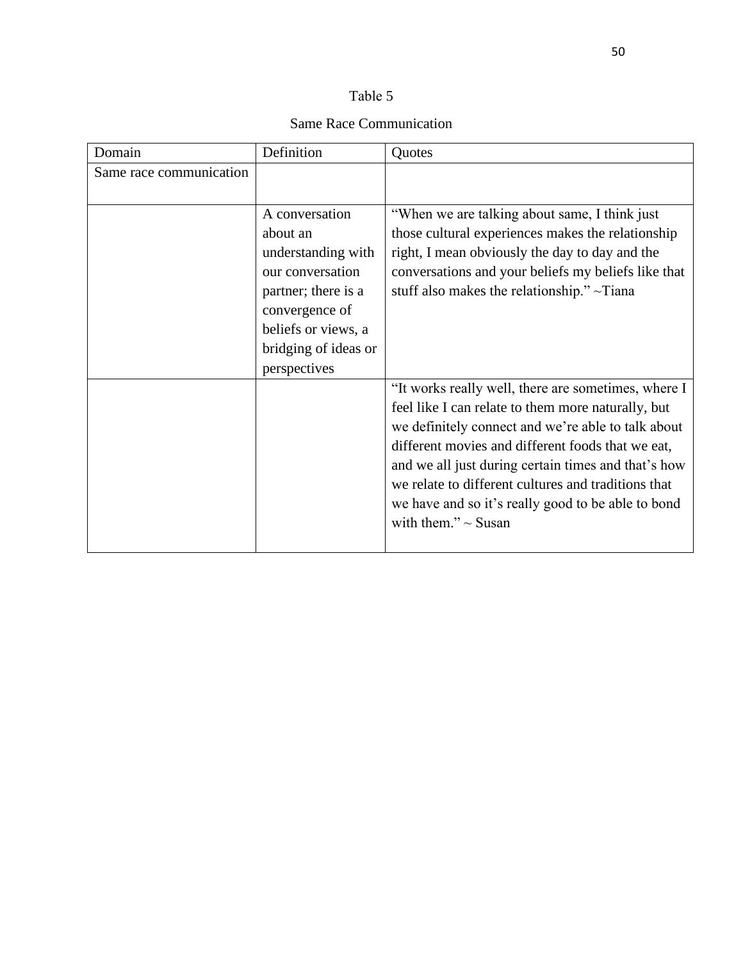# Same Race Communication

| Domain                  | Definition           | Quotes                                              |
|-------------------------|----------------------|-----------------------------------------------------|
| Same race communication |                      |                                                     |
|                         |                      |                                                     |
|                         | A conversation       | "When we are talking about same, I think just       |
|                         | about an             | those cultural experiences makes the relationship   |
|                         | understanding with   | right, I mean obviously the day to day and the      |
|                         | our conversation     | conversations and your beliefs my beliefs like that |
|                         | partner; there is a  | stuff also makes the relationship." $\sim$ Tiana    |
|                         | convergence of       |                                                     |
|                         | beliefs or views, a  |                                                     |
|                         | bridging of ideas or |                                                     |
|                         | perspectives         |                                                     |
|                         |                      | "It works really well, there are sometimes, where I |
|                         |                      | feel like I can relate to them more naturally, but  |
|                         |                      | we definitely connect and we're able to talk about  |
|                         |                      | different movies and different foods that we eat,   |
|                         |                      | and we all just during certain times and that's how |
|                         |                      | we relate to different cultures and traditions that |
|                         |                      | we have and so it's really good to be able to bond  |
|                         |                      | with them." $\sim$ Susan                            |
|                         |                      |                                                     |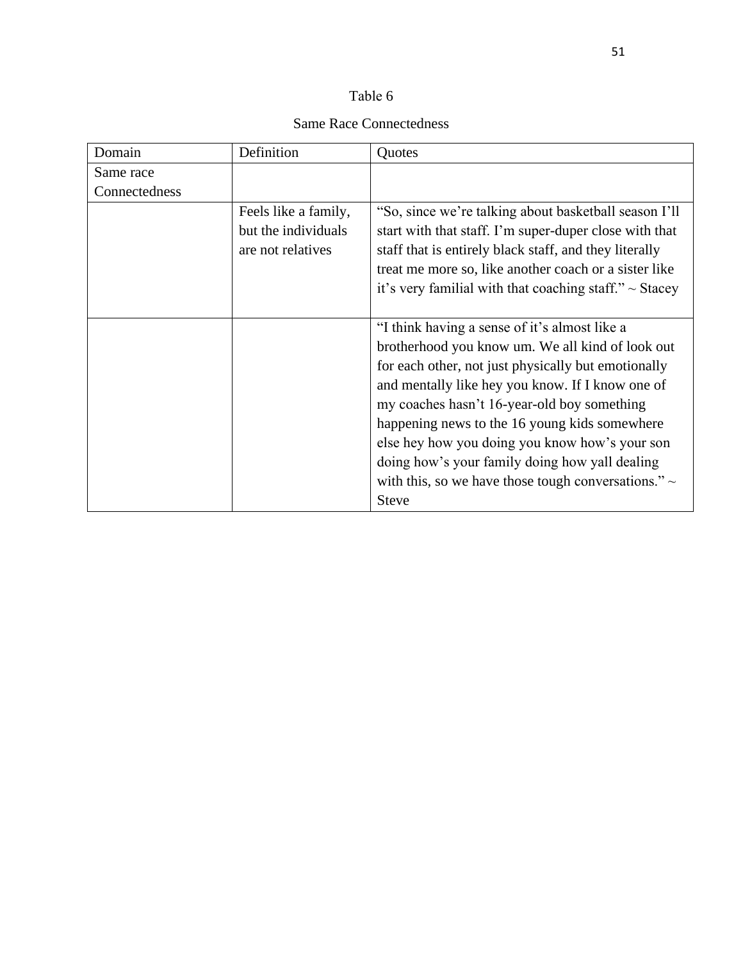# Same Race Connectedness

| Domain        | Definition                                                       | Quotes                                                                                                                                                                                                                                                                                                                                                                                                                                                                                       |
|---------------|------------------------------------------------------------------|----------------------------------------------------------------------------------------------------------------------------------------------------------------------------------------------------------------------------------------------------------------------------------------------------------------------------------------------------------------------------------------------------------------------------------------------------------------------------------------------|
| Same race     |                                                                  |                                                                                                                                                                                                                                                                                                                                                                                                                                                                                              |
| Connectedness |                                                                  |                                                                                                                                                                                                                                                                                                                                                                                                                                                                                              |
|               | Feels like a family,<br>but the individuals<br>are not relatives | "So, since we're talking about basketball season I'll<br>start with that staff. I'm super-duper close with that<br>staff that is entirely black staff, and they literally<br>treat me more so, like another coach or a sister like<br>it's very familial with that coaching staff." $\sim$ Stacey                                                                                                                                                                                            |
|               |                                                                  | "I think having a sense of it's almost like a<br>brotherhood you know um. We all kind of look out<br>for each other, not just physically but emotionally<br>and mentally like hey you know. If I know one of<br>my coaches hasn't 16-year-old boy something<br>happening news to the 16 young kids somewhere<br>else hey how you doing you know how's your son<br>doing how's your family doing how yall dealing<br>with this, so we have those tough conversations." $\sim$<br><b>Steve</b> |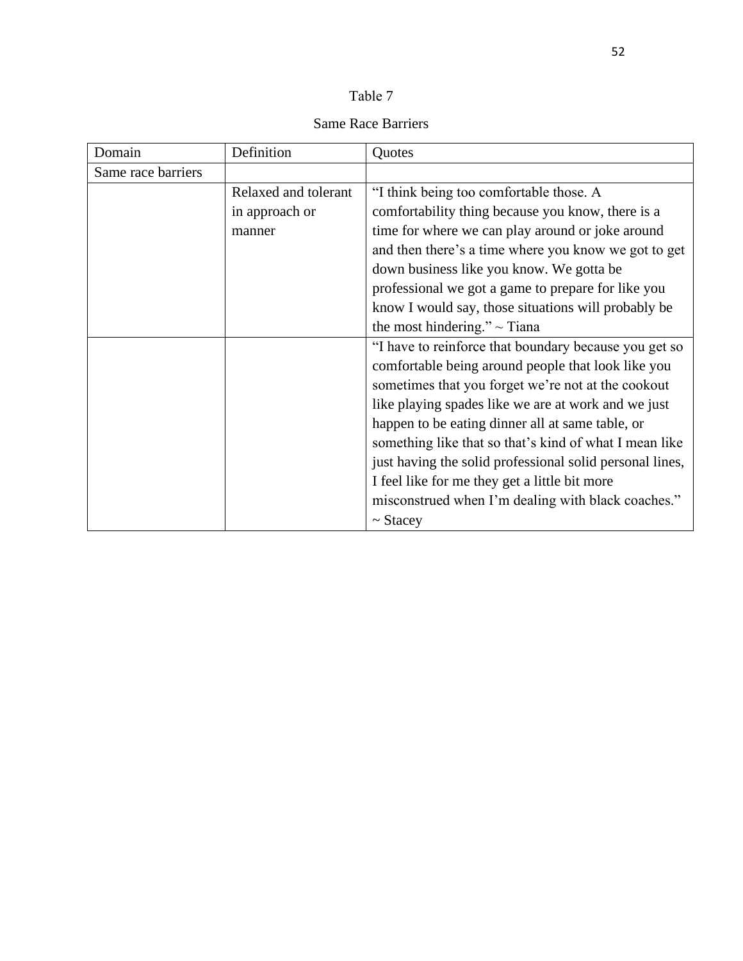|--|--|

Same Race Barriers

| Domain             | Definition           | Quotes                                                   |
|--------------------|----------------------|----------------------------------------------------------|
| Same race barriers |                      |                                                          |
|                    | Relaxed and tolerant | "I think being too comfortable those. A                  |
|                    | in approach or       | comfortability thing because you know, there is a        |
|                    | manner               | time for where we can play around or joke around         |
|                    |                      | and then there's a time where you know we got to get     |
|                    |                      | down business like you know. We gotta be                 |
|                    |                      | professional we got a game to prepare for like you       |
|                    |                      | know I would say, those situations will probably be      |
|                    |                      | the most hindering." $\sim$ Tiana                        |
|                    |                      | "I have to reinforce that boundary because you get so    |
|                    |                      | comfortable being around people that look like you       |
|                    |                      | sometimes that you forget we're not at the cookout       |
|                    |                      | like playing spades like we are at work and we just      |
|                    |                      | happen to be eating dinner all at same table, or         |
|                    |                      | something like that so that's kind of what I mean like   |
|                    |                      | just having the solid professional solid personal lines, |
|                    |                      | I feel like for me they get a little bit more            |
|                    |                      | misconstrued when I'm dealing with black coaches."       |
|                    |                      | $\sim$ Stacey                                            |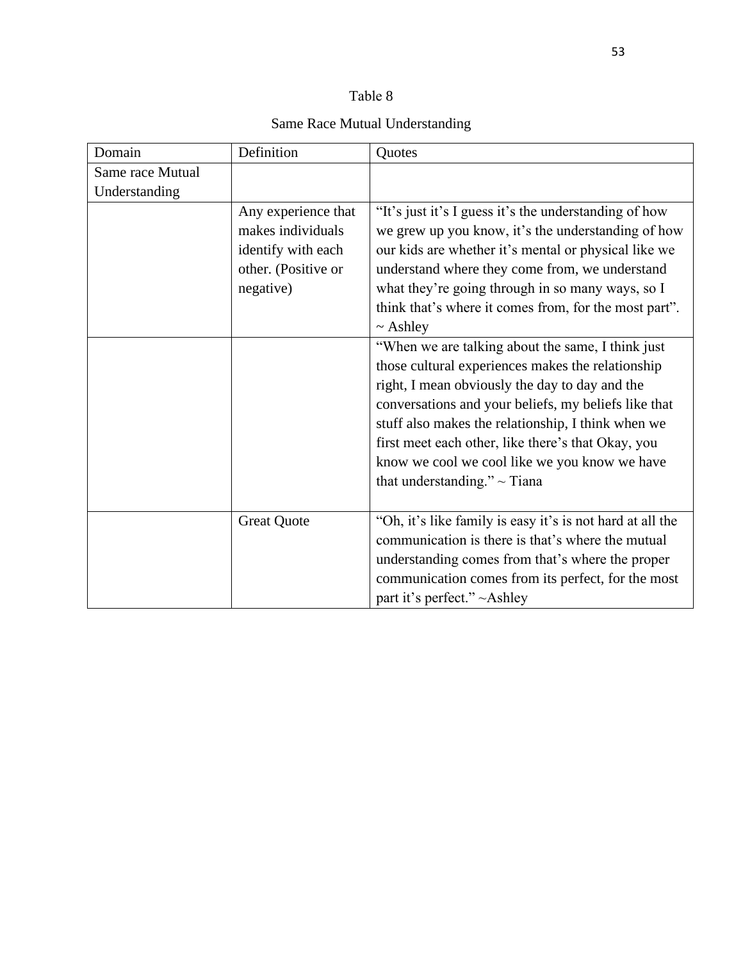| able |  |
|------|--|
|------|--|

# Same Race Mutual Understanding

| Domain           | Definition          | Quotes                                                    |
|------------------|---------------------|-----------------------------------------------------------|
| Same race Mutual |                     |                                                           |
| Understanding    |                     |                                                           |
|                  | Any experience that | "It's just it's I guess it's the understanding of how     |
|                  | makes individuals   | we grew up you know, it's the understanding of how        |
|                  | identify with each  | our kids are whether it's mental or physical like we      |
|                  | other. (Positive or | understand where they come from, we understand            |
|                  | negative)           | what they're going through in so many ways, so I          |
|                  |                     | think that's where it comes from, for the most part".     |
|                  |                     | $\sim$ Ashley                                             |
|                  |                     | "When we are talking about the same, I think just         |
|                  |                     | those cultural experiences makes the relationship         |
|                  |                     | right, I mean obviously the day to day and the            |
|                  |                     | conversations and your beliefs, my beliefs like that      |
|                  |                     | stuff also makes the relationship, I think when we        |
|                  |                     | first meet each other, like there's that Okay, you        |
|                  |                     | know we cool we cool like we you know we have             |
|                  |                     | that understanding." $\sim$ Tiana                         |
|                  |                     |                                                           |
|                  | <b>Great Quote</b>  | "Oh, it's like family is easy it's is not hard at all the |
|                  |                     | communication is there is that's where the mutual         |
|                  |                     | understanding comes from that's where the proper          |
|                  |                     | communication comes from its perfect, for the most        |
|                  |                     | part it's perfect." ~Ashley                               |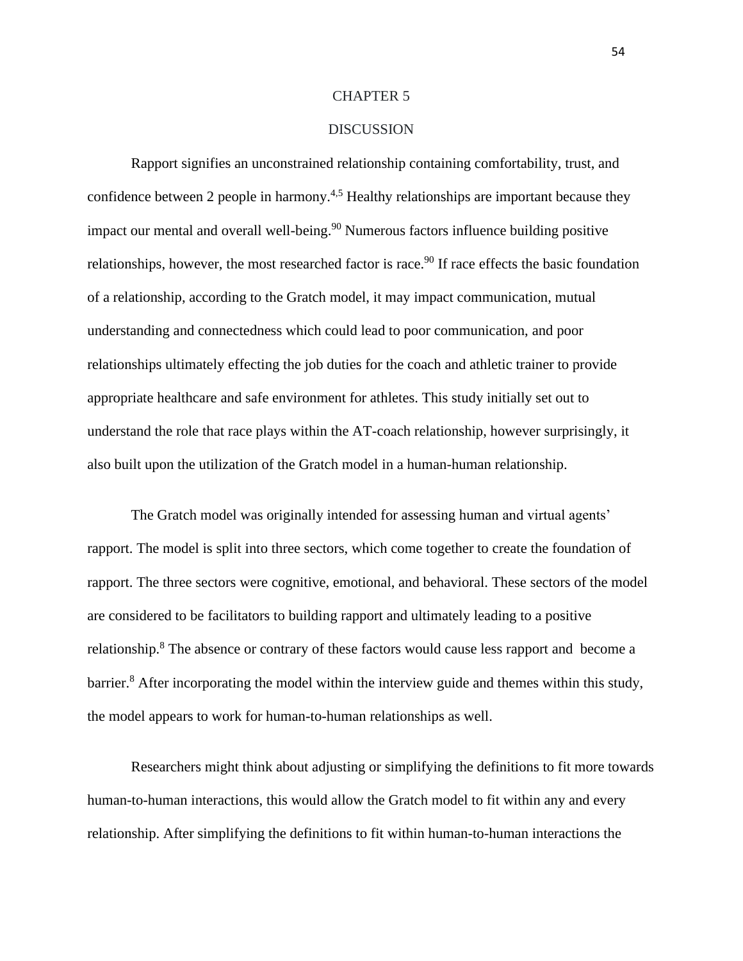#### CHAPTER 5

### DISCUSSION

Rapport signifies an unconstrained relationship containing comfortability, trust, and confidence between 2 people in harmony.<sup>4,5</sup> Healthy relationships are important because they impact our mental and overall well-being.<sup>90</sup> Numerous factors influence building positive relationships, however, the most researched factor is race.<sup>90</sup> If race effects the basic foundation of a relationship, according to the Gratch model, it may impact communication, mutual understanding and connectedness which could lead to poor communication, and poor relationships ultimately effecting the job duties for the coach and athletic trainer to provide appropriate healthcare and safe environment for athletes. This study initially set out to understand the role that race plays within the AT-coach relationship, however surprisingly, it also built upon the utilization of the Gratch model in a human-human relationship.

The Gratch model was originally intended for assessing human and virtual agents' rapport. The model is split into three sectors, which come together to create the foundation of rapport. The three sectors were cognitive, emotional, and behavioral. These sectors of the model are considered to be facilitators to building rapport and ultimately leading to a positive relationship.<sup>8</sup> The absence or contrary of these factors would cause less rapport and become a barrier.<sup>8</sup> After incorporating the model within the interview guide and themes within this study, the model appears to work for human-to-human relationships as well.

Researchers might think about adjusting or simplifying the definitions to fit more towards human-to-human interactions, this would allow the Gratch model to fit within any and every relationship. After simplifying the definitions to fit within human-to-human interactions the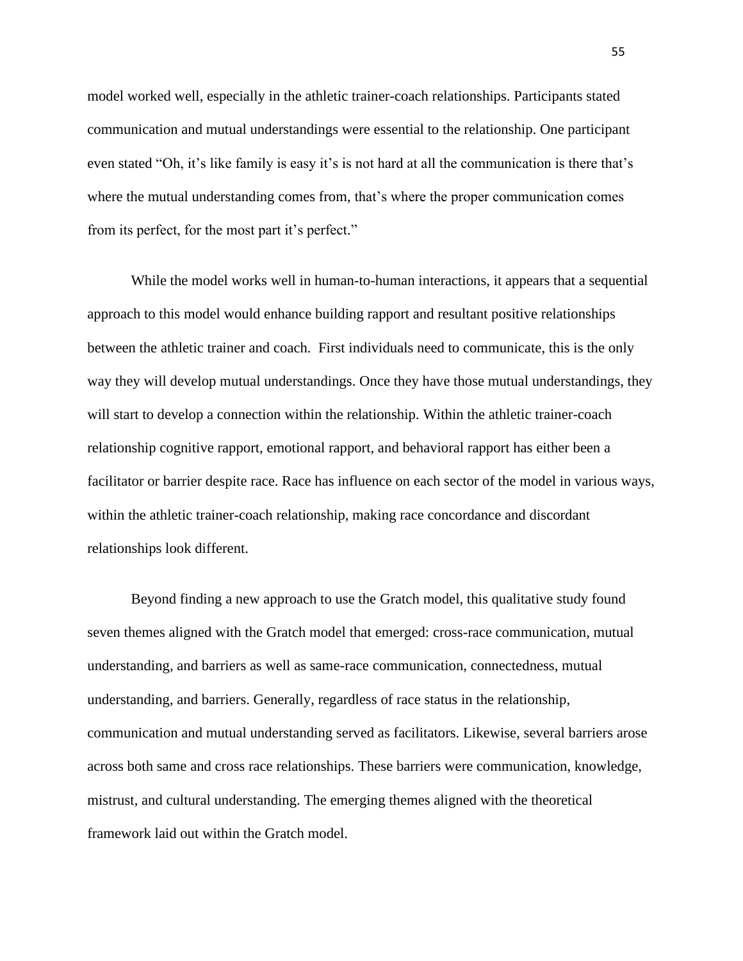model worked well, especially in the athletic trainer-coach relationships. Participants stated communication and mutual understandings were essential to the relationship. One participant even stated "Oh, it's like family is easy it's is not hard at all the communication is there that's where the mutual understanding comes from, that's where the proper communication comes from its perfect, for the most part it's perfect."

While the model works well in human-to-human interactions, it appears that a sequential approach to this model would enhance building rapport and resultant positive relationships between the athletic trainer and coach. First individuals need to communicate, this is the only way they will develop mutual understandings. Once they have those mutual understandings, they will start to develop a connection within the relationship. Within the athletic trainer-coach relationship cognitive rapport, emotional rapport, and behavioral rapport has either been a facilitator or barrier despite race. Race has influence on each sector of the model in various ways, within the athletic trainer-coach relationship, making race concordance and discordant relationships look different.

Beyond finding a new approach to use the Gratch model, this qualitative study found seven themes aligned with the Gratch model that emerged: cross-race communication, mutual understanding, and barriers as well as same-race communication, connectedness, mutual understanding, and barriers. Generally, regardless of race status in the relationship, communication and mutual understanding served as facilitators. Likewise, several barriers arose across both same and cross race relationships. These barriers were communication, knowledge, mistrust, and cultural understanding. The emerging themes aligned with the theoretical framework laid out within the Gratch model.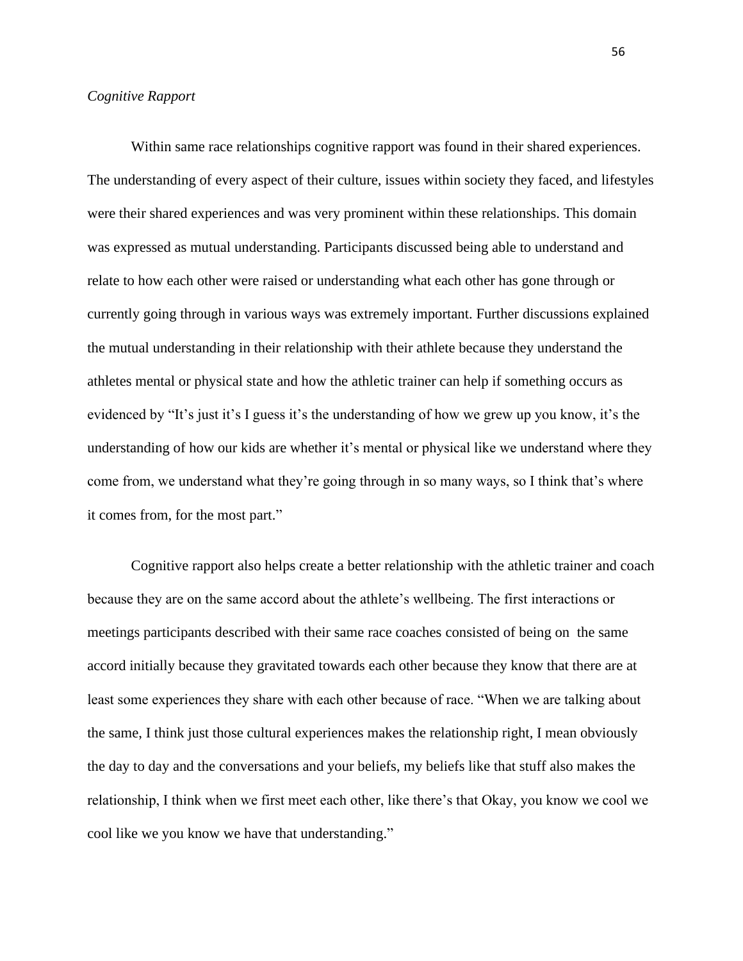#### *Cognitive Rapport*

Within same race relationships cognitive rapport was found in their shared experiences. The understanding of every aspect of their culture, issues within society they faced, and lifestyles were their shared experiences and was very prominent within these relationships. This domain was expressed as mutual understanding. Participants discussed being able to understand and relate to how each other were raised or understanding what each other has gone through or currently going through in various ways was extremely important. Further discussions explained the mutual understanding in their relationship with their athlete because they understand the athletes mental or physical state and how the athletic trainer can help if something occurs as evidenced by "It's just it's I guess it's the understanding of how we grew up you know, it's the understanding of how our kids are whether it's mental or physical like we understand where they come from, we understand what they're going through in so many ways, so I think that's where it comes from, for the most part."

Cognitive rapport also helps create a better relationship with the athletic trainer and coach because they are on the same accord about the athlete's wellbeing. The first interactions or meetings participants described with their same race coaches consisted of being on the same accord initially because they gravitated towards each other because they know that there are at least some experiences they share with each other because of race. "When we are talking about the same, I think just those cultural experiences makes the relationship right, I mean obviously the day to day and the conversations and your beliefs, my beliefs like that stuff also makes the relationship, I think when we first meet each other, like there's that Okay, you know we cool we cool like we you know we have that understanding."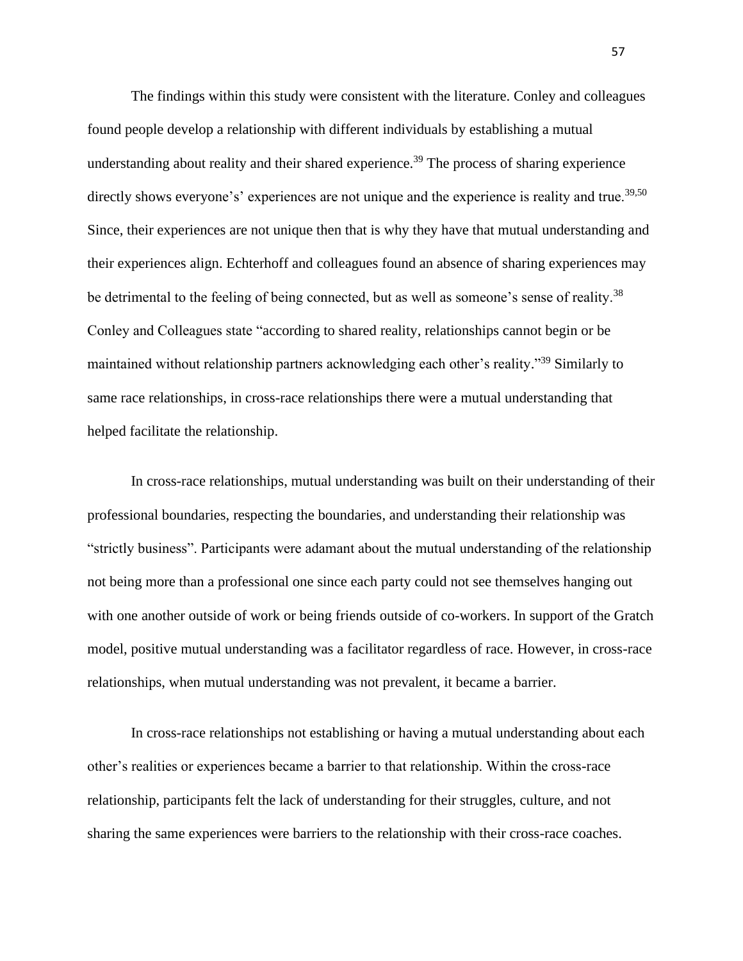The findings within this study were consistent with the literature. Conley and colleagues found people develop a relationship with different individuals by establishing a mutual understanding about reality and their shared experience.<sup>39</sup> The process of sharing experience directly shows everyone's' experiences are not unique and the experience is reality and true.<sup>39,50</sup> Since, their experiences are not unique then that is why they have that mutual understanding and their experiences align. Echterhoff and colleagues found an absence of sharing experiences may be detrimental to the feeling of being connected, but as well as someone's sense of reality.<sup>38</sup> Conley and Colleagues state "according to shared reality, relationships cannot begin or be maintained without relationship partners acknowledging each other's reality."<sup>39</sup> Similarly to same race relationships, in cross-race relationships there were a mutual understanding that helped facilitate the relationship.

In cross-race relationships, mutual understanding was built on their understanding of their professional boundaries, respecting the boundaries, and understanding their relationship was "strictly business". Participants were adamant about the mutual understanding of the relationship not being more than a professional one since each party could not see themselves hanging out with one another outside of work or being friends outside of co-workers. In support of the Gratch model, positive mutual understanding was a facilitator regardless of race. However, in cross-race relationships, when mutual understanding was not prevalent, it became a barrier.

In cross-race relationships not establishing or having a mutual understanding about each other's realities or experiences became a barrier to that relationship. Within the cross-race relationship, participants felt the lack of understanding for their struggles, culture, and not sharing the same experiences were barriers to the relationship with their cross-race coaches.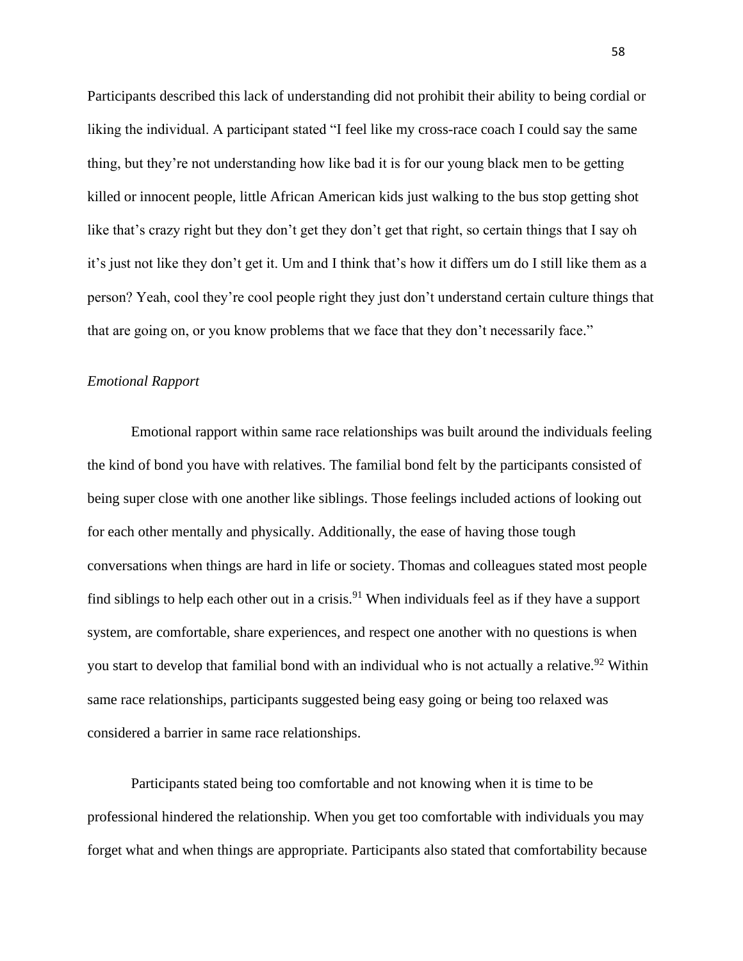Participants described this lack of understanding did not prohibit their ability to being cordial or liking the individual. A participant stated "I feel like my cross-race coach I could say the same thing, but they're not understanding how like bad it is for our young black men to be getting killed or innocent people, little African American kids just walking to the bus stop getting shot like that's crazy right but they don't get they don't get that right, so certain things that I say oh it's just not like they don't get it. Um and I think that's how it differs um do I still like them as a person? Yeah, cool they're cool people right they just don't understand certain culture things that that are going on, or you know problems that we face that they don't necessarily face."

#### *Emotional Rapport*

Emotional rapport within same race relationships was built around the individuals feeling the kind of bond you have with relatives. The familial bond felt by the participants consisted of being super close with one another like siblings. Those feelings included actions of looking out for each other mentally and physically. Additionally, the ease of having those tough conversations when things are hard in life or society. Thomas and colleagues stated most people find siblings to help each other out in a crisis.<sup>91</sup> When individuals feel as if they have a support system, are comfortable, share experiences, and respect one another with no questions is when you start to develop that familial bond with an individual who is not actually a relative.<sup>92</sup> Within same race relationships, participants suggested being easy going or being too relaxed was considered a barrier in same race relationships.

Participants stated being too comfortable and not knowing when it is time to be professional hindered the relationship. When you get too comfortable with individuals you may forget what and when things are appropriate. Participants also stated that comfortability because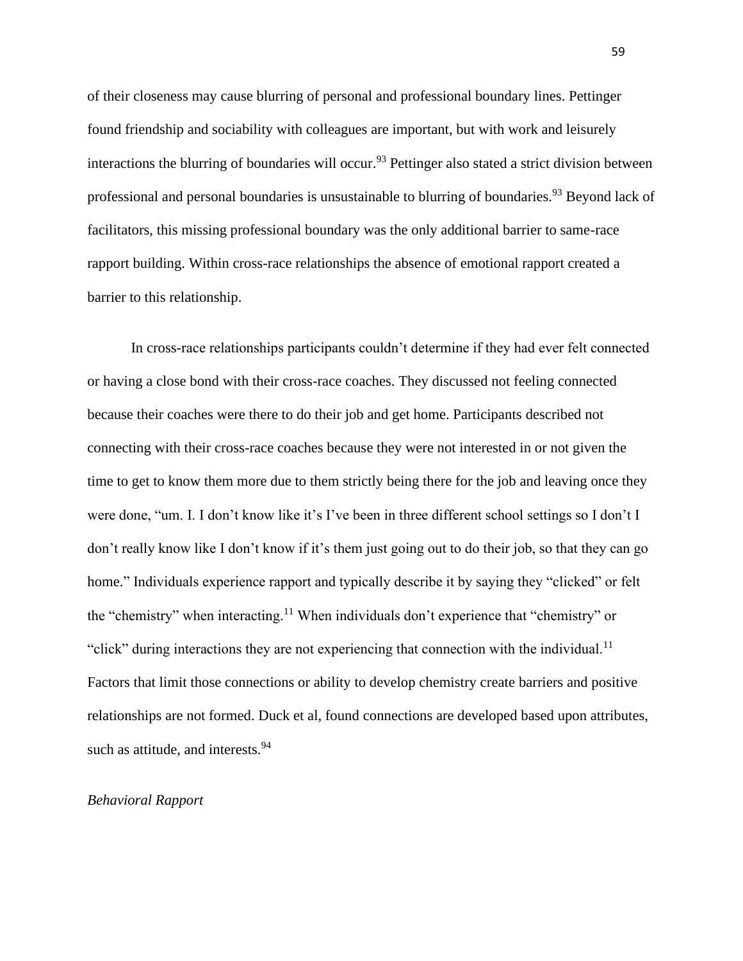of their closeness may cause blurring of personal and professional boundary lines. Pettinger found friendship and sociability with colleagues are important, but with work and leisurely interactions the blurring of boundaries will occur.<sup>93</sup> Pettinger also stated a strict division between professional and personal boundaries is unsustainable to blurring of boundaries.<sup>93</sup> Beyond lack of facilitators, this missing professional boundary was the only additional barrier to same-race rapport building. Within cross-race relationships the absence of emotional rapport created a barrier to this relationship.

In cross-race relationships participants couldn't determine if they had ever felt connected or having a close bond with their cross-race coaches. They discussed not feeling connected because their coaches were there to do their job and get home. Participants described not connecting with their cross-race coaches because they were not interested in or not given the time to get to know them more due to them strictly being there for the job and leaving once they were done, "um. I. I don't know like it's I've been in three different school settings so I don't I don't really know like I don't know if it's them just going out to do their job, so that they can go home." Individuals experience rapport and typically describe it by saying they "clicked" or felt the "chemistry" when interacting.<sup>11</sup> When individuals don't experience that "chemistry" or "click" during interactions they are not experiencing that connection with the individual.<sup>11</sup> Factors that limit those connections or ability to develop chemistry create barriers and positive relationships are not formed. Duck et al, found connections are developed based upon attributes, such as attitude, and interests.<sup>94</sup>

#### *Behavioral Rapport*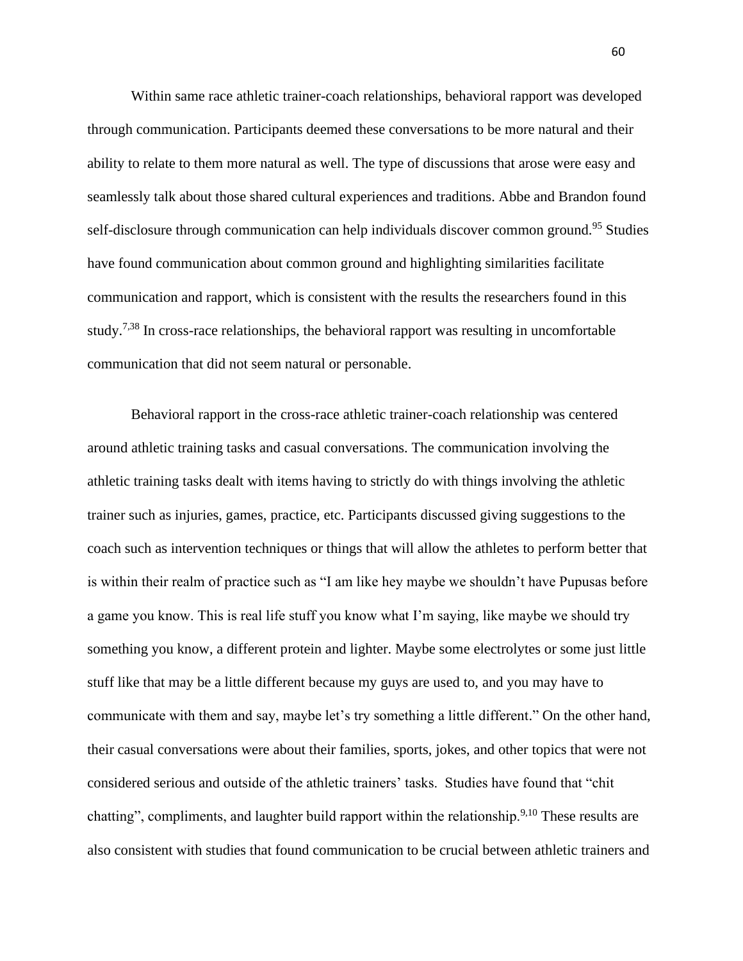Within same race athletic trainer-coach relationships, behavioral rapport was developed through communication. Participants deemed these conversations to be more natural and their ability to relate to them more natural as well. The type of discussions that arose were easy and seamlessly talk about those shared cultural experiences and traditions. Abbe and Brandon found self-disclosure through communication can help individuals discover common ground.<sup>95</sup> Studies have found communication about common ground and highlighting similarities facilitate communication and rapport, which is consistent with the results the researchers found in this study.<sup>7,38</sup> In cross-race relationships, the behavioral rapport was resulting in uncomfortable communication that did not seem natural or personable.

Behavioral rapport in the cross-race athletic trainer-coach relationship was centered around athletic training tasks and casual conversations. The communication involving the athletic training tasks dealt with items having to strictly do with things involving the athletic trainer such as injuries, games, practice, etc. Participants discussed giving suggestions to the coach such as intervention techniques or things that will allow the athletes to perform better that is within their realm of practice such as "I am like hey maybe we shouldn't have Pupusas before a game you know. This is real life stuff you know what I'm saying, like maybe we should try something you know, a different protein and lighter. Maybe some electrolytes or some just little stuff like that may be a little different because my guys are used to, and you may have to communicate with them and say, maybe let's try something a little different." On the other hand, their casual conversations were about their families, sports, jokes, and other topics that were not considered serious and outside of the athletic trainers' tasks. Studies have found that "chit chatting", compliments, and laughter build rapport within the relationship.<sup>9,10</sup> These results are also consistent with studies that found communication to be crucial between athletic trainers and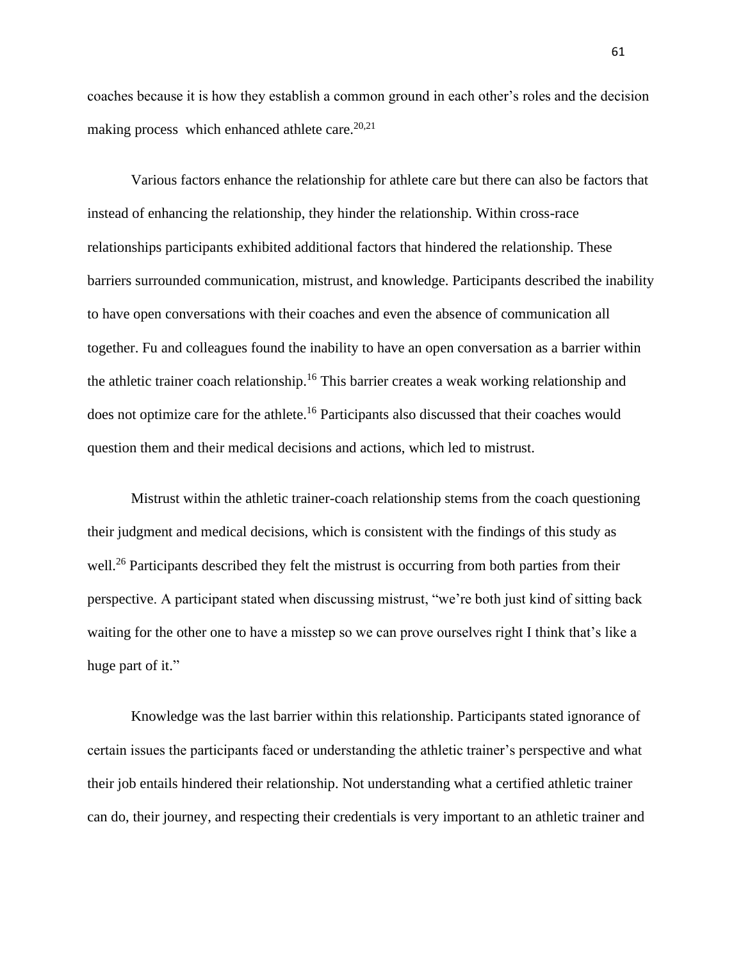coaches because it is how they establish a common ground in each other's roles and the decision making process which enhanced athlete care. $20,21$ 

Various factors enhance the relationship for athlete care but there can also be factors that instead of enhancing the relationship, they hinder the relationship. Within cross-race relationships participants exhibited additional factors that hindered the relationship. These barriers surrounded communication, mistrust, and knowledge. Participants described the inability to have open conversations with their coaches and even the absence of communication all together. Fu and colleagues found the inability to have an open conversation as a barrier within the athletic trainer coach relationship.<sup>16</sup> This barrier creates a weak working relationship and does not optimize care for the athlete.<sup>16</sup> Participants also discussed that their coaches would question them and their medical decisions and actions, which led to mistrust.

Mistrust within the athletic trainer-coach relationship stems from the coach questioning their judgment and medical decisions, which is consistent with the findings of this study as well.<sup>26</sup> Participants described they felt the mistrust is occurring from both parties from their perspective. A participant stated when discussing mistrust, "we're both just kind of sitting back waiting for the other one to have a misstep so we can prove ourselves right I think that's like a huge part of it."

Knowledge was the last barrier within this relationship. Participants stated ignorance of certain issues the participants faced or understanding the athletic trainer's perspective and what their job entails hindered their relationship. Not understanding what a certified athletic trainer can do, their journey, and respecting their credentials is very important to an athletic trainer and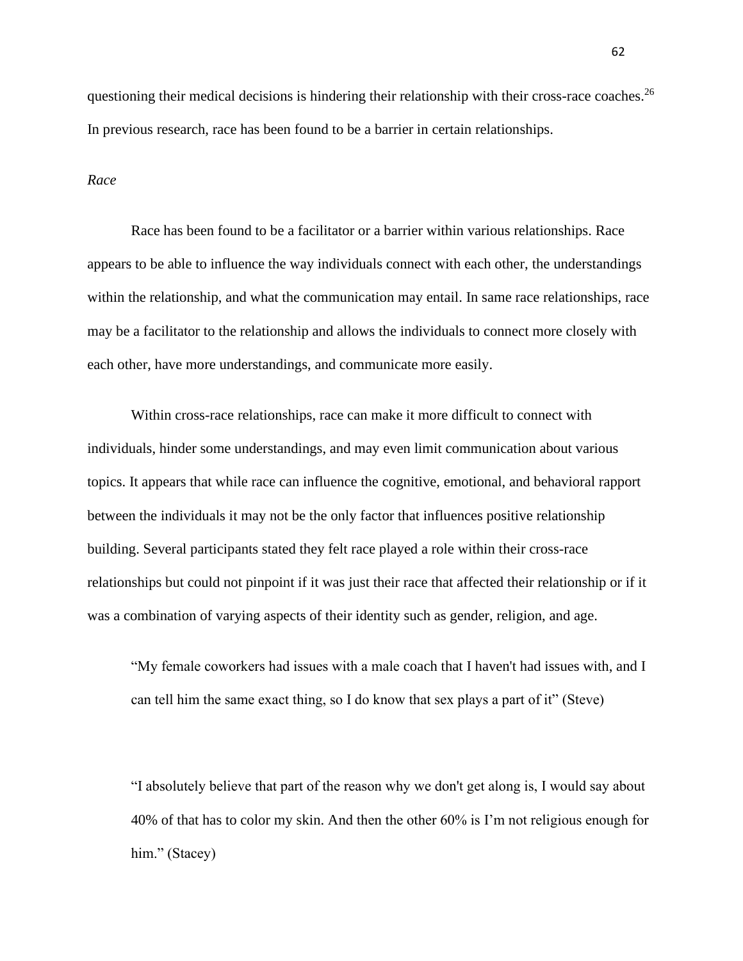questioning their medical decisions is hindering their relationship with their cross-race coaches.<sup>26</sup> In previous research, race has been found to be a barrier in certain relationships.

#### *Race*

Race has been found to be a facilitator or a barrier within various relationships. Race appears to be able to influence the way individuals connect with each other, the understandings within the relationship, and what the communication may entail. In same race relationships, race may be a facilitator to the relationship and allows the individuals to connect more closely with each other, have more understandings, and communicate more easily.

Within cross-race relationships, race can make it more difficult to connect with individuals, hinder some understandings, and may even limit communication about various topics. It appears that while race can influence the cognitive, emotional, and behavioral rapport between the individuals it may not be the only factor that influences positive relationship building. Several participants stated they felt race played a role within their cross-race relationships but could not pinpoint if it was just their race that affected their relationship or if it was a combination of varying aspects of their identity such as gender, religion, and age.

"My female coworkers had issues with a male coach that I haven't had issues with, and I can tell him the same exact thing, so I do know that sex plays a part of it" (Steve)

"I absolutely believe that part of the reason why we don't get along is, I would say about 40% of that has to color my skin. And then the other 60% is I'm not religious enough for him." (Stacey)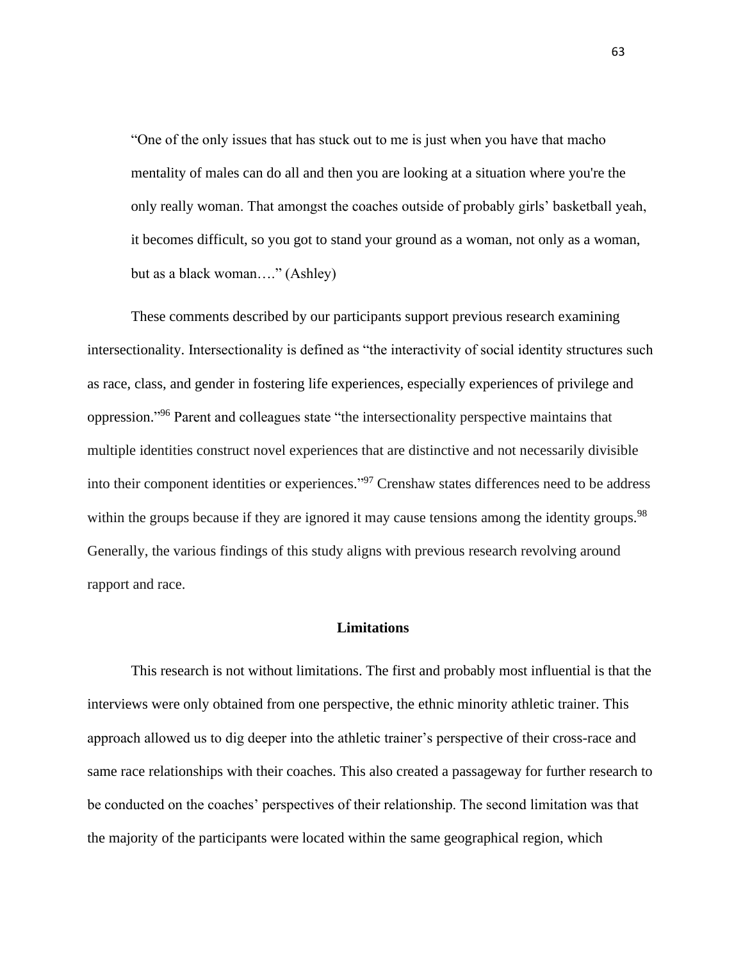"One of the only issues that has stuck out to me is just when you have that macho mentality of males can do all and then you are looking at a situation where you're the only really woman. That amongst the coaches outside of probably girls' basketball yeah, it becomes difficult, so you got to stand your ground as a woman, not only as a woman, but as a black woman…." (Ashley)

These comments described by our participants support previous research examining intersectionality. Intersectionality is defined as "the interactivity of social identity structures such as race, class, and gender in fostering life experiences, especially experiences of privilege and oppression."<sup>96</sup> Parent and colleagues state "the intersectionality perspective maintains that multiple identities construct novel experiences that are distinctive and not necessarily divisible into their component identities or experiences." <sup>97</sup> Crenshaw states differences need to be address within the groups because if they are ignored it may cause tensions among the identity groups.<sup>98</sup> Generally, the various findings of this study aligns with previous research revolving around rapport and race.

#### **Limitations**

This research is not without limitations. The first and probably most influential is that the interviews were only obtained from one perspective, the ethnic minority athletic trainer. This approach allowed us to dig deeper into the athletic trainer's perspective of their cross-race and same race relationships with their coaches. This also created a passageway for further research to be conducted on the coaches' perspectives of their relationship. The second limitation was that the majority of the participants were located within the same geographical region, which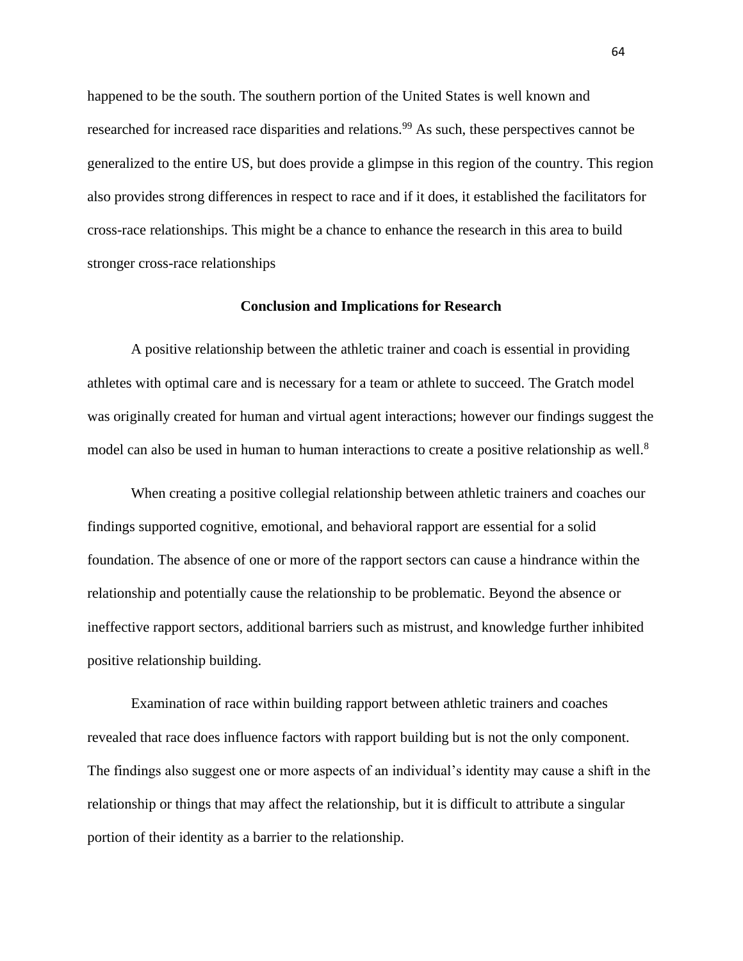happened to be the south. The southern portion of the United States is well known and researched for increased race disparities and relations.<sup>99</sup> As such, these perspectives cannot be generalized to the entire US, but does provide a glimpse in this region of the country. This region also provides strong differences in respect to race and if it does, it established the facilitators for cross-race relationships. This might be a chance to enhance the research in this area to build stronger cross-race relationships

#### **Conclusion and Implications for Research**

A positive relationship between the athletic trainer and coach is essential in providing athletes with optimal care and is necessary for a team or athlete to succeed. The Gratch model was originally created for human and virtual agent interactions; however our findings suggest the model can also be used in human to human interactions to create a positive relationship as well.<sup>8</sup>

When creating a positive collegial relationship between athletic trainers and coaches our findings supported cognitive, emotional, and behavioral rapport are essential for a solid foundation. The absence of one or more of the rapport sectors can cause a hindrance within the relationship and potentially cause the relationship to be problematic. Beyond the absence or ineffective rapport sectors, additional barriers such as mistrust, and knowledge further inhibited positive relationship building.

Examination of race within building rapport between athletic trainers and coaches revealed that race does influence factors with rapport building but is not the only component. The findings also suggest one or more aspects of an individual's identity may cause a shift in the relationship or things that may affect the relationship, but it is difficult to attribute a singular portion of their identity as a barrier to the relationship.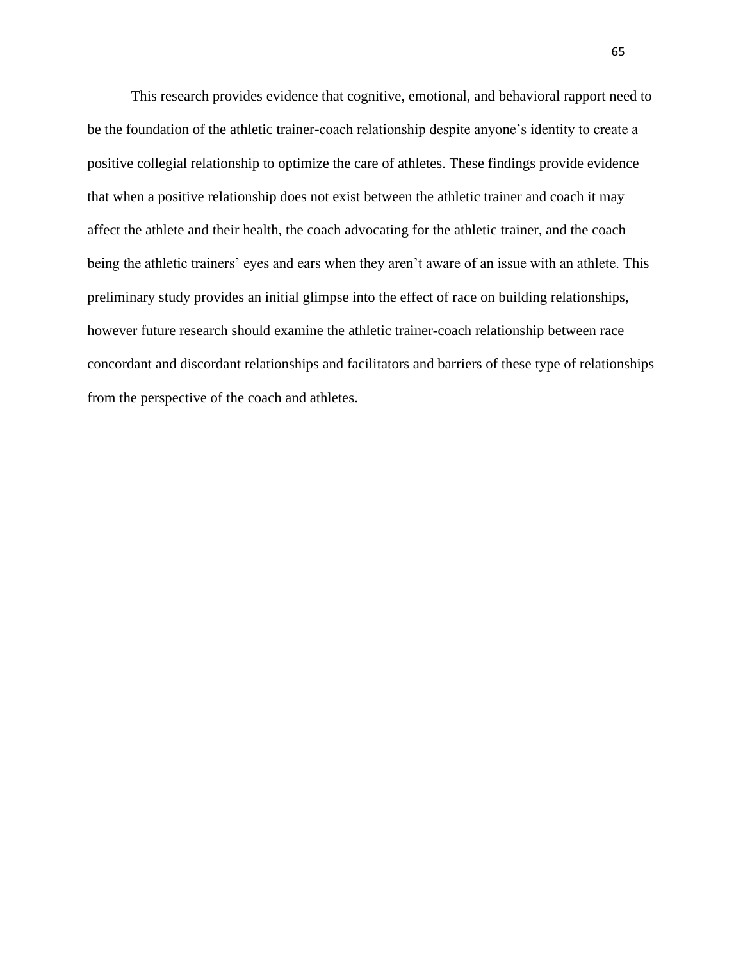This research provides evidence that cognitive, emotional, and behavioral rapport need to be the foundation of the athletic trainer-coach relationship despite anyone's identity to create a positive collegial relationship to optimize the care of athletes. These findings provide evidence that when a positive relationship does not exist between the athletic trainer and coach it may affect the athlete and their health, the coach advocating for the athletic trainer, and the coach being the athletic trainers' eyes and ears when they aren't aware of an issue with an athlete. This preliminary study provides an initial glimpse into the effect of race on building relationships, however future research should examine the athletic trainer-coach relationship between race concordant and discordant relationships and facilitators and barriers of these type of relationships from the perspective of the coach and athletes.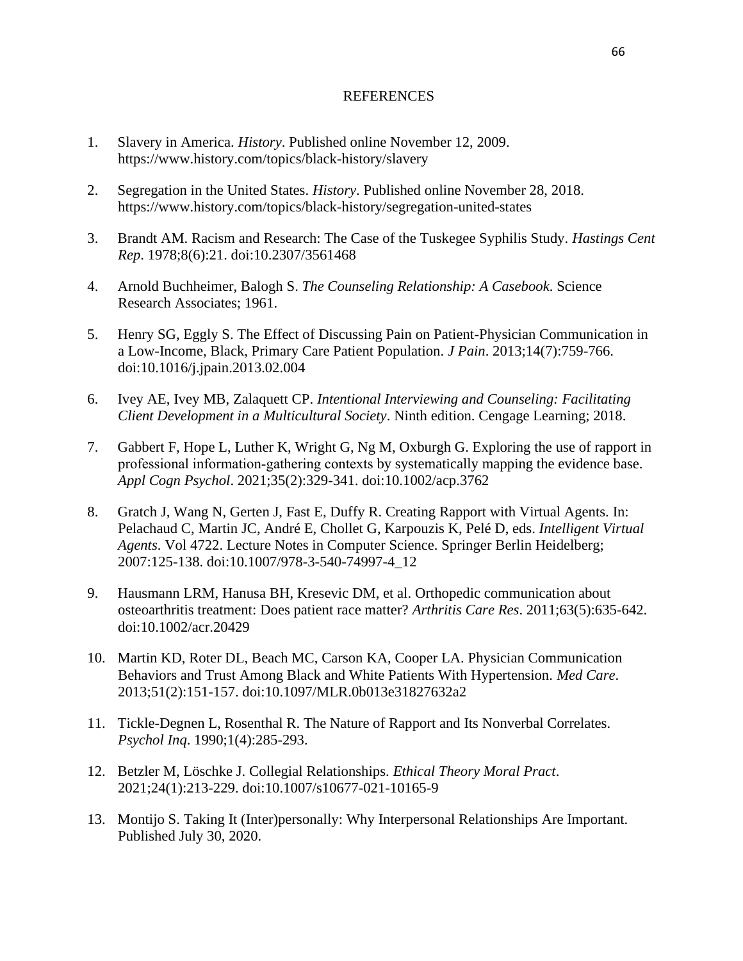#### REFERENCES

- 1. Slavery in America. *History*. Published online November 12, 2009. https://www.history.com/topics/black-history/slavery
- 2. Segregation in the United States. *History*. Published online November 28, 2018. https://www.history.com/topics/black-history/segregation-united-states
- 3. Brandt AM. Racism and Research: The Case of the Tuskegee Syphilis Study. *Hastings Cent Rep*. 1978;8(6):21. doi:10.2307/3561468
- 4. Arnold Buchheimer, Balogh S. *The Counseling Relationship: A Casebook*. Science Research Associates; 1961.
- 5. Henry SG, Eggly S. The Effect of Discussing Pain on Patient-Physician Communication in a Low-Income, Black, Primary Care Patient Population. *J Pain*. 2013;14(7):759-766. doi:10.1016/j.jpain.2013.02.004
- 6. Ivey AE, Ivey MB, Zalaquett CP. *Intentional Interviewing and Counseling: Facilitating Client Development in a Multicultural Society*. Ninth edition. Cengage Learning; 2018.
- 7. Gabbert F, Hope L, Luther K, Wright G, Ng M, Oxburgh G. Exploring the use of rapport in professional information‐gathering contexts by systematically mapping the evidence base. *Appl Cogn Psychol*. 2021;35(2):329-341. doi:10.1002/acp.3762
- 8. Gratch J, Wang N, Gerten J, Fast E, Duffy R. Creating Rapport with Virtual Agents. In: Pelachaud C, Martin JC, André E, Chollet G, Karpouzis K, Pelé D, eds. *Intelligent Virtual Agents*. Vol 4722. Lecture Notes in Computer Science. Springer Berlin Heidelberg; 2007:125-138. doi:10.1007/978-3-540-74997-4\_12
- 9. Hausmann LRM, Hanusa BH, Kresevic DM, et al. Orthopedic communication about osteoarthritis treatment: Does patient race matter? *Arthritis Care Res*. 2011;63(5):635-642. doi:10.1002/acr.20429
- 10. Martin KD, Roter DL, Beach MC, Carson KA, Cooper LA. Physician Communication Behaviors and Trust Among Black and White Patients With Hypertension. *Med Care*. 2013;51(2):151-157. doi:10.1097/MLR.0b013e31827632a2
- 11. Tickle-Degnen L, Rosenthal R. The Nature of Rapport and Its Nonverbal Correlates. *Psychol Inq*. 1990;1(4):285-293.
- 12. Betzler M, Löschke J. Collegial Relationships. *Ethical Theory Moral Pract*. 2021;24(1):213-229. doi:10.1007/s10677-021-10165-9
- 13. Montijo S. Taking It (Inter)personally: Why Interpersonal Relationships Are Important. Published July 30, 2020.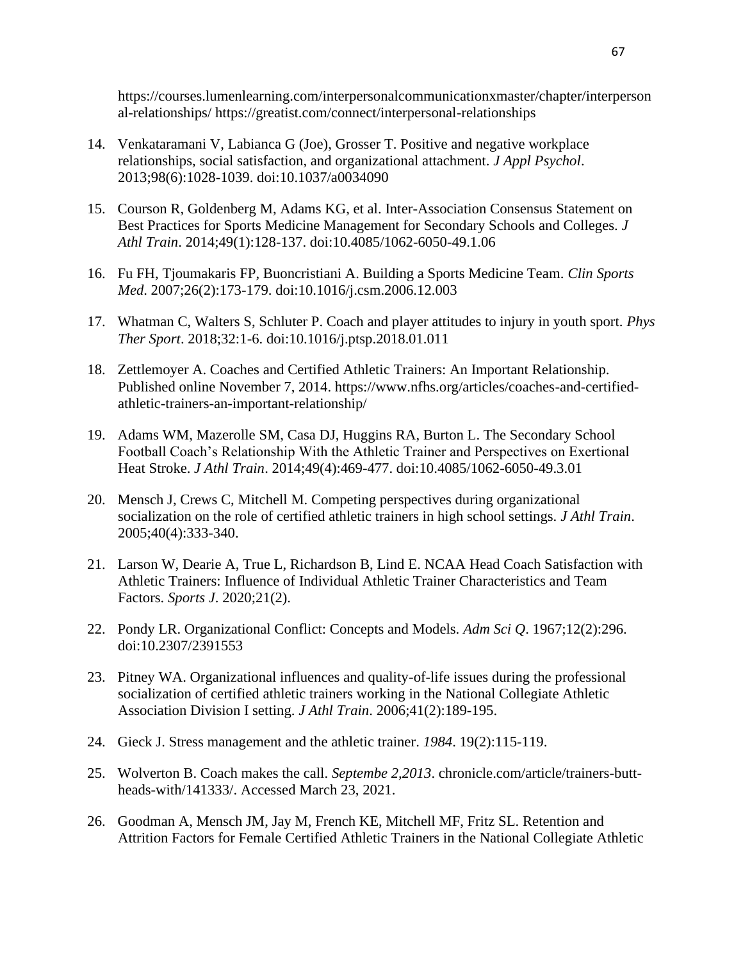https://courses.lumenlearning.com/interpersonalcommunicationxmaster/chapter/interperson al-relationships/ https://greatist.com/connect/interpersonal-relationships

- 14. Venkataramani V, Labianca G (Joe), Grosser T. Positive and negative workplace relationships, social satisfaction, and organizational attachment. *J Appl Psychol*. 2013;98(6):1028-1039. doi:10.1037/a0034090
- 15. Courson R, Goldenberg M, Adams KG, et al. Inter-Association Consensus Statement on Best Practices for Sports Medicine Management for Secondary Schools and Colleges. *J Athl Train*. 2014;49(1):128-137. doi:10.4085/1062-6050-49.1.06
- 16. Fu FH, Tjoumakaris FP, Buoncristiani A. Building a Sports Medicine Team. *Clin Sports Med*. 2007;26(2):173-179. doi:10.1016/j.csm.2006.12.003
- 17. Whatman C, Walters S, Schluter P. Coach and player attitudes to injury in youth sport. *Phys Ther Sport*. 2018;32:1-6. doi:10.1016/j.ptsp.2018.01.011
- 18. Zettlemoyer A. Coaches and Certified Athletic Trainers: An Important Relationship. Published online November 7, 2014. https://www.nfhs.org/articles/coaches-and-certifiedathletic-trainers-an-important-relationship/
- 19. Adams WM, Mazerolle SM, Casa DJ, Huggins RA, Burton L. The Secondary School Football Coach's Relationship With the Athletic Trainer and Perspectives on Exertional Heat Stroke. *J Athl Train*. 2014;49(4):469-477. doi:10.4085/1062-6050-49.3.01
- 20. Mensch J, Crews C, Mitchell M. Competing perspectives during organizational socialization on the role of certified athletic trainers in high school settings. *J Athl Train*. 2005;40(4):333-340.
- 21. Larson W, Dearie A, True L, Richardson B, Lind E. NCAA Head Coach Satisfaction with Athletic Trainers: Influence of Individual Athletic Trainer Characteristics and Team Factors. *Sports J*. 2020;21(2).
- 22. Pondy LR. Organizational Conflict: Concepts and Models. *Adm Sci Q*. 1967;12(2):296. doi:10.2307/2391553
- 23. Pitney WA. Organizational influences and quality-of-life issues during the professional socialization of certified athletic trainers working in the National Collegiate Athletic Association Division I setting. *J Athl Train*. 2006;41(2):189-195.
- 24. Gieck J. Stress management and the athletic trainer. *1984*. 19(2):115-119.
- 25. Wolverton B. Coach makes the call. *Septembe 2,2013*. chronicle.com/article/trainers-buttheads-with/141333/. Accessed March 23, 2021.
- 26. Goodman A, Mensch JM, Jay M, French KE, Mitchell MF, Fritz SL. Retention and Attrition Factors for Female Certified Athletic Trainers in the National Collegiate Athletic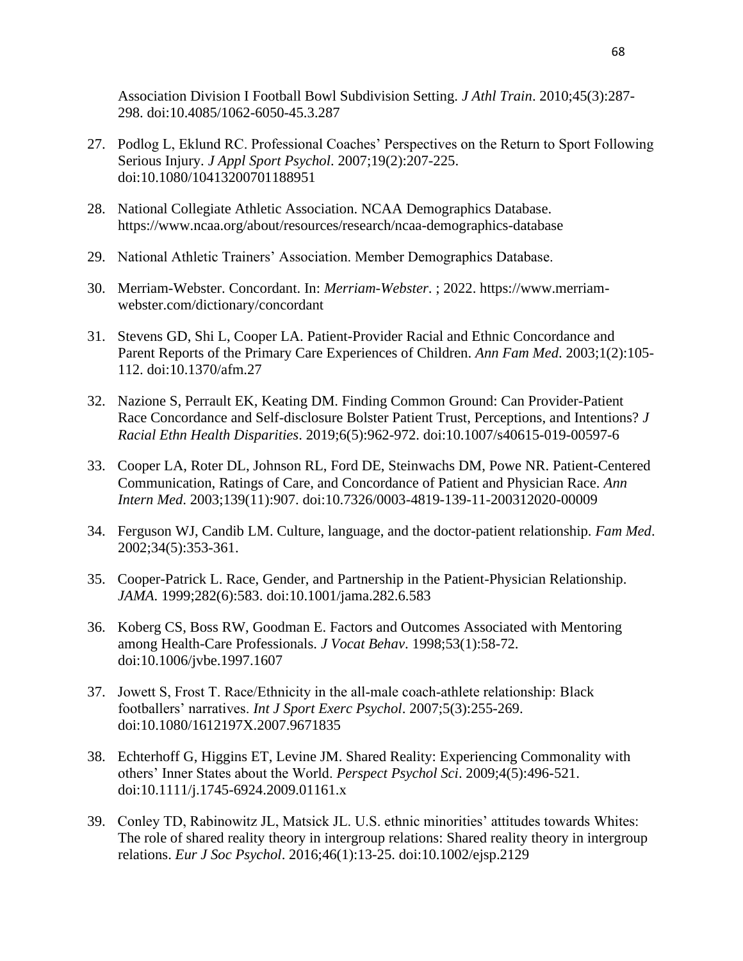Association Division I Football Bowl Subdivision Setting. *J Athl Train*. 2010;45(3):287- 298. doi:10.4085/1062-6050-45.3.287

- 27. Podlog L, Eklund RC. Professional Coaches' Perspectives on the Return to Sport Following Serious Injury. *J Appl Sport Psychol*. 2007;19(2):207-225. doi:10.1080/10413200701188951
- 28. National Collegiate Athletic Association. NCAA Demographics Database. https://www.ncaa.org/about/resources/research/ncaa-demographics-database
- 29. National Athletic Trainers' Association. Member Demographics Database.
- 30. Merriam-Webster. Concordant. In: *Merriam-Webster*. ; 2022. https://www.merriamwebster.com/dictionary/concordant
- 31. Stevens GD, Shi L, Cooper LA. Patient-Provider Racial and Ethnic Concordance and Parent Reports of the Primary Care Experiences of Children. *Ann Fam Med*. 2003;1(2):105- 112. doi:10.1370/afm.27
- 32. Nazione S, Perrault EK, Keating DM. Finding Common Ground: Can Provider-Patient Race Concordance and Self-disclosure Bolster Patient Trust, Perceptions, and Intentions? *J Racial Ethn Health Disparities*. 2019;6(5):962-972. doi:10.1007/s40615-019-00597-6
- 33. Cooper LA, Roter DL, Johnson RL, Ford DE, Steinwachs DM, Powe NR. Patient-Centered Communication, Ratings of Care, and Concordance of Patient and Physician Race. *Ann Intern Med*. 2003;139(11):907. doi:10.7326/0003-4819-139-11-200312020-00009
- 34. Ferguson WJ, Candib LM. Culture, language, and the doctor-patient relationship. *Fam Med*. 2002;34(5):353-361.
- 35. Cooper-Patrick L. Race, Gender, and Partnership in the Patient-Physician Relationship. *JAMA*. 1999;282(6):583. doi:10.1001/jama.282.6.583
- 36. Koberg CS, Boss RW, Goodman E. Factors and Outcomes Associated with Mentoring among Health-Care Professionals. *J Vocat Behav*. 1998;53(1):58-72. doi:10.1006/jvbe.1997.1607
- 37. Jowett S, Frost T. Race/Ethnicity in the all‐male coach‐athlete relationship: Black footballers' narratives. *Int J Sport Exerc Psychol*. 2007;5(3):255-269. doi:10.1080/1612197X.2007.9671835
- 38. Echterhoff G, Higgins ET, Levine JM. Shared Reality: Experiencing Commonality with others' Inner States about the World. *Perspect Psychol Sci*. 2009;4(5):496-521. doi:10.1111/j.1745-6924.2009.01161.x
- 39. Conley TD, Rabinowitz JL, Matsick JL. U.S. ethnic minorities' attitudes towards Whites: The role of shared reality theory in intergroup relations: Shared reality theory in intergroup relations. *Eur J Soc Psychol*. 2016;46(1):13-25. doi:10.1002/ejsp.2129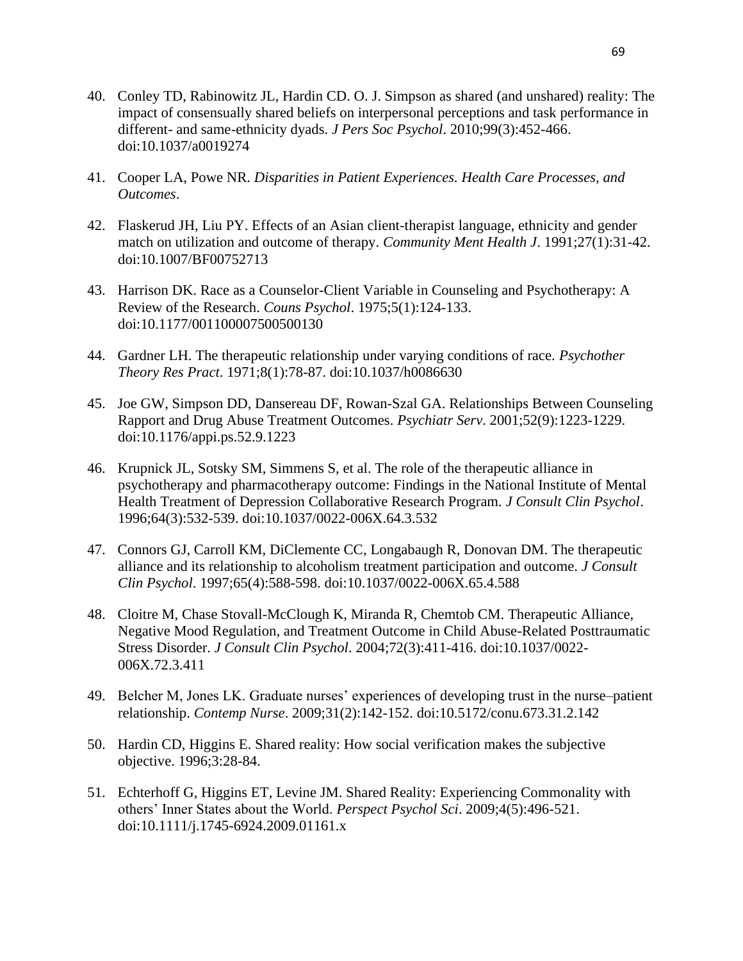- 40. Conley TD, Rabinowitz JL, Hardin CD. O. J. Simpson as shared (and unshared) reality: The impact of consensually shared beliefs on interpersonal perceptions and task performance in different- and same-ethnicity dyads. *J Pers Soc Psychol*. 2010;99(3):452-466. doi:10.1037/a0019274
- 41. Cooper LA, Powe NR. *Disparities in Patient Experiences. Health Care Processes, and Outcomes*.
- 42. Flaskerud JH, Liu PY. Effects of an Asian client-therapist language, ethnicity and gender match on utilization and outcome of therapy. *Community Ment Health J*. 1991;27(1):31-42. doi:10.1007/BF00752713
- 43. Harrison DK. Race as a Counselor-Client Variable in Counseling and Psychotherapy: A Review of the Research. *Couns Psychol*. 1975;5(1):124-133. doi:10.1177/001100007500500130
- 44. Gardner LH. The therapeutic relationship under varying conditions of race. *Psychother Theory Res Pract*. 1971;8(1):78-87. doi:10.1037/h0086630
- 45. Joe GW, Simpson DD, Dansereau DF, Rowan-Szal GA. Relationships Between Counseling Rapport and Drug Abuse Treatment Outcomes. *Psychiatr Serv*. 2001;52(9):1223-1229. doi:10.1176/appi.ps.52.9.1223
- 46. Krupnick JL, Sotsky SM, Simmens S, et al. The role of the therapeutic alliance in psychotherapy and pharmacotherapy outcome: Findings in the National Institute of Mental Health Treatment of Depression Collaborative Research Program. *J Consult Clin Psychol*. 1996;64(3):532-539. doi:10.1037/0022-006X.64.3.532
- 47. Connors GJ, Carroll KM, DiClemente CC, Longabaugh R, Donovan DM. The therapeutic alliance and its relationship to alcoholism treatment participation and outcome. *J Consult Clin Psychol*. 1997;65(4):588-598. doi:10.1037/0022-006X.65.4.588
- 48. Cloitre M, Chase Stovall-McClough K, Miranda R, Chemtob CM. Therapeutic Alliance, Negative Mood Regulation, and Treatment Outcome in Child Abuse-Related Posttraumatic Stress Disorder. *J Consult Clin Psychol*. 2004;72(3):411-416. doi:10.1037/0022- 006X.72.3.411
- 49. Belcher M, Jones LK. Graduate nurses' experiences of developing trust in the nurse–patient relationship. *Contemp Nurse*. 2009;31(2):142-152. doi:10.5172/conu.673.31.2.142
- 50. Hardin CD, Higgins E. Shared reality: How social verification makes the subjective objective. 1996;3:28-84.
- 51. Echterhoff G, Higgins ET, Levine JM. Shared Reality: Experiencing Commonality with others' Inner States about the World. *Perspect Psychol Sci*. 2009;4(5):496-521. doi:10.1111/j.1745-6924.2009.01161.x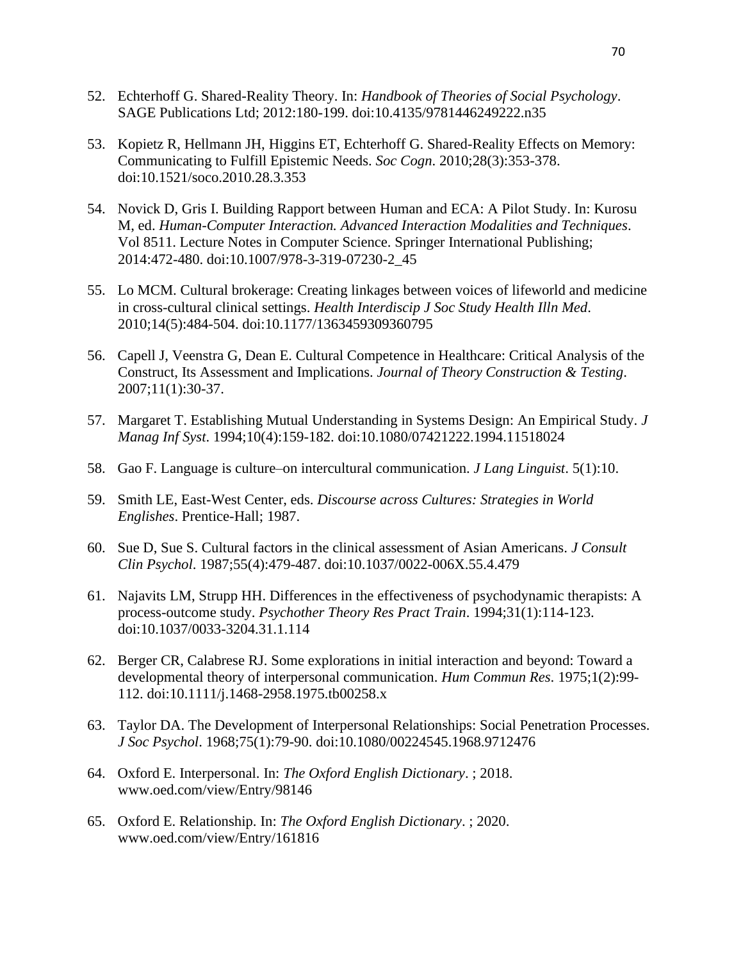- 52. Echterhoff G. Shared-Reality Theory. In: *Handbook of Theories of Social Psychology*. SAGE Publications Ltd; 2012:180-199. doi:10.4135/9781446249222.n35
- 53. Kopietz R, Hellmann JH, Higgins ET, Echterhoff G. Shared-Reality Effects on Memory: Communicating to Fulfill Epistemic Needs. *Soc Cogn*. 2010;28(3):353-378. doi:10.1521/soco.2010.28.3.353
- 54. Novick D, Gris I. Building Rapport between Human and ECA: A Pilot Study. In: Kurosu M, ed. *Human-Computer Interaction. Advanced Interaction Modalities and Techniques*. Vol 8511. Lecture Notes in Computer Science. Springer International Publishing; 2014:472-480. doi:10.1007/978-3-319-07230-2\_45
- 55. Lo MCM. Cultural brokerage: Creating linkages between voices of lifeworld and medicine in cross-cultural clinical settings. *Health Interdiscip J Soc Study Health Illn Med*. 2010;14(5):484-504. doi:10.1177/1363459309360795
- 56. Capell J, Veenstra G, Dean E. Cultural Competence in Healthcare: Critical Analysis of the Construct, Its Assessment and Implications. *Journal of Theory Construction & Testing*. 2007;11(1):30-37.
- 57. Margaret T. Establishing Mutual Understanding in Systems Design: An Empirical Study. *J Manag Inf Syst*. 1994;10(4):159-182. doi:10.1080/07421222.1994.11518024
- 58. Gao F. Language is culture–on intercultural communication. *J Lang Linguist*. 5(1):10.
- 59. Smith LE, East-West Center, eds. *Discourse across Cultures: Strategies in World Englishes*. Prentice-Hall; 1987.
- 60. Sue D, Sue S. Cultural factors in the clinical assessment of Asian Americans. *J Consult Clin Psychol*. 1987;55(4):479-487. doi:10.1037/0022-006X.55.4.479
- 61. Najavits LM, Strupp HH. Differences in the effectiveness of psychodynamic therapists: A process-outcome study. *Psychother Theory Res Pract Train*. 1994;31(1):114-123. doi:10.1037/0033-3204.31.1.114
- 62. Berger CR, Calabrese RJ. Some explorations in initial interaction and beyond: Toward a developmental theory of interpersonal communication. *Hum Commun Res*. 1975;1(2):99- 112. doi:10.1111/j.1468-2958.1975.tb00258.x
- 63. Taylor DA. The Development of Interpersonal Relationships: Social Penetration Processes. *J Soc Psychol*. 1968;75(1):79-90. doi:10.1080/00224545.1968.9712476
- 64. Oxford E. Interpersonal. In: *The Oxford English Dictionary*. ; 2018. www.oed.com/view/Entry/98146
- 65. Oxford E. Relationship. In: *The Oxford English Dictionary*. ; 2020. www.oed.com/view/Entry/161816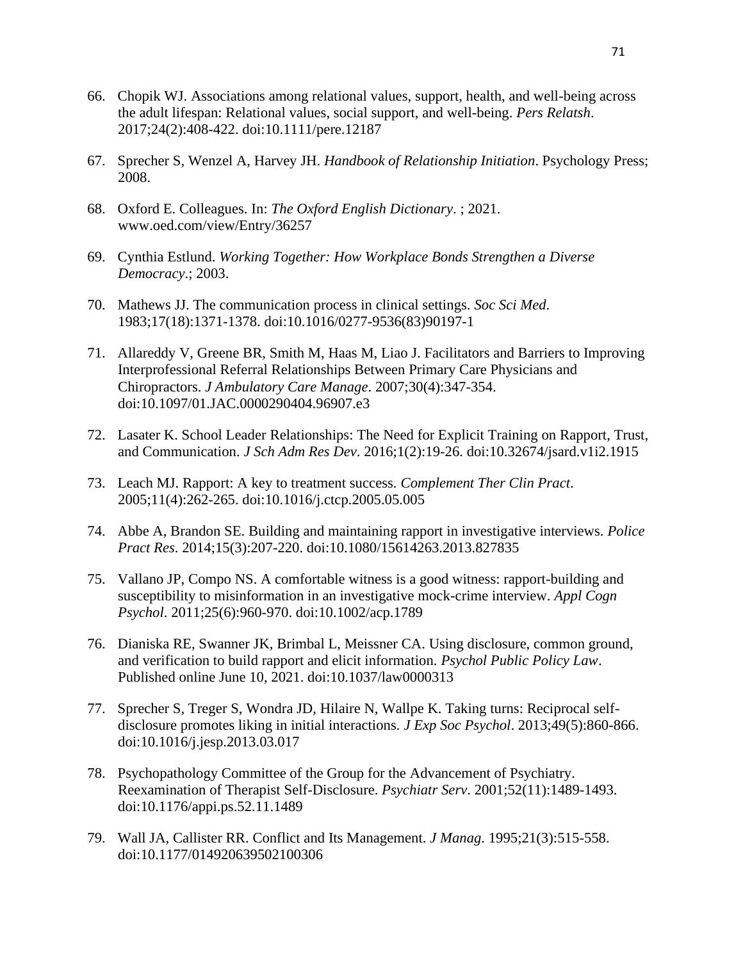- 66. Chopik WJ. Associations among relational values, support, health, and well-being across the adult lifespan: Relational values, social support, and well-being. *Pers Relatsh*. 2017;24(2):408-422. doi:10.1111/pere.12187
- 67. Sprecher S, Wenzel A, Harvey JH. *Handbook of Relationship Initiation*. Psychology Press; 2008.
- 68. Oxford E. Colleagues. In: *The Oxford English Dictionary*. ; 2021. www.oed.com/view/Entry/36257
- 69. Cynthia Estlund. *Working Together: How Workplace Bonds Strengthen a Diverse Democracy*.; 2003.
- 70. Mathews JJ. The communication process in clinical settings. *Soc Sci Med*. 1983;17(18):1371-1378. doi:10.1016/0277-9536(83)90197-1
- 71. Allareddy V, Greene BR, Smith M, Haas M, Liao J. Facilitators and Barriers to Improving Interprofessional Referral Relationships Between Primary Care Physicians and Chiropractors. *J Ambulatory Care Manage*. 2007;30(4):347-354. doi:10.1097/01.JAC.0000290404.96907.e3
- 72. Lasater K. School Leader Relationships: The Need for Explicit Training on Rapport, Trust, and Communication. *J Sch Adm Res Dev*. 2016;1(2):19-26. doi:10.32674/jsard.v1i2.1915
- 73. Leach MJ. Rapport: A key to treatment success. *Complement Ther Clin Pract*. 2005;11(4):262-265. doi:10.1016/j.ctcp.2005.05.005
- 74. Abbe A, Brandon SE. Building and maintaining rapport in investigative interviews. *Police Pract Res*. 2014;15(3):207-220. doi:10.1080/15614263.2013.827835
- 75. Vallano JP, Compo NS. A comfortable witness is a good witness: rapport-building and susceptibility to misinformation in an investigative mock-crime interview. *Appl Cogn Psychol*. 2011;25(6):960-970. doi:10.1002/acp.1789
- 76. Dianiska RE, Swanner JK, Brimbal L, Meissner CA. Using disclosure, common ground, and verification to build rapport and elicit information. *Psychol Public Policy Law*. Published online June 10, 2021. doi:10.1037/law0000313
- 77. Sprecher S, Treger S, Wondra JD, Hilaire N, Wallpe K. Taking turns: Reciprocal selfdisclosure promotes liking in initial interactions. *J Exp Soc Psychol*. 2013;49(5):860-866. doi:10.1016/j.jesp.2013.03.017
- 78. Psychopathology Committee of the Group for the Advancement of Psychiatry. Reexamination of Therapist Self-Disclosure. *Psychiatr Serv*. 2001;52(11):1489-1493. doi:10.1176/appi.ps.52.11.1489
- 79. Wall JA, Callister RR. Conflict and Its Management. *J Manag*. 1995;21(3):515-558. doi:10.1177/014920639502100306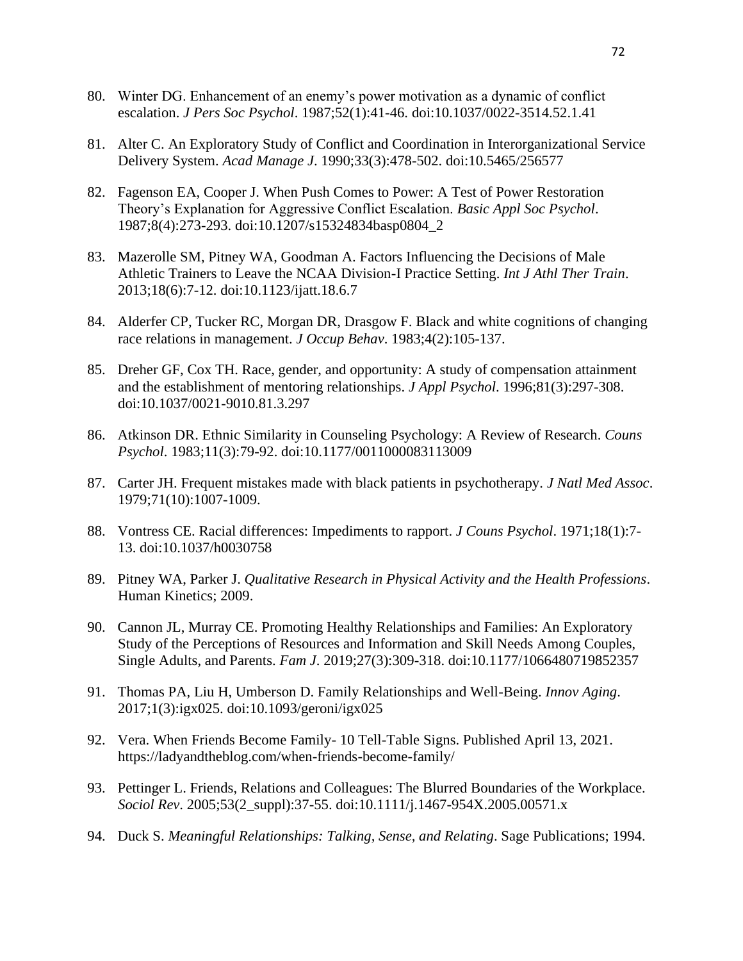- 80. Winter DG. Enhancement of an enemy's power motivation as a dynamic of conflict escalation. *J Pers Soc Psychol*. 1987;52(1):41-46. doi:10.1037/0022-3514.52.1.41
- 81. Alter C. An Exploratory Study of Conflict and Coordination in Interorganizational Service Delivery System. *Acad Manage J*. 1990;33(3):478-502. doi:10.5465/256577
- 82. Fagenson EA, Cooper J. When Push Comes to Power: A Test of Power Restoration Theory's Explanation for Aggressive Conflict Escalation. *Basic Appl Soc Psychol*. 1987;8(4):273-293. doi:10.1207/s15324834basp0804\_2
- 83. Mazerolle SM, Pitney WA, Goodman A. Factors Influencing the Decisions of Male Athletic Trainers to Leave the NCAA Division-I Practice Setting. *Int J Athl Ther Train*. 2013;18(6):7-12. doi:10.1123/ijatt.18.6.7
- 84. Alderfer CP, Tucker RC, Morgan DR, Drasgow F. Black and white cognitions of changing race relations in management. *J Occup Behav*. 1983;4(2):105-137.
- 85. Dreher GF, Cox TH. Race, gender, and opportunity: A study of compensation attainment and the establishment of mentoring relationships. *J Appl Psychol*. 1996;81(3):297-308. doi:10.1037/0021-9010.81.3.297
- 86. Atkinson DR. Ethnic Similarity in Counseling Psychology: A Review of Research. *Couns Psychol*. 1983;11(3):79-92. doi:10.1177/0011000083113009
- 87. Carter JH. Frequent mistakes made with black patients in psychotherapy. *J Natl Med Assoc*. 1979;71(10):1007-1009.
- 88. Vontress CE. Racial differences: Impediments to rapport. *J Couns Psychol*. 1971;18(1):7- 13. doi:10.1037/h0030758
- 89. Pitney WA, Parker J. *Qualitative Research in Physical Activity and the Health Professions*. Human Kinetics; 2009.
- 90. Cannon JL, Murray CE. Promoting Healthy Relationships and Families: An Exploratory Study of the Perceptions of Resources and Information and Skill Needs Among Couples, Single Adults, and Parents. *Fam J*. 2019;27(3):309-318. doi:10.1177/1066480719852357
- 91. Thomas PA, Liu H, Umberson D. Family Relationships and Well-Being. *Innov Aging*. 2017;1(3):igx025. doi:10.1093/geroni/igx025
- 92. Vera. When Friends Become Family- 10 Tell-Table Signs. Published April 13, 2021. https://ladyandtheblog.com/when-friends-become-family/
- 93. Pettinger L. Friends, Relations and Colleagues: The Blurred Boundaries of the Workplace. *Sociol Rev*. 2005;53(2\_suppl):37-55. doi:10.1111/j.1467-954X.2005.00571.x
- 94. Duck S. *Meaningful Relationships: Talking, Sense, and Relating*. Sage Publications; 1994.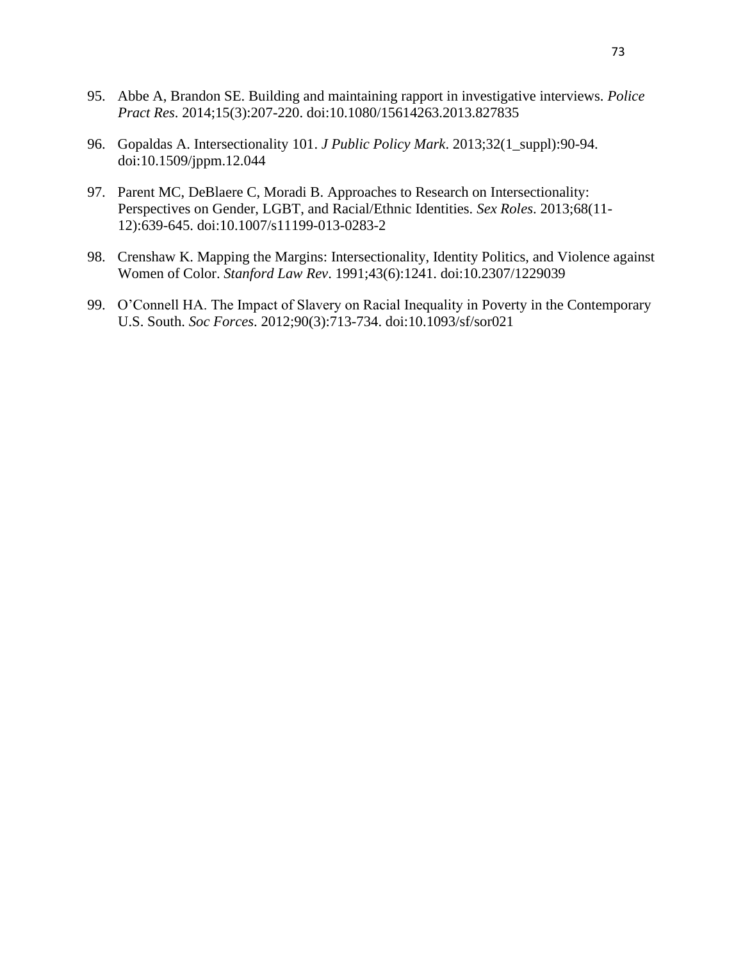- 95. Abbe A, Brandon SE. Building and maintaining rapport in investigative interviews. *Police Pract Res*. 2014;15(3):207-220. doi:10.1080/15614263.2013.827835
- 96. Gopaldas A. Intersectionality 101. *J Public Policy Mark*. 2013;32(1\_suppl):90-94. doi:10.1509/jppm.12.044
- 97. Parent MC, DeBlaere C, Moradi B. Approaches to Research on Intersectionality: Perspectives on Gender, LGBT, and Racial/Ethnic Identities. *Sex Roles*. 2013;68(11- 12):639-645. doi:10.1007/s11199-013-0283-2
- 98. Crenshaw K. Mapping the Margins: Intersectionality, Identity Politics, and Violence against Women of Color. *Stanford Law Rev*. 1991;43(6):1241. doi:10.2307/1229039
- 99. O'Connell HA. The Impact of Slavery on Racial Inequality in Poverty in the Contemporary U.S. South. *Soc Forces*. 2012;90(3):713-734. doi:10.1093/sf/sor021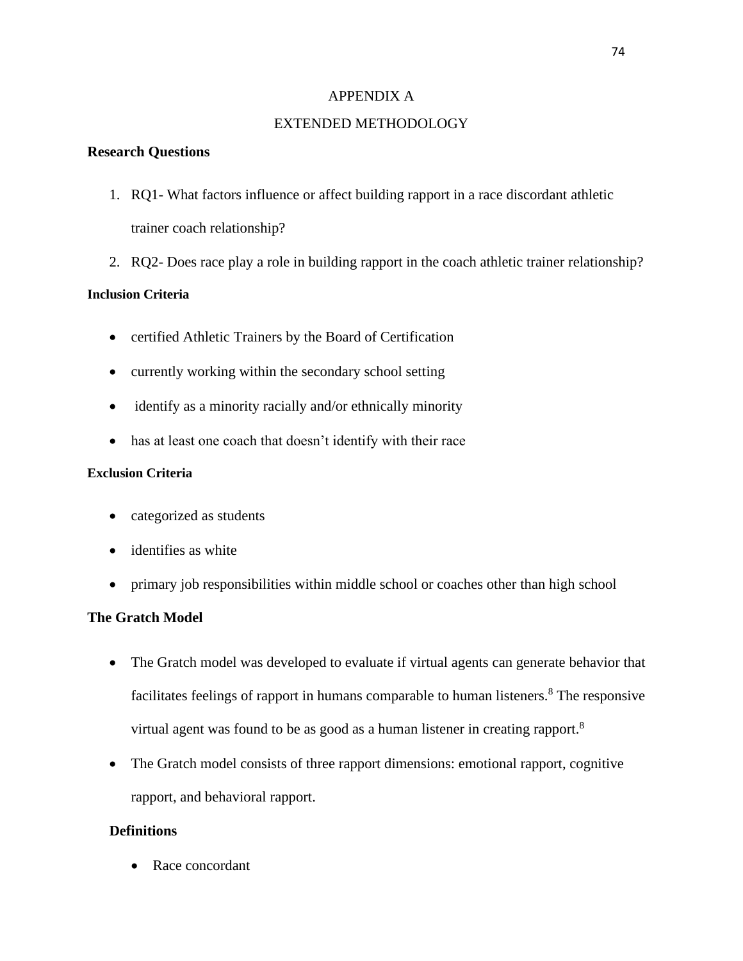## APPENDIX A

# EXTENDED METHODOLOGY

# **Research Questions**

- 1. RQ1- What factors influence or affect building rapport in a race discordant athletic trainer coach relationship?
- 2. RQ2- Does race play a role in building rapport in the coach athletic trainer relationship?

# **Inclusion Criteria**

- certified Athletic Trainers by the Board of Certification
- currently working within the secondary school setting
- identify as a minority racially and/or ethnically minority
- has at least one coach that doesn't identify with their race

# **Exclusion Criteria**

- categorized as students
- identifies as white
- primary job responsibilities within middle school or coaches other than high school

# **The Gratch Model**

- The Gratch model was developed to evaluate if virtual agents can generate behavior that facilitates feelings of rapport in humans comparable to human listeners. $8$  The responsive virtual agent was found to be as good as a human listener in creating rapport.<sup>8</sup>
- The Gratch model consists of three rapport dimensions: emotional rapport, cognitive rapport, and behavioral rapport.

# **Definitions**

• Race concordant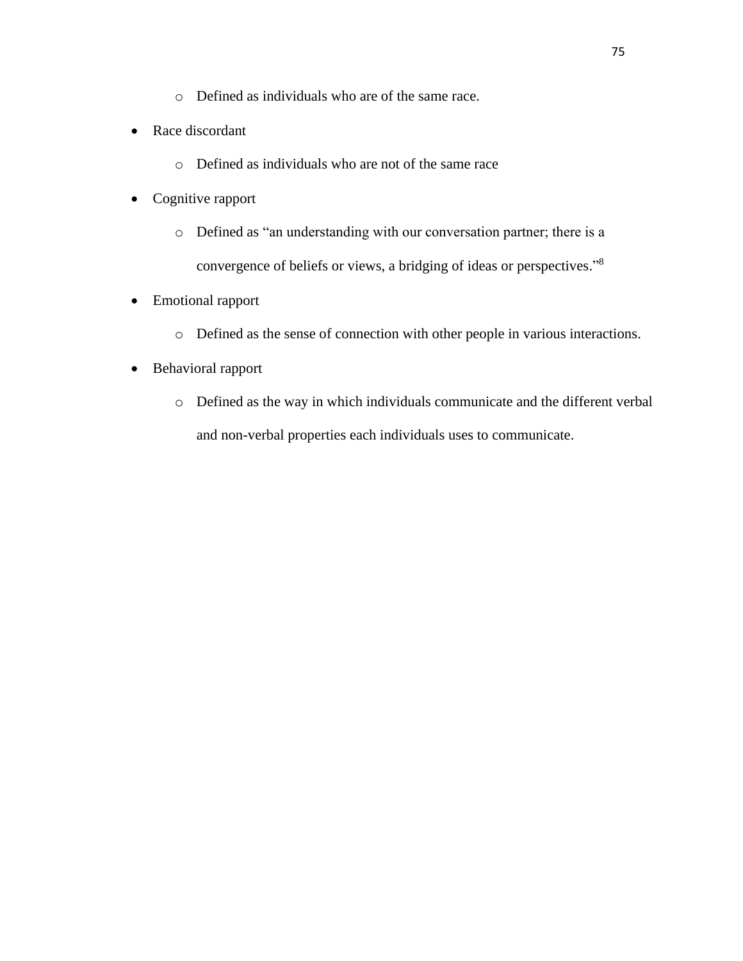- o Defined as individuals who are of the same race.
- Race discordant
	- o Defined as individuals who are not of the same race
- Cognitive rapport
	- o Defined as "an understanding with our conversation partner; there is a convergence of beliefs or views, a bridging of ideas or perspectives."<sup>8</sup>
- Emotional rapport
	- o Defined as the sense of connection with other people in various interactions.
- Behavioral rapport
	- o Defined as the way in which individuals communicate and the different verbal and non-verbal properties each individuals uses to communicate.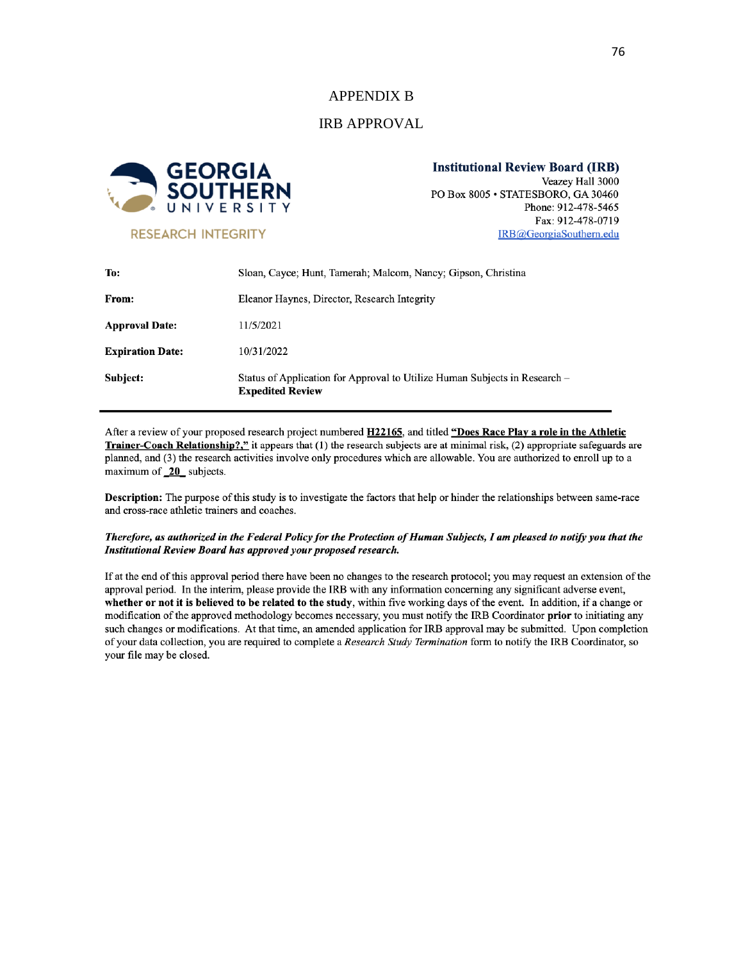#### APPENDIX B

#### IRB APPROVAL



**RESEARCH INTEGRITY** 

**Institutional Review Board (IRB)** Veazey Hall 3000 PO Box 8005 · STATESBORO, GA 30460 Phone: 912-478-5465 Fax: 912-478-0719

IRB@GeorgiaSouthern.edu

| Subject:                | Status of Application for Approval to Utilize Human Subjects in Research –<br><b>Expedited Review</b> |
|-------------------------|-------------------------------------------------------------------------------------------------------|
| <b>Expiration Date:</b> | 10/31/2022                                                                                            |
| <b>Approval Date:</b>   | 11/5/2021                                                                                             |
| From:                   | Eleanor Haynes, Director, Research Integrity                                                          |
| To:                     | Sloan, Cayce; Hunt, Tamerah; Malcom, Nancy; Gipson, Christina                                         |

After a review of your proposed research project numbered H22165, and titled "Does Race Play a role in the Athletic Trainer-Coach Relationship?," it appears that (1) the research subjects are at minimal risk, (2) appropriate safeguards are planned, and (3) the research activities involve only procedures which are allowable. You are authorized to enroll up to a maximum of 20 subjects.

**Description:** The purpose of this study is to investigate the factors that help or hinder the relationships between same-race and cross-race athletic trainers and coaches.

#### Therefore, as authorized in the Federal Policy for the Protection of Human Subjects, I am pleased to notify you that the Institutional Review Board has approved your proposed research.

If at the end of this approval period there have been no changes to the research protocol; you may request an extension of the approval period. In the interim, please provide the IRB with any information concerning any significant adverse event, whether or not it is believed to be related to the study, within five working days of the event. In addition, if a change or modification of the approved methodology becomes necessary, you must notify the IRB Coordinator prior to initiating any such changes or modifications. At that time, an amended application for IRB approval may be submitted. Upon completion of your data collection, you are required to complete a Research Study Termination form to notify the IRB Coordinator, so your file may be closed.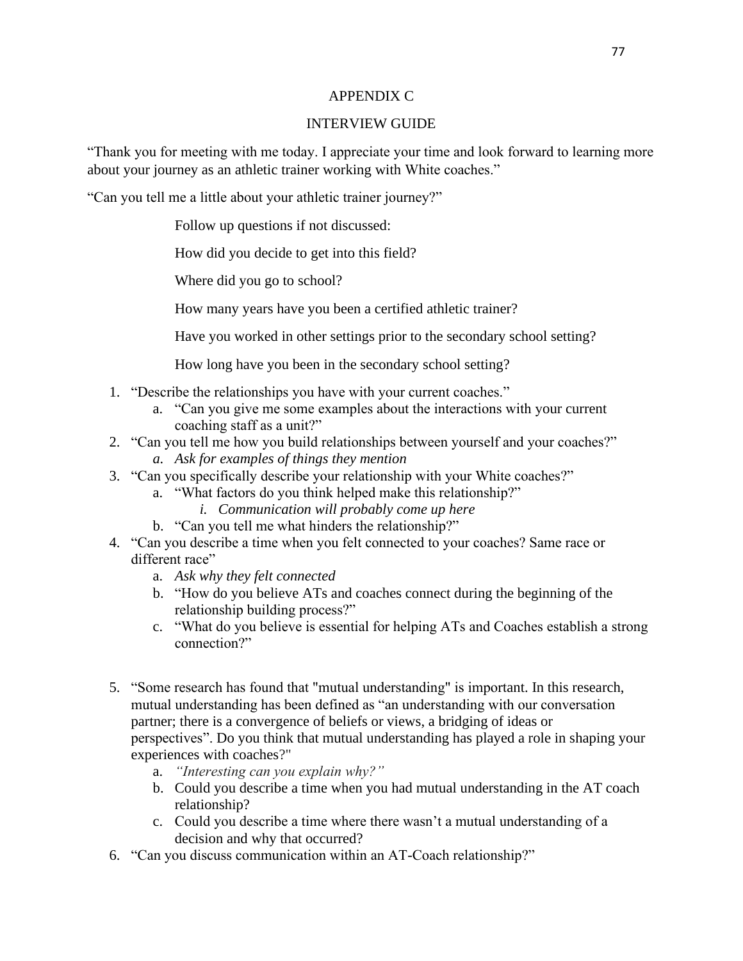### APPENDIX C

# INTERVIEW GUIDE

"Thank you for meeting with me today. I appreciate your time and look forward to learning more about your journey as an athletic trainer working with White coaches."

"Can you tell me a little about your athletic trainer journey?"

Follow up questions if not discussed:

How did you decide to get into this field?

Where did you go to school?

How many years have you been a certified athletic trainer?

Have you worked in other settings prior to the secondary school setting?

How long have you been in the secondary school setting?

- 1. "Describe the relationships you have with your current coaches."
	- a. "Can you give me some examples about the interactions with your current coaching staff as a unit?"
- 2. "Can you tell me how you build relationships between yourself and your coaches?" *a. Ask for examples of things they mention*
- 3. "Can you specifically describe your relationship with your White coaches?"
	- a. "What factors do you think helped make this relationship?"
		- *i. Communication will probably come up here*
	- b. "Can you tell me what hinders the relationship?"
- 4. "Can you describe a time when you felt connected to your coaches? Same race or different race"
	- a. *Ask why they felt connected*
	- b. "How do you believe ATs and coaches connect during the beginning of the relationship building process?"
	- c. "What do you believe is essential for helping ATs and Coaches establish a strong connection?"
- 5. "Some research has found that "mutual understanding" is important. In this research, mutual understanding has been defined as "an understanding with our conversation partner; there is a convergence of beliefs or views, a bridging of ideas or perspectives". Do you think that mutual understanding has played a role in shaping your experiences with coaches?"
	- a. *"Interesting can you explain why?"*
	- b. Could you describe a time when you had mutual understanding in the AT coach relationship?
	- c. Could you describe a time where there wasn't a mutual understanding of a decision and why that occurred?
- 6. "Can you discuss communication within an AT-Coach relationship?"